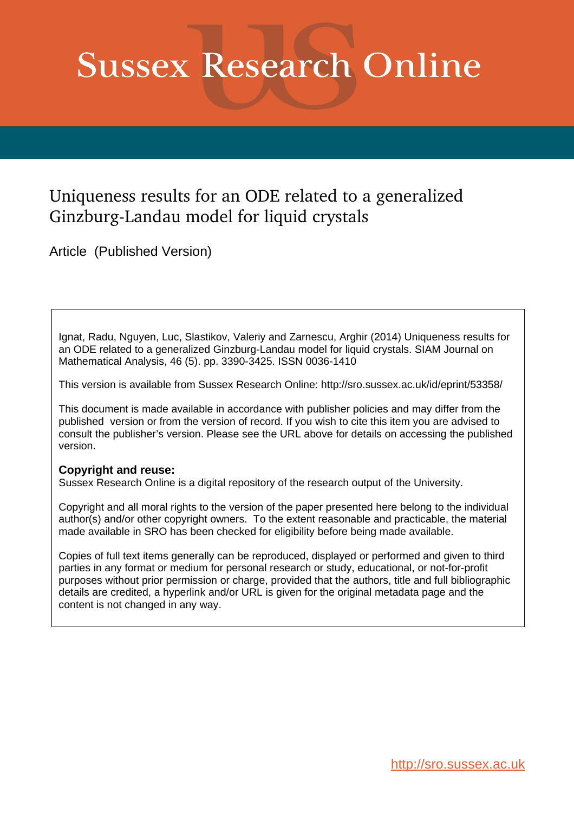# **Sussex Research Online**

## Uniqueness results for an ODE related to a generalized Ginzburg-Landau model for liquid crystals

Article (Published Version)

Ignat, Radu, Nguyen, Luc, Slastikov, Valeriy and Zarnescu, Arghir (2014) Uniqueness results for an ODE related to a generalized Ginzburg-Landau model for liquid crystals. SIAM Journal on Mathematical Analysis, 46 (5). pp. 3390-3425. ISSN 0036-1410

This version is available from Sussex Research Online: http://sro.sussex.ac.uk/id/eprint/53358/

This document is made available in accordance with publisher policies and may differ from the published version or from the version of record. If you wish to cite this item you are advised to consult the publisher's version. Please see the URL above for details on accessing the published version.

### **Copyright and reuse:**

Sussex Research Online is a digital repository of the research output of the University.

Copyright and all moral rights to the version of the paper presented here belong to the individual author(s) and/or other copyright owners. To the extent reasonable and practicable, the material made available in SRO has been checked for eligibility before being made available.

Copies of full text items generally can be reproduced, displayed or performed and given to third parties in any format or medium for personal research or study, educational, or not-for-profit purposes without prior permission or charge, provided that the authors, title and full bibliographic details are credited, a hyperlink and/or URL is given for the original metadata page and the content is not changed in any way.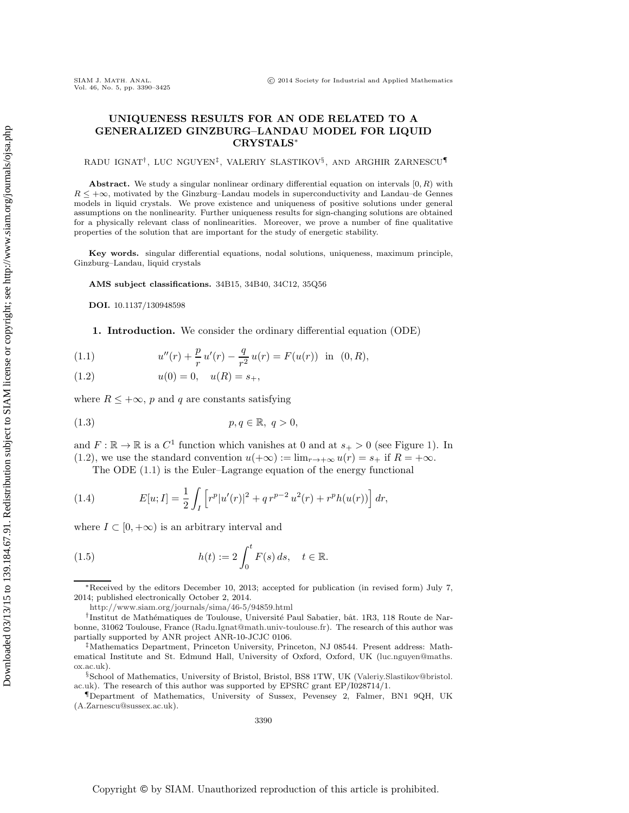#### **UNIQUENESS RESULTS FOR AN ODE RELATED TO A GENERALIZED GINZBURG–LANDAU MODEL FOR LIQUID CRYSTALS**<sup>∗</sup>

RADU IGNAT†, LUC NGUYEN‡, VALERIY SLASTIKOV§ , AND ARGHIR ZARNESCU¶

**Abstract.** We study a singular nonlinear ordinary differential equation on intervals [0*, R*) with  $R \leq +\infty$ , motivated by the Ginzburg–Landau models in superconductivity and Landau–de Gennes models in liquid crystals. We prove existence and uniqueness of positive solutions under general assumptions on the nonlinearity. Further uniqueness results for sign-changing solutions are obtained for a physically relevant class of nonlinearities. Moreover, we prove a number of fine qualitative properties of the solution that are important for the study of energetic stability.

**Key words.** singular differential equations, nodal solutions, uniqueness, maximum principle, Ginzburg–Landau, liquid crystals

**AMS subject classifications.** 34B15, 34B40, 34C12, 35Q56

**DOI.** 10.1137/130948598

<span id="page-1-2"></span>**1. Introduction.** We consider the ordinary differential equation (ODE)

<span id="page-1-1"></span>(1.1) 
$$
u''(r) + \frac{p}{r}u'(r) - \frac{q}{r^2}u(r) = F(u(r)) \text{ in } (0, R),
$$

<span id="page-1-0"></span>(1.2) 
$$
u(0) = 0, \quad u(R) = s_+,
$$

where  $R \leq +\infty$ , p and q are constants satisfying

$$
(1.3) \t\t\t p, q \in \mathbb{R}, q > 0,
$$

and  $F : \mathbb{R} \to \mathbb{R}$  is a  $C^1$  function which vanishes at 0 and at  $s_+ > 0$  (see Figure [1\)](#page-2-0). In [\(1.2\)](#page-1-0), we use the standard convention  $u(+\infty) := \lim_{r \to +\infty} u(r) = s_+$  if  $R = +\infty$ .

<span id="page-1-4"></span><span id="page-1-3"></span>The ODE [\(1.1\)](#page-1-1) is the Euler–Lagrange equation of the energy functional

(1.4) 
$$
E[u;I] = \frac{1}{2} \int_I \left[ r^p |u'(r)|^2 + q r^{p-2} u^2(r) + r^p h(u(r)) \right] dr,
$$

where  $I \subset [0, +\infty)$  is an arbitrary interval and

(1.5) 
$$
h(t) := 2 \int_0^t F(s) ds, \quad t \in \mathbb{R}.
$$

<sup>∗</sup>Received by the editors December 10, 2013; accepted for publication (in revised form) July 7, 2014; published electronically October 2, 2014.

<http://www.siam.org/journals/sima/46-5/94859.html>

<sup>†</sup>Institut de Mathématiques de Toulouse, Université Paul Sabatier, bât. 1R3, 118 Route de Narbonne, 31062 Toulouse, France [\(Radu.Ignat@math.univ-toulouse.fr\)](mailto:Radu.Ignat@math.univ-toulouse.fr). The research of this author was partially supported by ANR project ANR-10-JCJC 0106.

<sup>‡</sup>Mathematics Department, Princeton University, Princeton, NJ 08544. Present address: Mathematical Institute and St. Edmund Hall, University of Oxford, Oxford, UK [\(luc.nguyen@maths.](mailto:luc.nguyen@maths.ox.ac.uk) [ox.ac.uk\)](mailto:luc.nguyen@maths.ox.ac.uk).

<sup>§</sup>School of Mathematics, University of Bristol, Bristol, BS8 1TW, UK [\(Valeriy.Slastikov@bristol.](mailto:Valeriy.Slastikov@bristol.ac.uk) [ac.uk\)](mailto:Valeriy.Slastikov@bristol.ac.uk). The research of this author was supported by EPSRC grant EP/I028714/1.

<sup>¶</sup>Department of Mathematics, University of Sussex, Pevensey 2, Falmer, BN1 9QH, UK [\(A.Zarnescu@sussex.ac.uk\)](mailto:A.Zarnescu@sussex.ac.uk).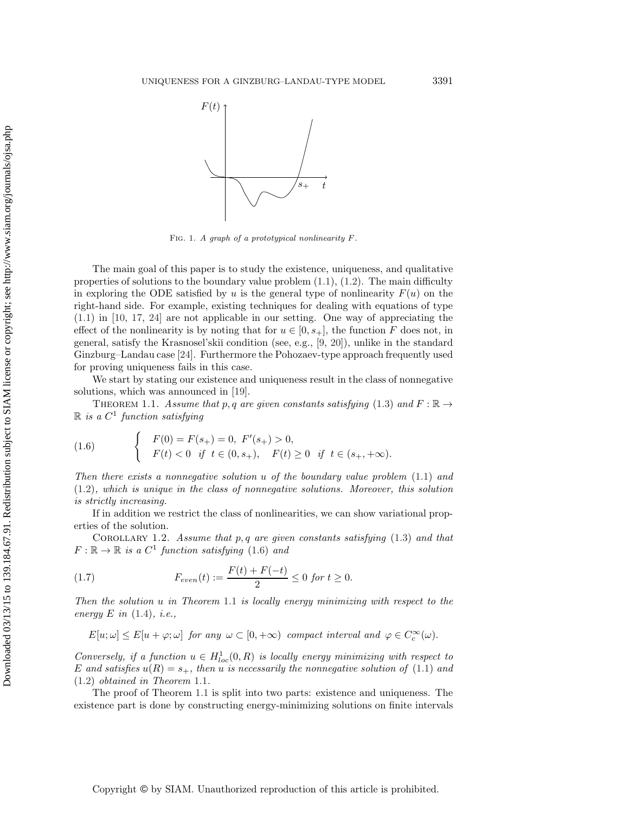

<span id="page-2-2"></span><span id="page-2-0"></span>Fig. 1. A graph of a prototypical nonlinearity *F*.

The main goal of this paper is to study the existence, uniqueness, and qualitative properties of solutions to the boundary value problem  $(1.1)$ ,  $(1.2)$ . The main difficulty in exploring the ODE satisfied by u is the general type of nonlinearity  $F(u)$  on the right-hand side. For example, existing techniques for dealing with equations of type [\(1.1\)](#page-1-1) in [\[10,](#page-36-0) [17,](#page-36-1) [24\]](#page-36-2) are not applicable in our setting. One way of appreciating the effect of the nonlinearity is by noting that for  $u \in [0, s_{+}]$ , the function F does not, in general, satisfy the Krasnosel'skiˇı condition (see, e.g., [\[9,](#page-36-3) [20\]](#page-36-4)), unlike in the standard Ginzburg–Landau case [\[24\]](#page-36-2). Furthermore the Pohozaev-type approach frequently used for proving uniqueness fails in this case.

We start by stating our existence and uniqueness result in the class of nonnegative solutions, which was announced in [\[19\]](#page-36-5).

THEOREM 1.1. *Assume that* p, q are given constants satisfying [\(1.3\)](#page-1-2) and  $F : \mathbb{R} \to$  $\mathbb{R}$  *is a*  $C^1$  *function satisfying* 

<span id="page-2-1"></span>(1.6) 
$$
\begin{cases}\nF(0) = F(s_+) = 0, & F'(s_+) > 0, \\
F(t) < 0 & \text{if } t \in (0, s_+), \\
F(t) \ge 0 & \text{if } t \in (s_+, +\infty).\n\end{cases}
$$

*Then there exists a nonnegative solution* u *of the boundary value problem* [\(1.1\)](#page-1-1) *and* [\(1.2\)](#page-1-0)*, which is unique in the class of nonnegative solutions. Moreover, this solution is strictly increasing.*

If in addition we restrict the class of nonlinearities, we can show variational properties of the solution.

<span id="page-2-3"></span>Corollary 1.2. *Assume that* p, q *are given constants satisfying* [\(1.3\)](#page-1-2) *and that*  $F: \mathbb{R} \to \mathbb{R}$  *is a*  $C^1$  *function satisfying* [\(1.6\)](#page-2-1) *and* 

<span id="page-2-4"></span>(1.7) 
$$
F_{even}(t) := \frac{F(t) + F(-t)}{2} \le 0 \text{ for } t \ge 0.
$$

*Then the solution* u *in Theorem* [1.1](#page-2-2) *is locally energy minimizing with respect to the energy* E *in* [\(1.4\)](#page-1-3)*, i.e.,*

$$
E[u; \omega] \le E[u + \varphi; \omega] \text{ for any } \omega \subset [0, +\infty) \text{ compact interval and } \varphi \in C_c^{\infty}(\omega).
$$

*Conversely, if a function*  $u \in H^1_{loc}(0, R)$  *is locally energy minimizing with respect to* E and satisfies  $u(R) = s_+$ , then u is necessarily the nonnegative solution of [\(1.1\)](#page-1-1) and [\(1.2\)](#page-1-0) *obtained in Theorem* [1.1](#page-2-2)*.*

The proof of Theorem [1.1](#page-2-2) is split into two parts: existence and uniqueness. The existence part is done by constructing energy-minimizing solutions on finite intervals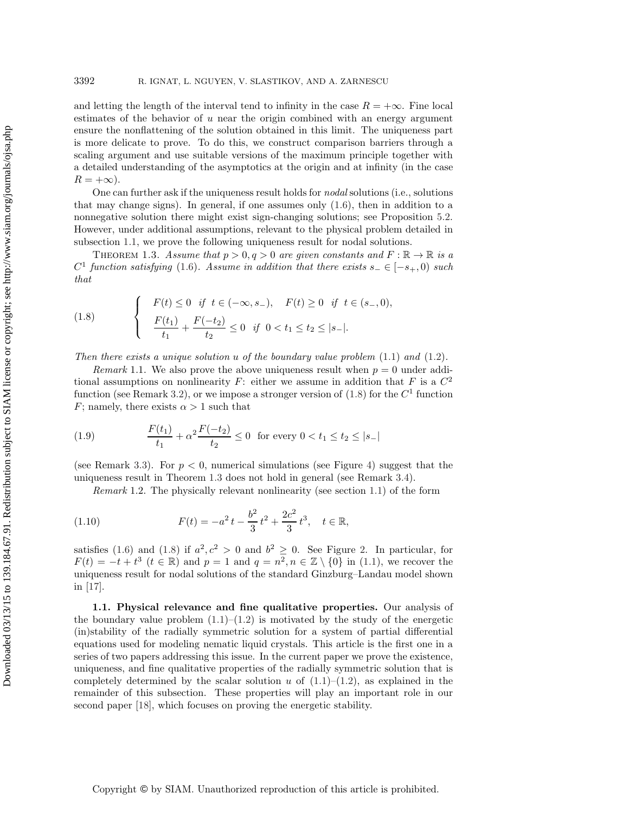and letting the length of the interval tend to infinity in the case  $R = +\infty$ . Fine local estimates of the behavior of  $u$  near the origin combined with an energy argument ensure the nonflattening of the solution obtained in this limit. The uniqueness part is more delicate to prove. To do this, we construct comparison barriers through a scaling argument and use suitable versions of the maximum principle together with a detailed understanding of the asymptotics at the origin and at infinity (in the case  $R = +\infty$ ).

One can further ask if the uniqueness result holds for *nodal* solutions (i.e., solutions that may change signs). In general, if one assumes only  $(1.6)$ , then in addition to a nonnegative solution there might exist sign-changing solutions; see Proposition [5.2.](#page-31-0) However, under additional assumptions, relevant to the physical problem detailed in subsection [1.1,](#page-3-0) we prove the following uniqueness result for nodal solutions.

<span id="page-3-2"></span>THEOREM 1.3. Assume that  $p > 0, q > 0$  are given constants and  $F : \mathbb{R} \to \mathbb{R}$  is a  $C<sup>1</sup>$  *function satisfying* [\(1.6\)](#page-2-1)*.* Assume in addition that there exists  $s_-\in[-s_+,0)$  *such that*

<span id="page-3-1"></span>(1.8) 
$$
\begin{cases}\nF(t) \le 0 & \text{if } t \in (-\infty, s_-), \quad F(t) \ge 0 & \text{if } t \in (s_-, 0), \\
\frac{F(t_1)}{t_1} + \frac{F(-t_2)}{t_2} \le 0 & \text{if } 0 < t_1 \le t_2 \le |s_-|. \n\end{cases}
$$

*Then there exists a unique solution* u *of the boundary value problem* [\(1.1\)](#page-1-1) *and* [\(1.2\)](#page-1-0)*.*

*Remark* 1.1. We also prove the above uniqueness result when  $p = 0$  under additional assumptions on nonlinearity F: either we assume in addition that F is a  $C^2$ function (see Remark [3.2\)](#page-24-0), or we impose a stronger version of  $(1.8)$  for the  $C<sup>1</sup>$  function F; namely, there exists  $\alpha > 1$  such that

<span id="page-3-4"></span>(1.9) 
$$
\frac{F(t_1)}{t_1} + \alpha^2 \frac{F(-t_2)}{t_2} \le 0 \text{ for every } 0 < t_1 \le t_2 \le |s_-|
$$

<span id="page-3-5"></span>(see Remark [3.3\)](#page-24-1). For  $p < 0$ , numerical simulations (see Figure [4\)](#page-24-2) suggest that the uniqueness result in Theorem [1.3](#page-3-2) does not hold in general (see Remark [3.4\)](#page-24-3).

<span id="page-3-3"></span>*Remark* 1.2. The physically relevant nonlinearity (see section [1.1\)](#page-3-0) of the form

(1.10) 
$$
F(t) = -a^2 t - \frac{b^2}{3} t^2 + \frac{2c^2}{3} t^3, \quad t \in \mathbb{R},
$$

satisfies [\(1.6\)](#page-2-1) and [\(1.8\)](#page-3-1) if  $a^2$ ,  $c^2 > 0$  and  $b^2 \ge 0$ . See Figure [2.](#page-4-0) In particular, for  $F(t) = -t + t^3$   $(t \in \mathbb{R})$  and  $p = 1$  and  $q = n^2, n \in \mathbb{Z} \setminus \{0\}$  in [\(1.1\)](#page-1-1), we recover the uniqueness result for nodal solutions of the standard Ginzburg–Landau model shown in [\[17\]](#page-36-1).

<span id="page-3-0"></span>**1.1. Physical relevance and fine qualitative properties.** Our analysis of the boundary value problem  $(1.1)$ – $(1.2)$  is motivated by the study of the energetic (in)stability of the radially symmetric solution for a system of partial differential equations used for modeling nematic liquid crystals. This article is the first one in a series of two papers addressing this issue. In the current paper we prove the existence, uniqueness, and fine qualitative properties of the radially symmetric solution that is completely determined by the scalar solution u of  $(1.1)$ – $(1.2)$ , as explained in the remainder of this subsection. These properties will play an important role in our second paper [\[18\]](#page-36-6), which focuses on proving the energetic stability.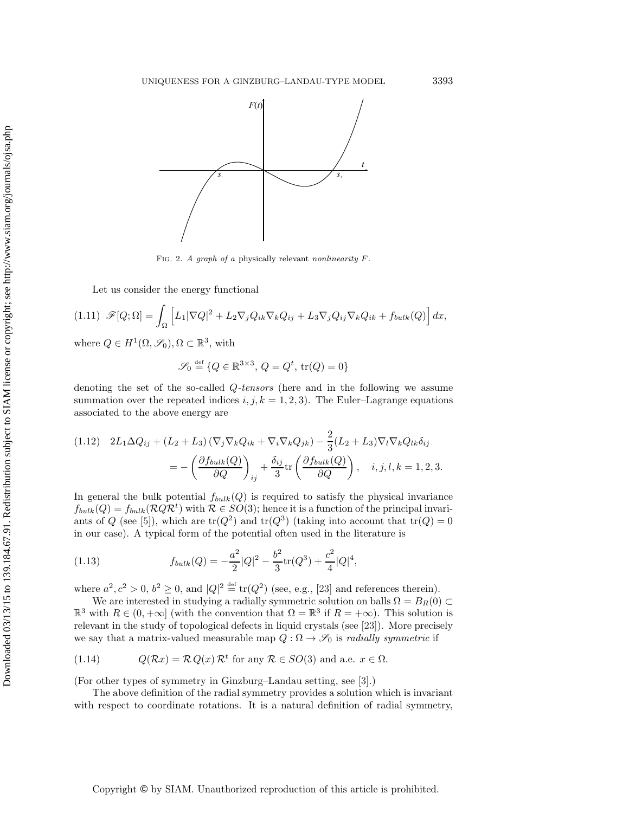

<span id="page-4-0"></span>Fig. 2. A graph of a physically relevant nonlinearity *F*.

Let us consider the energy functional

<span id="page-4-1"></span>
$$
(1.11) \mathscr{F}[Q;\Omega] = \int_{\Omega} \left[ L_1 |\nabla Q|^2 + L_2 \nabla_j Q_{ik} \nabla_k Q_{ij} + L_3 \nabla_j Q_{ij} \nabla_k Q_{ik} + f_{bulk}(Q) \right] dx,
$$

where  $Q \in H^1(\Omega, \mathscr{S}_0), \Omega \subset \mathbb{R}^3$ , with

<span id="page-4-3"></span>
$$
\mathscr{S}_0 \stackrel{\text{\tiny def}}{=} \{Q \in \mathbb{R}^{3 \times 3}, \, Q = Q^t, \, \text{tr}(Q) = 0\}
$$

denoting the set of the so-called Q*-tensors* (here and in the following we assume summation over the repeated indices  $i, j, k = 1, 2, 3$ . The Euler–Lagrange equations associated to the above energy are

<span id="page-4-2"></span>
$$
(1.12) \quad 2L_1\Delta Q_{ij} + (L_2 + L_3)(\nabla_j \nabla_k Q_{ik} + \nabla_i \nabla_k Q_{jk}) - \frac{2}{3}(L_2 + L_3)\nabla_l \nabla_k Q_{lk}\delta_{ij}
$$

$$
= -\left(\frac{\partial f_{bulk}(Q)}{\partial Q}\right)_{ij} + \frac{\delta_{ij}}{3}\text{tr}\left(\frac{\partial f_{bulk}(Q)}{\partial Q}\right), \quad i, j, l, k = 1, 2, 3.
$$

In general the bulk potential  $f_{bulk}(Q)$  is required to satisfy the physical invariance  $f_{bulk}(Q) = f_{bulk}(RQR^t)$  with  $R \in SO(3)$ ; hence it is a function of the principal invari-ants of Q (see [\[5\]](#page-36-7)), which are  $tr(Q^2)$  and  $tr(Q^3)$  (taking into account that  $tr(Q)=0$ in our case). A typical form of the potential often used in the literature is

(1.13) 
$$
f_{bulk}(Q) = -\frac{a^2}{2}|Q|^2 - \frac{b^2}{3}\text{tr}(Q^3) + \frac{c^2}{4}|Q|^4,
$$

where  $a^2$ ,  $c^2 > 0$ ,  $b^2 \ge 0$ , and  $|Q|^2 \stackrel{\text{def}}{=} \text{tr}(Q^2)$  (see, e.g., [\[23\]](#page-36-8) and references therein).

We are interested in studying a radially symmetric solution on balls  $\Omega = B_R(0) \subset$  $\mathbb{R}^3$  with  $R \in (0, +\infty]$  (with the convention that  $\Omega = \mathbb{R}^3$  if  $R = +\infty$ ). This solution is relevant in the study of topological defects in liquid crystals (see [\[23\]](#page-36-8)). More precisely we say that a matrix-valued measurable map  $Q : \Omega \to \mathscr{S}_0$  is *radially symmetric* if

<span id="page-4-4"></span>(1.14) 
$$
Q(\mathcal{R}x) = \mathcal{R} Q(x) \mathcal{R}^t
$$
 for any  $\mathcal{R} \in SO(3)$  and a.e.  $x \in \Omega$ .

(For other types of symmetry in Ginzburg–Landau setting, see [\[3\]](#page-35-0).)

The above definition of the radial symmetry provides a solution which is invariant with respect to coordinate rotations. It is a natural definition of radial symmetry,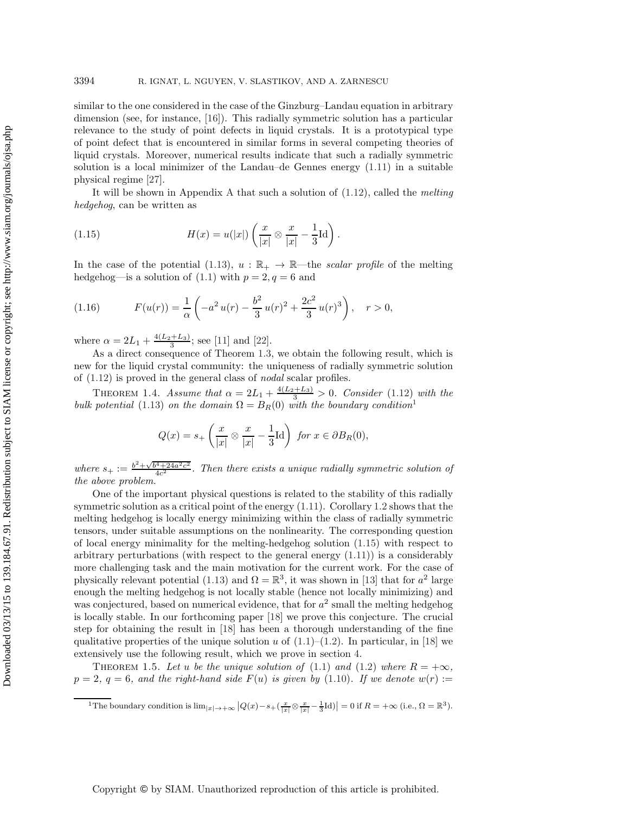similar to the one considered in the case of the Ginzburg–Landau equation in arbitrary dimension (see, for instance, [\[16\]](#page-36-9)). This radially symmetric solution has a particular relevance to the study of point defects in liquid crystals. It is a prototypical type of point defect that is encountered in similar forms in several competing theories of liquid crystals. Moreover, numerical results indicate that such a radially symmetric solution is a local minimizer of the Landau–de Gennes energy [\(1.11\)](#page-4-1) in a suitable physical regime [\[27\]](#page-36-10).

<span id="page-5-1"></span>It will be shown in Appendix [A](#page-32-0) that such a solution of [\(1.12\)](#page-4-2), called the *melting hedgehog*, can be written as

(1.15) 
$$
H(x) = u(|x|) \left(\frac{x}{|x|} \otimes \frac{x}{|x|} - \frac{1}{3} \mathrm{Id}\right).
$$

In the case of the potential [\(1.13\)](#page-4-3),  $u : \mathbb{R}_+ \to \mathbb{R}$ —the *scalar profile* of the melting hedgehog—is a solution of [\(1.1\)](#page-1-1) with  $p = 2, q = 6$  and

(1.16) 
$$
F(u(r)) = \frac{1}{\alpha} \left( -a^2 u(r) - \frac{b^2}{3} u(r)^2 + \frac{2c^2}{3} u(r)^3 \right), \quad r > 0,
$$

where  $\alpha = 2L_1 + \frac{4(L_2 + L_3)}{3}$ ; see [\[11\]](#page-36-11) and [\[22\]](#page-36-12).

As a direct consequence of Theorem [1.3,](#page-3-2) we obtain the following result, which is new for the liquid crystal community: the uniqueness of radially symmetric solution of [\(1.12\)](#page-4-2) is proved in the general class of *nodal* scalar profiles.

THEOREM 1.4. *Assume that*  $\alpha = 2L_1 + \frac{4(L_2 + L_3)}{3} > 0$ . *Consider* [\(1.12\)](#page-4-2) *with the bulk potential* [\(1.13\)](#page-4-3) *on the domain*  $\Omega = B_R(0)$  *with the boundary condition*<sup>[1](#page-5-0)</sup>

$$
Q(x) = s_+ \left(\frac{x}{|x|} \otimes \frac{x}{|x|} - \frac{1}{3} \mathrm{Id}\right) \text{ for } x \in \partial B_R(0),
$$

where  $s_+ := \frac{b^2 + \sqrt{b^4 + 24a^2c^2}}{4c^2}$ . Then there exists a unique radially symmetric solution of *the above problem.*

One of the important physical questions is related to the stability of this radially symmetric solution as a critical point of the energy [\(1.11\)](#page-4-1). Corollary [1.2](#page-2-3) shows that the melting hedgehog is locally energy minimizing within the class of radially symmetric tensors, under suitable assumptions on the nonlinearity. The corresponding question of local energy minimality for the melting-hedgehog solution [\(1.15\)](#page-5-1) with respect to arbitrary perturbations (with respect to the general energy  $(1.11)$ ) is a considerably more challenging task and the main motivation for the current work. For the case of physically relevant potential [\(1.13\)](#page-4-3) and  $\Omega = \mathbb{R}^3$ , it was shown in [\[13\]](#page-36-13) that for  $a^2$  large enough the melting hedgehog is not locally stable (hence not locally minimizing) and was conjectured, based on numerical evidence, that for  $a<sup>2</sup>$  small the melting hedgehog is locally stable. In our forthcoming paper [\[18\]](#page-36-6) we prove this conjecture. The crucial step for obtaining the result in [\[18\]](#page-36-6) has been a thorough understanding of the fine qualitative properties of the unique solution u of  $(1.1)$ – $(1.2)$ . In particular, in [\[18\]](#page-36-6) we extensively use the following result, which we prove in section [4.](#page-25-0)

<span id="page-5-2"></span>THEOREM 1.5. Let u be the unique solution of  $(1.1)$  and  $(1.2)$  where  $R = +\infty$ ,  $p = 2, q = 6, and the right-hand side F(u) is given by (1.10). If we denote  $w(r) :=$$  $p = 2, q = 6, and the right-hand side F(u) is given by (1.10). If we denote  $w(r) :=$$  $p = 2, q = 6, and the right-hand side F(u) is given by (1.10). If we denote  $w(r) :=$$ 

<span id="page-5-0"></span><sup>&</sup>lt;sup>1</sup>The boundary condition is  $\lim_{|x| \to +\infty} |Q(x)-s_+(\frac{x}{|x|} \otimes \frac{x}{|x|} - \frac{1}{3}Id)| = 0$  if  $R = +\infty$  (i.e.,  $\Omega = \mathbb{R}^3$ ).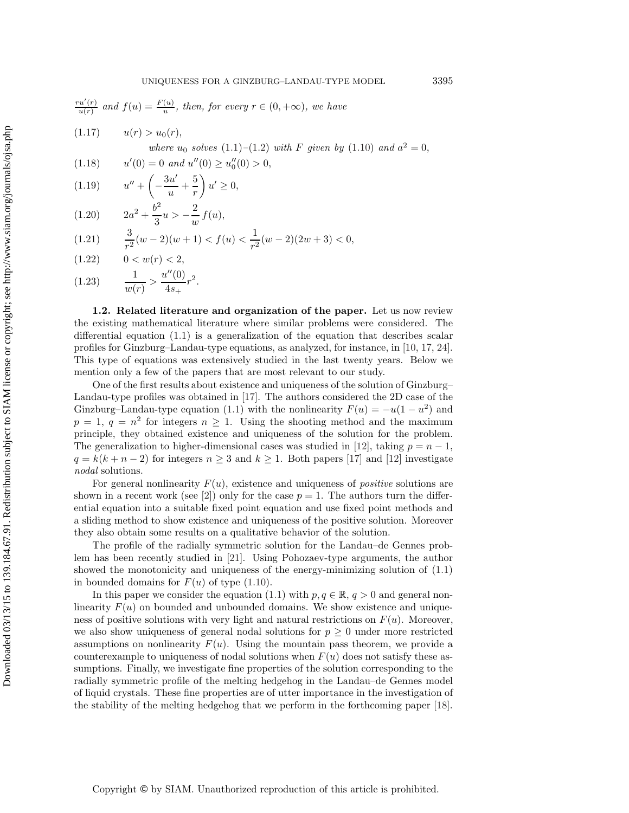<span id="page-6-1"></span><span id="page-6-0"></span>(1.18)  $u'(0) = 0$  and  $u''(0) \ge u''_0(0) > 0$ ,

<span id="page-6-5"></span>
$$
(1.19) \t u'' + \left(-\frac{3u'}{u} + \frac{5}{r}\right)u' \ge 0,
$$

<span id="page-6-3"></span>(1.20) 
$$
2a^2 + \frac{b^2}{3}u > -\frac{2}{w}f(u),
$$

<span id="page-6-4"></span>
$$
(1.21) \qquad \frac{3}{r^2}(w-2)(w+1) < f(u) < \frac{1}{r^2}(w-2)(2w+3) < 0,
$$

$$
(1.22)\qquad \ \ 0
$$

<span id="page-6-2"></span>
$$
(1.23) \qquad \frac{1}{w(r)} > \frac{u''(0)}{4s_+}r^2.
$$

**1.2. Related literature and organization of the paper.** Let us now review the existing mathematical literature where similar problems were considered. The differential equation [\(1.1\)](#page-1-1) is a generalization of the equation that describes scalar profiles for Ginzburg–Landau-type equations, as analyzed, for instance, in [\[10,](#page-36-0) [17,](#page-36-1) [24\]](#page-36-2). This type of equations was extensively studied in the last twenty years. Below we mention only a few of the papers that are most relevant to our study.

One of the first results about existence and uniqueness of the solution of Ginzburg– Landau-type profiles was obtained in [\[17\]](#page-36-1). The authors considered the 2D case of the Ginzburg–Landau-type equation [\(1.1\)](#page-1-1) with the nonlinearity  $F(u) = -u(1 - u^2)$  and  $p = 1, q = n^2$  for integers  $n \geq 1$ . Using the shooting method and the maximum principle, they obtained existence and uniqueness of the solution for the problem. The generalization to higher-dimensional cases was studied in [\[12\]](#page-36-14), taking  $p = n - 1$ ,  $q = k(k + n - 2)$  for integers  $n \geq 3$  and  $k \geq 1$ . Both papers [\[17\]](#page-36-1) and [\[12\]](#page-36-14) investigate *nodal* solutions.

For general nonlinearity  $F(u)$ , existence and uniqueness of *positive* solutions are shown in a recent work (see [\[2\]](#page-35-1)) only for the case  $p = 1$ . The authors turn the differential equation into a suitable fixed point equation and use fixed point methods and a sliding method to show existence and uniqueness of the positive solution. Moreover they also obtain some results on a qualitative behavior of the solution.

The profile of the radially symmetric solution for the Landau–de Gennes problem has been recently studied in [\[21\]](#page-36-15). Using Pohozaev-type arguments, the author showed the monotonicity and uniqueness of the energy-minimizing solution of [\(1.1\)](#page-1-1) in bounded domains for  $F(u)$  of type [\(1.10\)](#page-3-3).

In this paper we consider the equation [\(1.1\)](#page-1-1) with  $p, q \in \mathbb{R}$ ,  $q > 0$  and general nonlinearity  $F(u)$  on bounded and unbounded domains. We show existence and uniqueness of positive solutions with very light and natural restrictions on  $F(u)$ . Moreover, we also show uniqueness of general nodal solutions for  $p \geq 0$  under more restricted assumptions on nonlinearity  $F(u)$ . Using the mountain pass theorem, we provide a counterexample to uniqueness of nodal solutions when  $F(u)$  does not satisfy these assumptions. Finally, we investigate fine properties of the solution corresponding to the radially symmetric profile of the melting hedgehog in the Landau–de Gennes model of liquid crystals. These fine properties are of utter importance in the investigation of the stability of the melting hedgehog that we perform in the forthcoming paper [\[18\]](#page-36-6).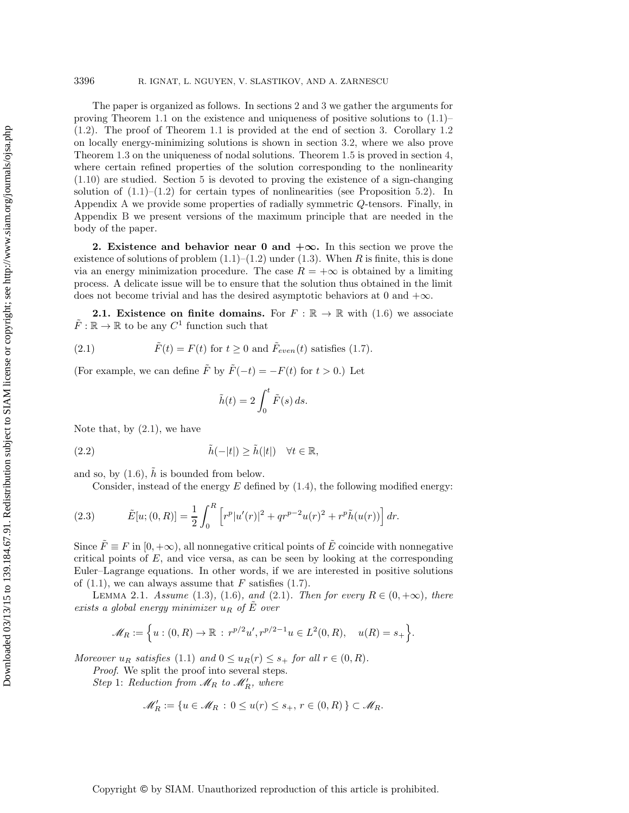The paper is organized as follows. In sections [2](#page-7-0) and [3](#page-15-0) we gather the arguments for proving Theorem [1.1](#page-2-2) on the existence and uniqueness of positive solutions to  $(1.1)$ – [\(1.2\)](#page-1-0). The proof of Theorem [1.1](#page-2-2) is provided at the end of section [3.](#page-15-0) Corollary [1.2](#page-2-3) on locally energy-minimizing solutions is shown in section [3.2,](#page-22-0) where we also prove Theorem [1.3](#page-3-2) on the uniqueness of nodal solutions. Theorem [1.5](#page-5-2) is proved in section [4,](#page-25-0) where certain refined properties of the solution corresponding to the nonlinearity [\(1.10\)](#page-3-3) are studied. Section [5](#page-29-0) is devoted to proving the existence of a sign-changing solution of  $(1.1)$ – $(1.2)$  for certain types of nonlinearities (see Proposition [5.2\)](#page-31-0). In Appendix [A](#page-32-0) we provide some properties of radially symmetric Q-tensors. Finally, in Appendix [B](#page-34-0) we present versions of the maximum principle that are needed in the body of the paper.

<span id="page-7-0"></span>**2. Existence and behavior near 0 and +***∞***.** In this section we prove the existence of solutions of problem  $(1.1)$ – $(1.2)$  under  $(1.3)$ . When R is finite, this is done via an energy minimization procedure. The case  $R = +\infty$  is obtained by a limiting process. A delicate issue will be to ensure that the solution thus obtained in the limit does not become trivial and has the desired asymptotic behaviors at 0 and  $+\infty$ .

<span id="page-7-5"></span>**2.1. Existence on finite domains.** For  $F : \mathbb{R} \to \mathbb{R}$  with [\(1.6\)](#page-2-1) we associate  $\tilde{F} : \mathbb{R} \to \mathbb{R}$  to be any  $C^1$  function such that

(2.1) 
$$
\tilde{F}(t) = F(t) \text{ for } t \ge 0 \text{ and } \tilde{F}_{even}(t) \text{ satisfies (1.7)}.
$$

(For example, we can define  $\tilde{F}$  by  $\tilde{F}(-t) = -F(t)$  for  $t > 0$ .) Let

<span id="page-7-4"></span><span id="page-7-2"></span><span id="page-7-1"></span>
$$
\tilde{h}(t) = 2 \int_0^t \tilde{F}(s) \, ds.
$$

Note that, by  $(2.1)$ , we have

(2.2) 
$$
\tilde{h}(-|t|) \geq \tilde{h}(|t|) \quad \forall t \in \mathbb{R},
$$

and so, by  $(1.6)$ ,  $\tilde{h}$  is bounded from below.

Consider, instead of the energy  $E$  defined by  $(1.4)$ , the following modified energy:

(2.3) 
$$
\tilde{E}[u;(0,R)] = \frac{1}{2} \int_0^R \left[ r^p |u'(r)|^2 + q r^{p-2} u(r)^2 + r^p \tilde{h}(u(r)) \right] dr.
$$

Since  $\tilde{F} \equiv F$  in  $[0, +\infty)$ , all nonnegative critical points of  $\tilde{E}$  coincide with nonnegative critical points of  $E$ , and vice versa, as can be seen by looking at the corresponding Euler–Lagrange equations. In other words, if we are interested in positive solutions of  $(1.1)$ , we can always assume that F satisfies  $(1.7)$ .

<span id="page-7-3"></span>LEMMA 2.1. *Assume* [\(1.3\)](#page-1-2)*,* (1.6*), and* (2.1*). Then for every*  $R ∈ (0, +∞)$ *, there exists a global energy minimizer*  $u_R$  *of*  $E$  *over* 

$$
\mathscr{M}_R := \left\{ u : (0, R) \to \mathbb{R} : r^{p/2} u', r^{p/2 - 1} u \in L^2(0, R), \quad u(R) = s_+ \right\}.
$$

*Moreover*  $u_R$  *satisfies* [\(1.1\)](#page-1-1) *and*  $0 \le u_R(r) \le s_+$  *for all*  $r \in (0, R)$ *.* 

*Proof*. We split the proof into several steps.

*Step* 1: *Reduction from*  $M_R$  *to*  $M'_R$ *, where* 

$$
\mathscr{M}'_R := \{ u \in \mathscr{M}_R : 0 \le u(r) \le s_+, r \in (0, R) \} \subset \mathscr{M}_R.
$$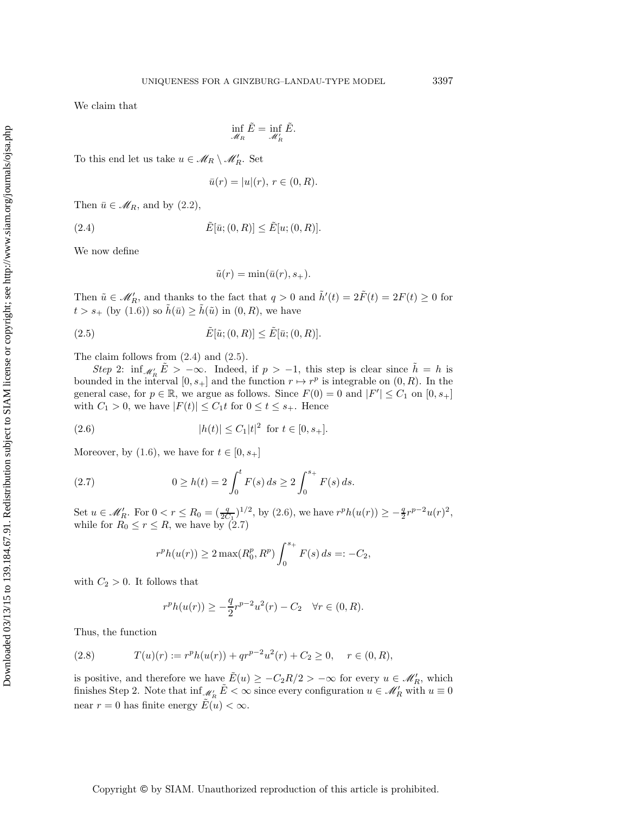We claim that

$$
\inf_{\mathscr{M}_R} \tilde{E} = \inf_{\mathscr{M}'_R} \tilde{E}.
$$

To this end let us take  $u \in \mathcal{M}_R \setminus \mathcal{M}'_R$ . Set

<span id="page-8-0"></span>
$$
\bar{u}(r) = |u|(r), r \in (0, R).
$$

Then  $\bar{u} \in \mathscr{M}_R$ , and by  $(2.2)$ ,

(2.4) 
$$
\tilde{E}[\bar{u};(0,R)] \leq \tilde{E}[u;(0,R)].
$$

We now define

<span id="page-8-2"></span><span id="page-8-1"></span>
$$
\tilde{u}(r) = \min(\bar{u}(r), s_+).
$$

Then  $\tilde{u} \in \mathscr{M}'_R$ , and thanks to the fact that  $q > 0$  and  $\tilde{h}'(t) = 2\tilde{F}(t) = 2F(t) \ge 0$  for  $t>s_+$  (by [\(1.6\)](#page-2-1)) so  $\tilde{h}(\bar{u}) \geq \tilde{h}(\tilde{u})$  in  $(0, R)$ , we have

(2.5) 
$$
\tilde{E}[\tilde{u};(0,R)] \leq \tilde{E}[\bar{u};(0,R)].
$$

The claim follows from [\(2.4\)](#page-8-0) and [\(2.5\)](#page-8-1).

*Step* 2:  $\inf_{\mathscr{M}_R} \tilde{E} > -\infty$ . Indeed, if  $p > -1$ , this step is clear since  $\tilde{h} = h$  is bounded in the interval  $[0, s<sub>+</sub>]$  and the function  $r \mapsto r<sup>p</sup>$  is integrable on  $(0, R)$ . In the general case, for  $p \in \mathbb{R}$ , we argue as follows. Since  $F(0) = 0$  and  $|F'| \leq C_1$  on  $[0, s_+]$ with  $C_1 > 0$ , we have  $|F(t)| \leq C_1 t$  for  $0 \leq t \leq s_+$ . Hence

(2.6) 
$$
|h(t)| \le C_1 |t|^2 \text{ for } t \in [0, s_+].
$$

Moreover, by [\(1.6\)](#page-2-1), we have for  $t \in [0, s<sub>+</sub>]$ 

(2.7) 
$$
0 \ge h(t) = 2 \int_0^t F(s) ds \ge 2 \int_0^{s_+} F(s) ds.
$$

Set  $u \in \mathscr{M}'_R$ . For  $0 < r \leq R_0 = \left(\frac{q}{2C_1}\right)^{1/2}$ , by [\(2.6\)](#page-8-2), we have  $r^p h(u(r)) \geq -\frac{q}{2}r^{p-2}u(r)^2$ , while for  $R_0 \le r \le R$ , we have by  $(2.7)$ 

<span id="page-8-3"></span>
$$
r^p h(u(r)) \ge 2 \max(R_0^p, R^p) \int_0^{s_+} F(s) ds =: -C_2,
$$

with  $C_2 > 0$ . It follows that

<span id="page-8-4"></span>
$$
r^{p}h(u(r)) \geq -\frac{q}{2}r^{p-2}u^{2}(r) - C_{2} \quad \forall r \in (0, R).
$$

Thus, the function

(2.8) 
$$
T(u)(r) := r^p h(u(r)) + qr^{p-2} u^2(r) + C_2 \ge 0, \quad r \in (0, R),
$$

is positive, and therefore we have  $\tilde{E}(u) \geq -C_2R/2 > -\infty$  for every  $u \in \mathcal{M}'_R$ , which finishes Step 2. Note that  $\inf_{\mathcal{M}'_R} E < \infty$  since every configuration  $u \in \mathcal{M}'_R$  with  $u \equiv 0$ near  $r = 0$  has finite energy  $E(u) < \infty$ .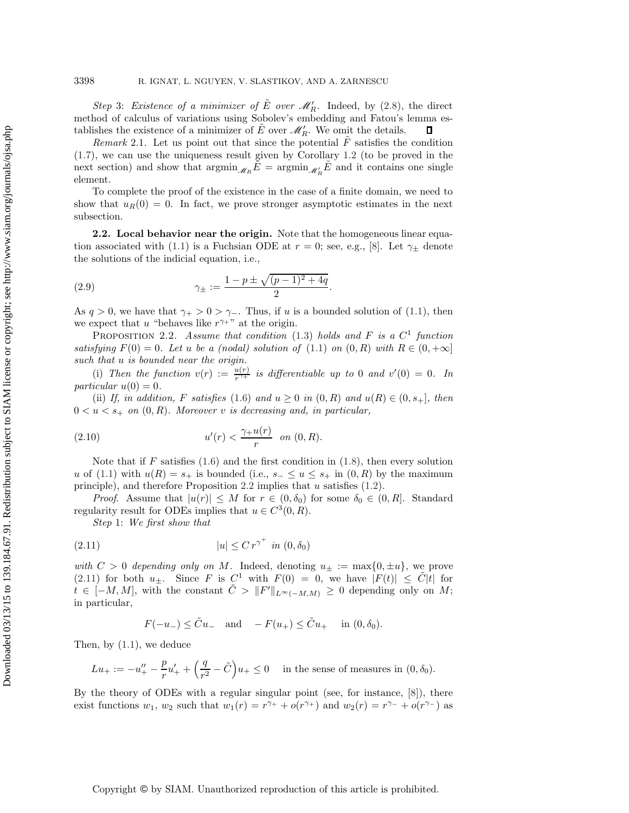*Step* 3: *Existence of a minimizer of*  $\tilde{E}$  *over*  $\mathcal{M}'_R$ . Indeed, by [\(2.8\)](#page-8-4), the direct method of calculus of variations using Sobolev's embedding and Fatou's lemma establishes the existence of a minimizer of  $\tilde{E}$  over  $\mathcal{M}'_R$ . We omit the details.  $\Box$ 

*Remark* 2.1. Let us point out that since the potential  $F$  satisfies the condition [\(1.7\)](#page-2-4), we can use the uniqueness result given by Corollary [1.2](#page-2-3) (to be proved in the next section) and show that  $\operatorname{argmin}_{M_R} \tilde{E} = \operatorname{argmin}_{M'_R} \tilde{E}$  and it contains one single element.

To complete the proof of the existence in the case of a finite domain, we need to show that  $u_R(0) = 0$ . In fact, we prove stronger asymptotic estimates in the next subsection.

**2.2. Local behavior near the origin.** Note that the homogeneous linear equa-tion associated with [\(1.1\)](#page-1-1) is a Fuchsian ODE at  $r = 0$ ; see, e.g., [\[8\]](#page-36-16). Let  $\gamma_{\pm}$  denote the solutions of the indicial equation, i.e.,

<span id="page-9-3"></span>(2.9) 
$$
\gamma_{\pm} := \frac{1 - p \pm \sqrt{(p-1)^2 + 4q}}{2}.
$$

As  $q > 0$ , we have that  $\gamma_+ > 0 > \gamma_-$ . Thus, if u is a bounded solution of [\(1.1\)](#page-1-1), then we expect that u "behaves like  $r^{\gamma +}$ " at the origin.

<span id="page-9-0"></span>Proposition 2.2. *Assume that condition* [\(1.3\)](#page-1-2) *holds and* F *is a* C<sup>1</sup> *function satisfying*  $F(0) = 0$ *. Let u be a (nodal) solution of* [\(1.1\)](#page-1-1) *on*  $(0, R)$  *with*  $R \in (0, +\infty]$ *such that* u *is bounded near the origin.*

(i) Then the function  $v(r) := \frac{u(r)}{r^{\gamma+}}$  is differentiable up to 0 and  $v'(0) = 0$ . In  $particular u(0) = 0.$ 

(ii) If, in addition, F satisfies [\(1.6\)](#page-2-1) and  $u \ge 0$  in  $(0, R)$  and  $u(R) \in (0, s<sub>+</sub>]$ , then  $0 < u < s<sub>+</sub>$  on  $(0, R)$ *. Moreover v is decreasing and, in particular,* 

<span id="page-9-2"></span>(2.10) 
$$
u'(r) < \frac{\gamma_+ u(r)}{r} \quad \text{on } (0, R).
$$

Note that if F satisfies  $(1.6)$  and the first condition in  $(1.8)$ , then every solution u of [\(1.1\)](#page-1-1) with  $u(R) = s_+$  is bounded (i.e.,  $s_- \le u \le s_+$  in  $(0, R)$  by the maximum principle), and therefore Proposition [2.2](#page-9-0) implies that u satisfies [\(1.2\)](#page-1-0).

*Proof.* Assume that  $|u(r)| \leq M$  for  $r \in (0, \delta_0)$  for some  $\delta_0 \in (0, R]$ . Standard regularity result for ODEs implies that  $u \in C^3(0, R)$ .

<span id="page-9-1"></span>*Step* 1: *We first show that*

$$
(2.11) \t\t |u| \leq C r^{\gamma^+} \text{ in } (0, \delta_0)
$$

*with*  $C > 0$  *depending only on* M. Indeed, denoting  $u_{\pm} := \max\{0, \pm u\}$ , we prove [\(2.11\)](#page-9-1) for both  $u_{\pm}$ . Since F is  $C^1$  with  $F(0) = 0$ , we have  $|F(t)| \leq \tilde{C}|t|$  for  $t \in [-M, M],$  with the constant  $\tilde{C} > ||F'||_{L^{\infty}(-M, M)} \geq 0$  depending only on M; in particular,

$$
F(-u_-) \leq \tilde{C}u_- \quad \text{and} \quad -F(u_+) \leq \tilde{C}u_+ \quad \text{in } (0, \delta_0).
$$

Then, by [\(1.1\)](#page-1-1), we deduce

$$
Lu_+ := -u''_+ - \frac{p}{r}u'_+ + \left(\frac{q}{r^2} - \tilde{C}\right)u_+ \le 0 \quad \text{ in the sense of measures in } (0, \delta_0).
$$

By the theory of ODEs with a regular singular point (see, for instance, [\[8\]](#page-36-16)), there exist functions  $w_1, w_2$  such that  $w_1(r) = r^{\gamma_+} + o(r^{\gamma_+})$  and  $w_2(r) = r^{\gamma_-} + o(r^{\gamma_-})$  as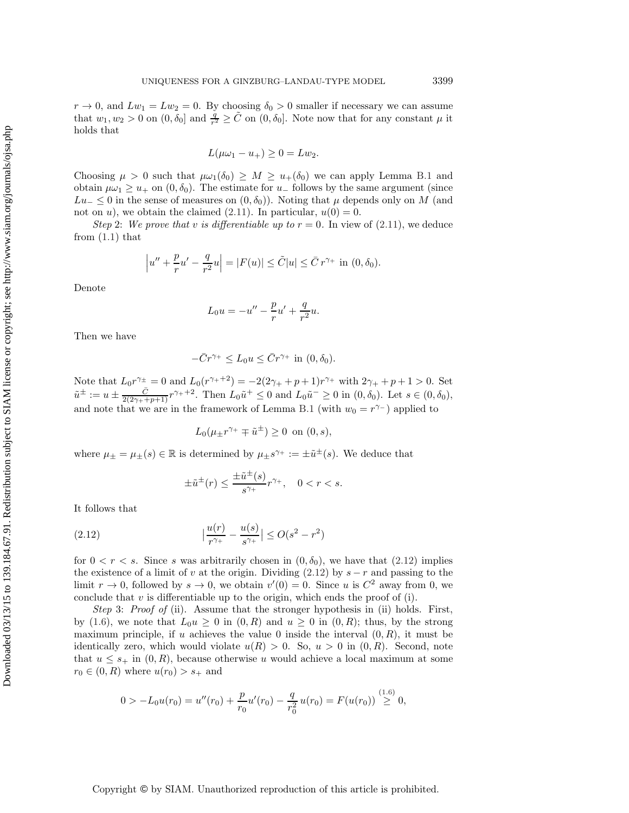$r \to 0$ , and  $Lw_1 = Lw_2 = 0$ . By choosing  $\delta_0 > 0$  smaller if necessary we can assume that  $w_1, w_2 > 0$  on  $(0, \delta_0]$  and  $\frac{q}{r^2} \geq \tilde{C}$  on  $(0, \delta_0]$ . Note now that for any constant  $\mu$  it holds that

$$
L(\mu\omega_1 - u_+) \ge 0 = Lw_2.
$$

Choosing  $\mu > 0$  such that  $\mu \omega_1(\delta_0) \geq M \geq u_+(\delta_0)$  we can apply Lemma [B.1](#page-34-1) and obtain  $\mu\omega_1 \geq u_+$  on  $(0, \delta_0)$ . The estimate for  $u_-$  follows by the same argument (since  $Lu_-\leq 0$  in the sense of measures on  $(0,\delta_0)$ ). Noting that  $\mu$  depends only on M (and not on u), we obtain the claimed [\(2.11\)](#page-9-1). In particular,  $u(0) = 0$ .

*Step* 2: We prove that v is differentiable up to  $r = 0$ . In view of [\(2.11\)](#page-9-1), we deduce from  $(1.1)$  that

$$
\left|u'' + \frac{p}{r}u' - \frac{q}{r^2}u\right| = |F(u)| \le \tilde{C}|u| \le \bar{C}r^{\gamma_+} \text{ in } (0, \delta_0).
$$

Denote

$$
L_0 u = -u'' - \frac{p}{r}u' + \frac{q}{r^2}u.
$$

Then we have

$$
-\bar{C}r^{\gamma_+} \le L_0 u \le \bar{C}r^{\gamma_+} \text{ in } (0, \delta_0).
$$

Note that  $L_0r^{\gamma_{\pm}} = 0$  and  $L_0(r^{\gamma_{+}+2}) = -2(2\gamma_{+}+p+1)r^{\gamma_{+}}$  with  $2\gamma_{+}+p+1 > 0$ . Set  $\tilde{u}^{\pm} := u \pm \frac{\bar{C}}{2(2\gamma + \bar{P} + 1)} r^{\gamma + \bar{P} + 2}$ . Then  $L_0 \tilde{u}^{\pm} \leq 0$  and  $L_0 \tilde{u}^- \geq 0$  in  $(0, \delta_0)$ . Let  $s \in (0, \delta_0)$ , and note that we are in the framework of Lemma [B.1](#page-34-1) (with  $w_0 = r^{\gamma-}$ ) applied to

$$
L_0(\mu_{\pm}r^{\gamma_+}\mp \tilde{u}^{\pm}) \ge 0
$$
 on  $(0, s)$ ,

where  $\mu_{\pm} = \mu_{\pm}(s) \in \mathbb{R}$  is determined by  $\mu_{\pm} s^{\gamma_+} := \pm \tilde{u}^{\pm}(s)$ . We deduce that

<span id="page-10-0"></span>
$$
\pm \tilde u^\pm(r)\leq \frac{\pm \tilde u^\pm(s)}{s^{\gamma_+}}r^{\gamma_+},\quad 0
$$

It follows that

(2.12) 
$$
\left|\frac{u(r)}{r^{\gamma_+}} - \frac{u(s)}{s^{\gamma_+}}\right| \le O(s^2 - r^2)
$$

for  $0 < r < s$ . Since s was arbitrarily chosen in  $(0, \delta_0)$ , we have that  $(2.12)$  implies the existence of a limit of v at the origin. Dividing  $(2.12)$  by  $s - r$  and passing to the limit  $r \to 0$ , followed by  $s \to 0$ , we obtain  $v'(0) = 0$ . Since u is  $C^2$  away from 0, we conclude that  $v$  is differentiable up to the origin, which ends the proof of (i).

*Step* 3: *Proof of* (ii). Assume that the stronger hypothesis in (ii) holds. First, by [\(1.6\)](#page-2-1), we note that  $L_0u \geq 0$  in  $(0, R)$  and  $u \geq 0$  in  $(0, R)$ ; thus, by the strong maximum principle, if u achieves the value 0 inside the interval  $(0, R)$ , it must be identically zero, which would violate  $u(R) > 0$ . So,  $u > 0$  in  $(0, R)$ . Second, note that  $u \leq s_+$  in  $(0, R)$ , because otherwise u would achieve a local maximum at some  $r_0 \in (0, R)$  where  $u(r_0) > s_+$  and

$$
0 > -L_0u(r_0) = u''(r_0) + \frac{p}{r_0}u'(r_0) - \frac{q}{r_0^2}u(r_0) = F(u(r_0)) \stackrel{(1.6)}{\geq} 0,
$$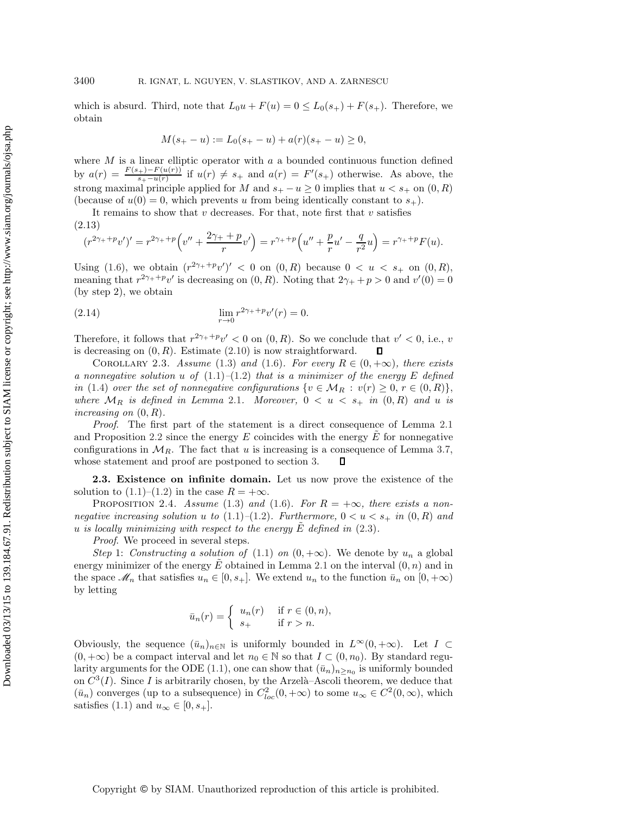which is absurd. Third, note that  $L_0u + F(u) = 0 \le L_0(s_+) + F(s_+)$ . Therefore, we obtain

$$
M(s_{+}-u) := L_{0}(s_{+}-u) + a(r)(s_{+}-u) \geq 0,
$$

where  $M$  is a linear elliptic operator with  $a$  a bounded continuous function defined by  $a(r) = \frac{F(s_{+})-F(u(r))}{s_{+}-u(r)}$  if  $u(r) \neq s_{+}$  and  $a(r) = F'(s_{+})$  otherwise. As above, the strong maximal principle applied for M and  $s_{+} - u \geq 0$  implies that  $u < s_{+}$  on  $(0, R)$ (because of  $u(0) = 0$ , which prevents u from being identically constant to  $s_{+}$ ).

It remains to show that  $v$  decreases. For that, note first that  $v$  satisfies

$$
(2.13)
$$

$$
(r^{2\gamma_+ + p}v')' = r^{2\gamma_+ + p} \left( v'' + \frac{2\gamma_+ + p}{r}v' \right) = r^{\gamma_+ + p} \left( u'' + \frac{p}{r}u' - \frac{q}{r^2}u \right) = r^{\gamma_+ + p}F(u).
$$

Using [\(1.6\)](#page-2-1), we obtain  $(r^{2\gamma_+}+p v')' < 0$  on  $(0, R)$  because  $0 < u < s_+$  on  $(0, R)$ , meaning that  $r^{2\gamma_+ + p}v'$  is decreasing on  $(0, R)$ . Noting that  $2\gamma_+ + p > 0$  and  $v'(0) = 0$ (by step 2), we obtain

(2.14) 
$$
\lim_{r \to 0} r^{2\gamma_+ + p} v'(r) = 0.
$$

Therefore, it follows that  $r^{2\gamma_+}+p_0' < 0$  on  $(0, R)$ . So we conclude that  $v' < 0$ , i.e., v is decreasing on  $(0, R)$ . Estimate  $(2.10)$  is now straightforward.  $\Box$ 

<span id="page-11-0"></span>COROLLARY 2.3. *Assume* [\(1.3\)](#page-1-2) and [\(1.6\)](#page-2-1). For every  $R \in (0, +\infty)$ *, there exists a nonnegative solution* u *of* [\(1.1\)](#page-1-1)*–*[\(1.2\)](#page-1-0) *that is a minimizer of the energy* E *defined in* [\(1.4\)](#page-1-3) *over the set of nonnegative configurations*  $\{v \in M_R : v(r) \geq 0, r \in (0, R)\},\$ where  $\mathcal{M}_R$  *is defined in Lemma [2.1](#page-7-3). Moreover,*  $0 < u < s_+$  *in*  $(0, R)$  *and u is increasing on*  $(0, R)$ *.* 

*Proof*. The first part of the statement is a direct consequence of Lemma [2.1](#page-7-3) and Proposition [2.2](#page-9-0) since the energy  $E$  coincides with the energy  $E$  for nonnegative configurations in  $\mathcal{M}_R$ . The fact that u is increasing is a consequence of Lemma [3.7,](#page-21-0) whose statement and proof are postponed to section [3.](#page-15-0)  $\Box$ 

**2.3. Existence on infinite domain.** Let us now prove the existence of the solution to  $(1.1)–(1.2)$  $(1.1)–(1.2)$  $(1.1)–(1.2)$  in the case  $R = +\infty$ .

<span id="page-11-1"></span>PROPOSITION 2.4. *Assume* [\(1.3\)](#page-1-2) and [\(1.6\)](#page-2-1). For  $R = +\infty$ , there exists a non*negative increasing solution*  $u$  *to* [\(1.1\)](#page-1-1)–[\(1.2\)](#page-1-0)*. Furthermore,*  $0 < u < s_+$  *in* (0, R) *and* u *is locally minimizing with respect to the energy* E˜ *defined in* [\(2.3\)](#page-7-4)*.*

*Proof*. We proceed in several steps.

*Step* 1: *Constructing a solution of* [\(1.1\)](#page-1-1) *on*  $(0, +\infty)$ *.* We denote by  $u_n$  a global energy minimizer of the energy  $E$  obtained in Lemma [2.1](#page-7-3) on the interval  $(0, n)$  and in the space  $\mathscr{M}_n$  that satisfies  $u_n \in [0, s_+]$ . We extend  $u_n$  to the function  $\bar{u}_n$  on  $[0, +\infty)$ by letting

$$
\bar{u}_n(r) = \begin{cases} u_n(r) & \text{if } r \in (0, n), \\ s_+ & \text{if } r > n. \end{cases}
$$

Obviously, the sequence  $(\bar{u}_n)_{n\in\mathbb{N}}$  is uniformly bounded in  $L^{\infty}(0, +\infty)$ . Let  $I \subset$  $(0, +\infty)$  be a compact interval and let  $n_0 \in \mathbb{N}$  so that  $I \subset (0, n_0)$ . By standard regu-larity arguments for the ODE [\(1.1\)](#page-1-1), one can show that  $(\bar{u}_n)_{n\geq n_0}$  is uniformly bounded on  $C^3(I)$ . Since I is arbitrarily chosen, by the Arzelà–Ascoli theorem, we deduce that  $(\bar{u}_n)$  converges (up to a subsequence) in  $C_{loc}^2(0, +\infty)$  to some  $u_\infty \in C^2(0, \infty)$ , which satisfies [\(1.1\)](#page-1-1) and  $u_{\infty} \in [0, s_{+}].$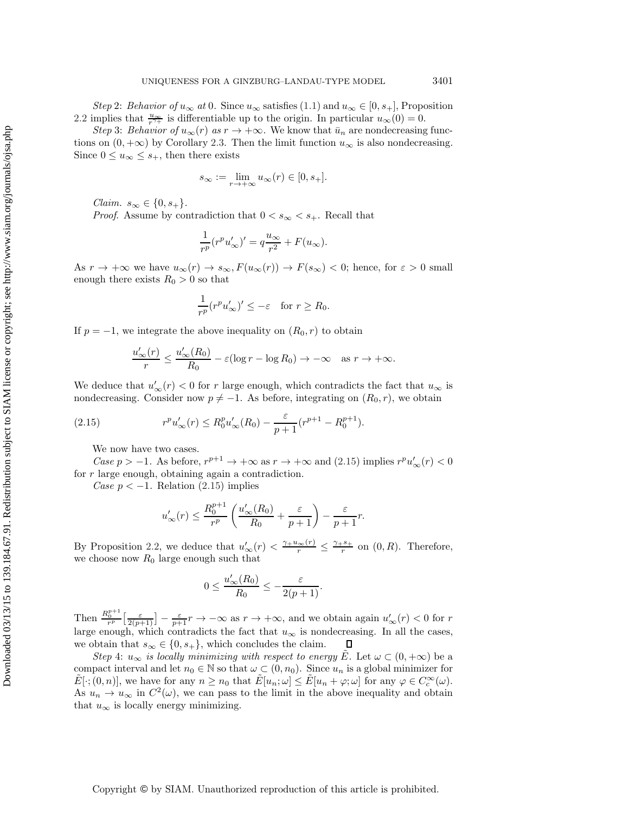*Step* 2: *Behavior of*  $u_{\infty}$  *at* 0*.* Since  $u_{\infty}$  satisfies [\(1.1\)](#page-1-1) and  $u_{\infty} \in [0, s_{+}]$ , Proposition [2.2](#page-9-0) implies that  $\frac{u_{\infty}}{r^{\gamma+}}$  is differentiable up to the origin. In particular  $u_{\infty}(0) = 0$ .

*Step* 3: *Behavior of*  $u_{\infty}(r)$  *as*  $r \to +\infty$ . We know that  $\bar{u}_n$  are nondecreasing functions on  $(0, +\infty)$  by Corollary [2.3.](#page-11-0) Then the limit function  $u_{\infty}$  is also nondecreasing. Since  $0 \leq u_{\infty} \leq s_{+}$ , then there exists

$$
s_{\infty} := \lim_{r \to +\infty} u_{\infty}(r) \in [0, s_+].
$$

*Claim.*  $s_{\infty} \in \{0, s_{+}\}.$ 

*Proof.* Assume by contradiction that  $0 < s_{\infty} < s_{+}$ . Recall that

$$
\frac{1}{r^p} (r^p u'_\infty)' = q \frac{u_\infty}{r^2} + F(u_\infty).
$$

As  $r \to +\infty$  we have  $u_{\infty}(r) \to s_{\infty}$ ,  $F(u_{\infty}(r)) \to F(s_{\infty}) < 0$ ; hence, for  $\varepsilon > 0$  small enough there exists  $R_0 > 0$  so that

<span id="page-12-0"></span>
$$
\frac{1}{r^p} (r^p u'_\infty)' \le -\varepsilon \quad \text{for } r \ge R_0.
$$

If  $p = -1$ , we integrate the above inequality on  $(R_0, r)$  to obtain

$$
\frac{u'_{\infty}(r)}{r} \le \frac{u'_{\infty}(R_0)}{R_0} - \varepsilon (\log r - \log R_0) \to -\infty \quad \text{as } r \to +\infty.
$$

We deduce that  $u'_{\infty}(r) < 0$  for r large enough, which contradicts the fact that  $u_{\infty}$  is nondecreasing. Consider now  $p \neq -1$ . As before, integrating on  $(R_0, r)$ , we obtain

(2.15) 
$$
r^{p}u'_{\infty}(r) \leq R_{0}^{p}u'_{\infty}(R_{0}) - \frac{\varepsilon}{p+1}(r^{p+1} - R_{0}^{p+1}).
$$

We now have two cases.

*Case*  $p > -1$ . As before,  $r^{p+1} \to +\infty$  as  $r \to +\infty$  and [\(2.15\)](#page-12-0) implies  $r^p u'_\infty(r) < 0$ for r large enough, obtaining again a contradiction.

*Case*  $p < -1$ *.* Relation [\(2.15\)](#page-12-0) implies

$$
u'_{\infty}(r) \le \frac{R_0^{p+1}}{r^p} \left( \frac{u'_{\infty}(R_0)}{R_0} + \frac{\varepsilon}{p+1} \right) - \frac{\varepsilon}{p+1}r.
$$

By Proposition [2.2,](#page-9-0) we deduce that  $u'_{\infty}(r) < \frac{\gamma + u_{\infty}(r)}{r} \leq \frac{\gamma + s_{+}}{r}$  on  $(0, R)$ . Therefore, we choose now  $R_0$  large enough such that

$$
0 \le \frac{u'_{\infty}(R_0)}{R_0} \le -\frac{\varepsilon}{2(p+1)}.
$$

Then  $\frac{R_0^{p+1}}{r^p} \left[ \frac{\varepsilon}{2(p+1)} \right] - \frac{\varepsilon}{p+1} r \to -\infty$  as  $r \to +\infty$ , and we obtain again  $u'_\infty(r) < 0$  for  $r$ large enough, which contradicts the fact that  $u_{\infty}$  is nondecreasing. In all the cases, we obtain that  $s_{\infty} \in \{0, s_{+}\},$  which concludes the claim.  $\Box$ 

*Step* 4:  $u_{\infty}$  *is locally minimizing with respect to energy* E. Let  $\omega \subset (0, +\infty)$  be a compact interval and let  $n_0 \in \mathbb{N}$  so that  $\omega \subset (0, n_0)$ . Since  $u_n$  is a global minimizer for  $\tilde{E}[\cdot;(0,n)]$ , we have for any  $n \geq n_0$  that  $\tilde{E}[u_n; \omega] \leq \tilde{E}[u_n + \varphi; \omega]$  for any  $\varphi \in C_c^{\infty}(\omega)$ . As  $u_n \to u_\infty$  in  $C^2(\omega)$ , we can pass to the limit in the above inequality and obtain that  $u_{\infty}$  is locally energy minimizing.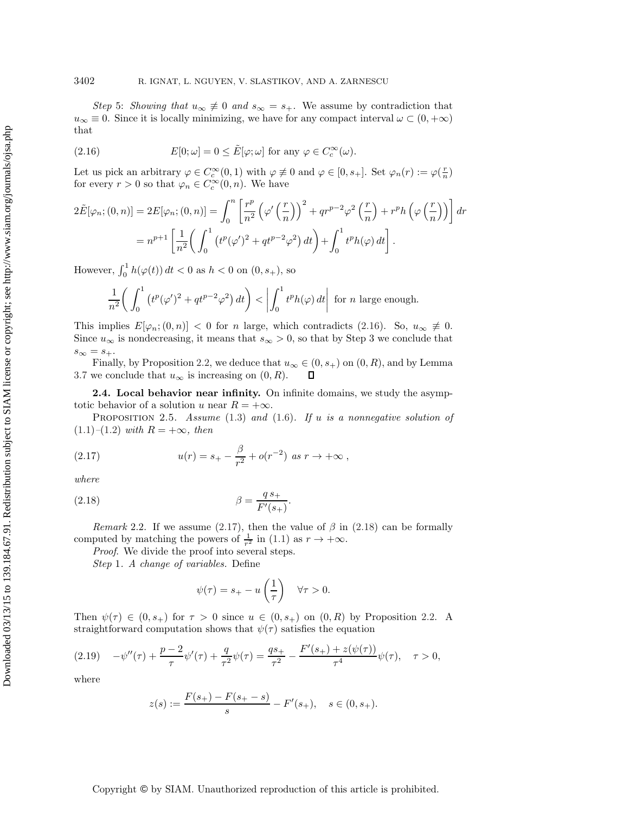*Step* 5: *Showing that*  $u_{\infty} \neq 0$  *and*  $s_{\infty} = s_{+}$ . We assume by contradiction that  $u_{\infty} \equiv 0$ . Since it is locally minimizing, we have for any compact interval  $\omega \subset (0, +\infty)$ that

<span id="page-13-0"></span>(2.16) 
$$
E[0; \omega] = 0 \le \tilde{E}[\varphi; \omega] \text{ for any } \varphi \in C_c^{\infty}(\omega).
$$

Let us pick an arbitrary  $\varphi \in C_c^{\infty}(0,1)$  with  $\varphi \neq 0$  and  $\varphi \in [0, s_+]$ . Set  $\varphi_n(r) := \varphi(\frac{r}{n})$ for every  $r > 0$  so that  $\varphi_n \in C_c^{\infty}(0, n)$ . We have

$$
2\tilde{E}[\varphi_n; (0, n)] = 2E[\varphi_n; (0, n)] = \int_0^n \left[ \frac{r^p}{n^2} \left( \varphi' \left( \frac{r}{n} \right) \right)^2 + q r^{p-2} \varphi^2 \left( \frac{r}{n} \right) + r^p h \left( \varphi \left( \frac{r}{n} \right) \right) \right] dr
$$
  
=  $n^{p+1} \left[ \frac{1}{n^2} \left( \int_0^1 \left( t^p (\varphi')^2 + q t^{p-2} \varphi^2 \right) dt \right) + \int_0^1 t^p h(\varphi) dt \right].$ 

However,  $\int_0^1 h(\varphi(t)) dt < 0$  as  $h < 0$  on  $(0, s_+)$ , so

$$
\frac{1}{n^2} \bigg( \int_0^1 \left( t^p (\varphi')^2 + q t^{p-2} \varphi^2 \right) dt \bigg) < \left| \int_0^1 t^p h(\varphi) dt \right| \text{ for } n \text{ large enough.}
$$

This implies  $E[\varphi_n; (0, n)] < 0$  for n large, which contradicts [\(2.16\)](#page-13-0). So,  $u_{\infty} \neq 0$ . Since  $u_{\infty}$  is nondecreasing, it means that  $s_{\infty} > 0$ , so that by Step 3 we conclude that  $s_{\infty} = s_{+}.$ 

Finally, by Proposition [2.2,](#page-9-0) we deduce that  $u_{\infty} \in (0, s_{+})$  on  $(0, R)$ , and by Lemma [3.7](#page-21-0) we conclude that  $u_{\infty}$  is increasing on  $(0, R)$ .  $\Box$ 

**2.4. Local behavior near infinity.** On infinite domains, we study the asymptotic behavior of a solution u near  $R = +\infty$ .

<span id="page-13-4"></span>Proposition 2.5. *Assume* [\(1.3\)](#page-1-2) *and* [\(1.6\)](#page-2-1)*. If* u *is a nonnegative solution of* [\(1.1\)](#page-1-1)*–*[\(1.2\)](#page-1-0) *with* R = +∞*, then*

<span id="page-13-1"></span>(2.17) 
$$
u(r) = s_+ - \frac{\beta}{r^2} + o(r^{-2}) \text{ as } r \to +\infty ,
$$

<span id="page-13-2"></span>*where*

$$
\beta = \frac{qs_+}{F'(s_+)}.
$$

*Remark* 2.2. If we assume [\(2.17\)](#page-13-1), then the value of  $\beta$  in [\(2.18\)](#page-13-2) can be formally computed by matching the powers of  $\frac{1}{r^2}$  in [\(1.1\)](#page-1-1) as  $r \to +\infty$ .

*Proof*. We divide the proof into several steps.

*Step* 1*. A change of variables.* Define

<span id="page-13-3"></span>
$$
\psi(\tau) = s_+ - u\left(\frac{1}{\tau}\right) \quad \forall \tau > 0.
$$

Then  $\psi(\tau) \in (0, s_+)$  for  $\tau > 0$  since  $u \in (0, s_+)$  on  $(0, R)$  by Proposition [2.2.](#page-9-0) A straightforward computation shows that  $\psi(\tau)$  satisfies the equation

$$
(2.19) \quad -\psi''(\tau) + \frac{p-2}{\tau}\psi'(\tau) + \frac{q}{\tau^2}\psi(\tau) = \frac{qs_+}{\tau^2} - \frac{F'(s_+) + z(\psi(\tau))}{\tau^4}\psi(\tau), \quad \tau > 0,
$$

where

$$
z(s) := \frac{F(s_+) - F(s_+ - s)}{s} - F'(s_+), \quad s \in (0, s_+).
$$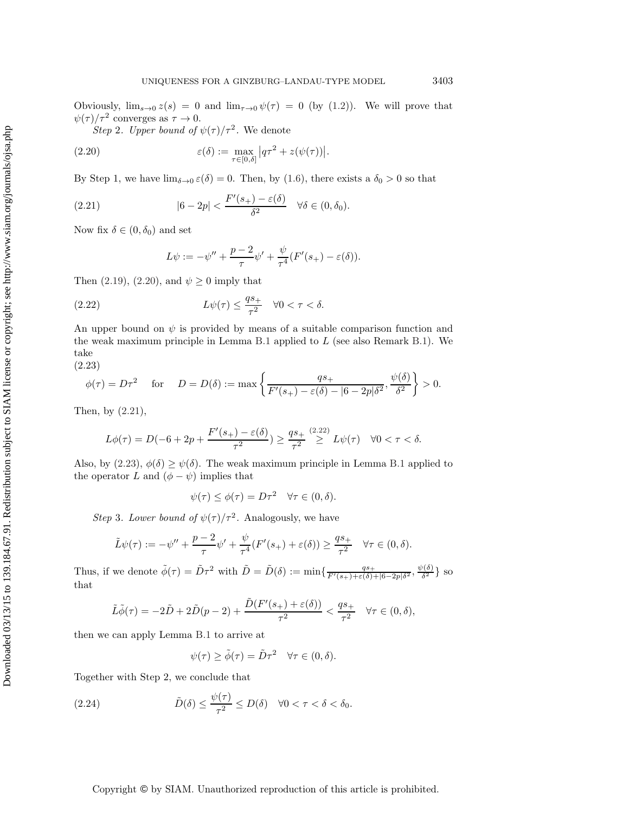Obviously,  $\lim_{s\to 0} z(s) = 0$  and  $\lim_{\tau\to 0} \psi(\tau) = 0$  (by [\(1.2\)](#page-1-0)). We will prove that  $\psi(\tau)/\tau^2$  converges as  $\tau \to 0$ .

*Step* 2*. Upper bound of*  $\psi(\tau)/\tau^2$ *.* We denote

(2.20) 
$$
\varepsilon(\delta) := \max_{\tau \in [0,\delta]} |q\tau^2 + z(\psi(\tau))|.
$$

By Step 1, we have  $\lim_{\delta \to 0} \varepsilon(\delta) = 0$ . Then, by [\(1.6\)](#page-2-1), there exists a  $\delta_0 > 0$  so that

(2.21) 
$$
|6 - 2p| < \frac{F'(s_+) - \varepsilon(\delta)}{\delta^2} \quad \forall \delta \in (0, \delta_0).
$$

Now fix  $\delta \in (0, \delta_0)$  and set

<span id="page-14-2"></span><span id="page-14-1"></span><span id="page-14-0"></span>
$$
L\psi := -\psi'' + \frac{p-2}{\tau}\psi' + \frac{\psi}{\tau^4}(F'(s_+) - \varepsilon(\delta)).
$$

Then  $(2.19)$ ,  $(2.20)$ , and  $\psi \geq 0$  imply that

(2.22) 
$$
L\psi(\tau) \leq \frac{qs_+}{\tau^2} \quad \forall 0 < \tau < \delta.
$$

An upper bound on  $\psi$  is provided by means of a suitable comparison function and the weak maximum principle in Lemma [B.1](#page-34-1) applied to  $L$  (see also Remark [B.1\)](#page-34-2). We take

(2.23)

<span id="page-14-3"></span>
$$
\phi(\tau) = D\tau^2 \quad \text{ for } \quad D = D(\delta) := \max\left\{\frac{qs_+}{F'(s_+) - \varepsilon(\delta) - |6 - 2p|\delta^2}, \frac{\psi(\delta)}{\delta^2}\right\} > 0.
$$

Then, by [\(2.21\)](#page-14-1),

$$
L\phi(\tau) = D(-6+2p + \frac{F'(s_+) - \varepsilon(\delta)}{\tau^2}) \ge \frac{qs_+}{\tau^2} \stackrel{(2.22)}{\ge} L\psi(\tau) \quad \forall 0 < \tau < \delta.
$$

Also, by [\(2.23\)](#page-14-3),  $\phi(\delta) \ge \psi(\delta)$ . The weak maximum principle in Lemma [B.1](#page-34-1) applied to the operator L and  $(\phi - \psi)$  implies that

$$
\psi(\tau) \le \phi(\tau) = D\tau^2 \quad \forall \tau \in (0, \delta).
$$

*Step* 3*. Lower bound of*  $\psi(\tau)/\tau^2$ *.* Analogously, we have

$$
\tilde{L}\psi(\tau) := -\psi'' + \frac{p-2}{\tau}\psi' + \frac{\psi}{\tau^4}(F'(s_+) + \varepsilon(\delta)) \ge \frac{qs_+}{\tau^2} \quad \forall \tau \in (0, \delta).
$$

Thus, if we denote  $\tilde{\phi}(\tau) = \tilde{D}\tau^2$  with  $\tilde{D} = \tilde{D}(\delta) := \min\{\frac{qs_+}{F'(s_+)+\epsilon(\delta)+|6-2p|\delta^2}, \frac{\psi(\delta)}{\delta^2}\}\$  so that

$$
\tilde{L}\tilde{\phi}(\tau) = -2\tilde{D} + 2\tilde{D}(p-2) + \frac{\tilde{D}(F'(s_+) + \varepsilon(\delta))}{\tau^2} < \frac{qs_+}{\tau^2} \quad \forall \tau \in (0, \delta),
$$

then we can apply Lemma [B.1](#page-34-1) to arrive at

<span id="page-14-4"></span>
$$
\psi(\tau) \ge \tilde{\phi}(\tau) = \tilde{D}\tau^2 \quad \forall \tau \in (0, \delta).
$$

Together with Step 2, we conclude that

(2.24) 
$$
\tilde{D}(\delta) \leq \frac{\psi(\tau)}{\tau^2} \leq D(\delta) \quad \forall 0 < \tau < \delta < \delta_0.
$$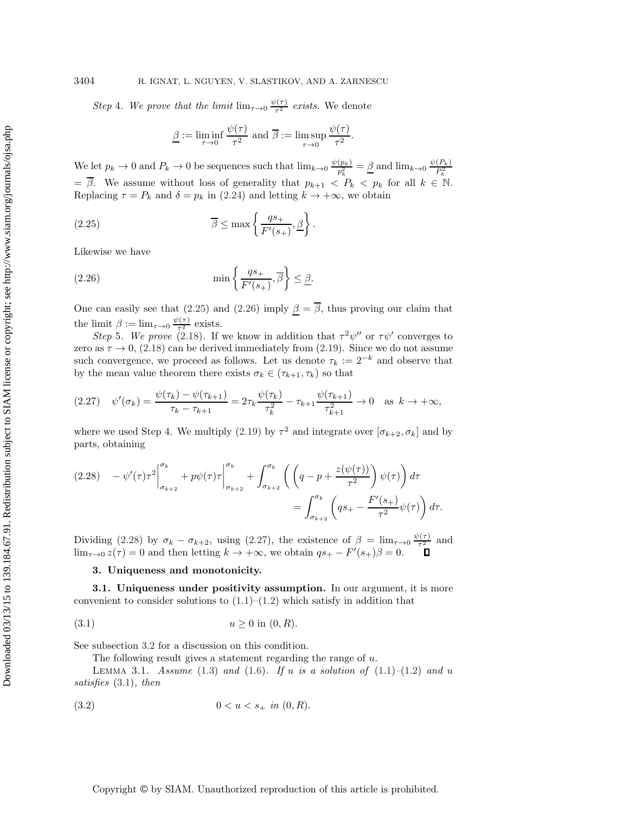*Step* 4*.* We prove that the limit  $\lim_{\tau \to 0} \frac{\psi(\tau)}{\tau^2}$  exists. We denote

<span id="page-15-1"></span>
$$
\underline{\beta} := \liminf_{\tau \to 0} \frac{\psi(\tau)}{\tau^2} \text{ and } \overline{\beta} := \limsup_{\tau \to 0} \frac{\psi(\tau)}{\tau^2}.
$$

We let  $p_k \to 0$  and  $P_k \to 0$  be sequences such that  $\lim_{k\to 0} \frac{\psi(p_k)}{p_k^2} = \underline{\beta}$  and  $\lim_{k\to 0} \frac{\psi(P_k)}{P_k^2}$  $=\overline{\beta}$ . We assume without loss of generality that  $p_{k+1} < P_k < p_k$  for all  $k \in \mathbb{N}$ . Replacing  $\tau = P_k$  and  $\delta = p_k$  in [\(2.24\)](#page-14-4) and letting  $k \to +\infty$ , we obtain

(2.25) 
$$
\overline{\beta} \le \max \left\{ \frac{qs_+}{F'(s_+)}, \underline{\beta} \right\}.
$$

<span id="page-15-2"></span>Likewise we have

(2.26) 
$$
\min\left\{\frac{qs_+}{F'(s_+)},\overline{\beta}\right\} \leq \underline{\beta}.
$$

One can easily see that [\(2.25\)](#page-15-1) and [\(2.26\)](#page-15-2) imply  $\beta = \overline{\beta}$ , thus proving our claim that the limit  $\beta := \lim_{\tau \to 0} \frac{\psi(\tau)}{\tau^2}$  exists.

*Step* 5*.* We prove [\(2.18\)](#page-13-2). If we know in addition that  $\tau^2 \psi''$  or  $\tau \psi'$  converges to zero as  $\tau \to 0$ , [\(2.18\)](#page-13-2) can be derived immediately from [\(2.19\)](#page-13-3). Since we do not assume such convergence, we proceed as follows. Let us denote  $\tau_k := 2^{-k}$  and observe that by the mean value theorem there exists  $\sigma_k \in (\tau_{k+1}, \tau_k)$  so that

<span id="page-15-4"></span>
$$
(2.27) \quad \psi'(\sigma_k) = \frac{\psi(\tau_k) - \psi(\tau_{k+1})}{\tau_k - \tau_{k+1}} = 2\tau_k \frac{\psi(\tau_k)}{\tau_k^2} - \tau_{k+1} \frac{\psi(\tau_{k+1})}{\tau_{k+1}^2} \to 0 \quad \text{as } k \to +\infty,
$$

where we used Step 4. We multiply [\(2.19\)](#page-13-3) by  $\tau^2$  and integrate over  $[\sigma_{k+2}, \sigma_k]$  and by parts, obtaining

<span id="page-15-3"></span>
$$
(2.28) \quad -\psi'(\tau)\tau^2\Big|_{\sigma_{k+2}}^{\sigma_k} + p\psi(\tau)\tau\Big|_{\sigma_{k+2}}^{\sigma_k} + \int_{\sigma_{k+2}}^{\sigma_k} \left(\left(q - p + \frac{z(\psi(\tau))}{\tau^2}\right)\psi(\tau)\right)d\tau
$$

$$
= \int_{\sigma_{k+2}}^{\sigma_k} \left(qs_+ - \frac{F'(s_+)}{\tau^2}\psi(\tau)\right)d\tau.
$$

Dividing [\(2.28\)](#page-15-3) by  $\sigma_k - \sigma_{k+2}$ , using [\(2.27\)](#page-15-4), the existence of  $\beta = \lim_{\tau \to 0} \frac{\psi(\tau)}{\tau^2}$  and  $\lim_{\tau \to 0} z(\tau) = 0$  and then letting  $k \to +\infty$ , we obtain  $qs_+ - F'(s_+) \beta = 0$ .

#### <span id="page-15-5"></span><span id="page-15-0"></span>**3. Uniqueness and monotonicity.**

**3.1. Uniqueness under positivity assumption.** In our argument, it is more convenient to consider solutions to  $(1.1)$ – $(1.2)$  which satisfy in addition that

$$
(3.1) \t\t u \ge 0 \t\t in (0, R).
$$

See subsection [3.2](#page-22-0) for a discussion on this condition.

<span id="page-15-7"></span><span id="page-15-6"></span>The following result gives a statement regarding the range of u.

**LEMMA** 3.1. *Assume* [\(1.3\)](#page-1-2) *and* [\(1.6\)](#page-2-1). If u *is a solution of* [\(1.1\)](#page-1-1)–[\(1.2\)](#page-1-0) *and* u *satisfies* [\(3.1\)](#page-15-5)*, then*

$$
(3.2) \t\t 0 < u < s_+ \t in (0, R).
$$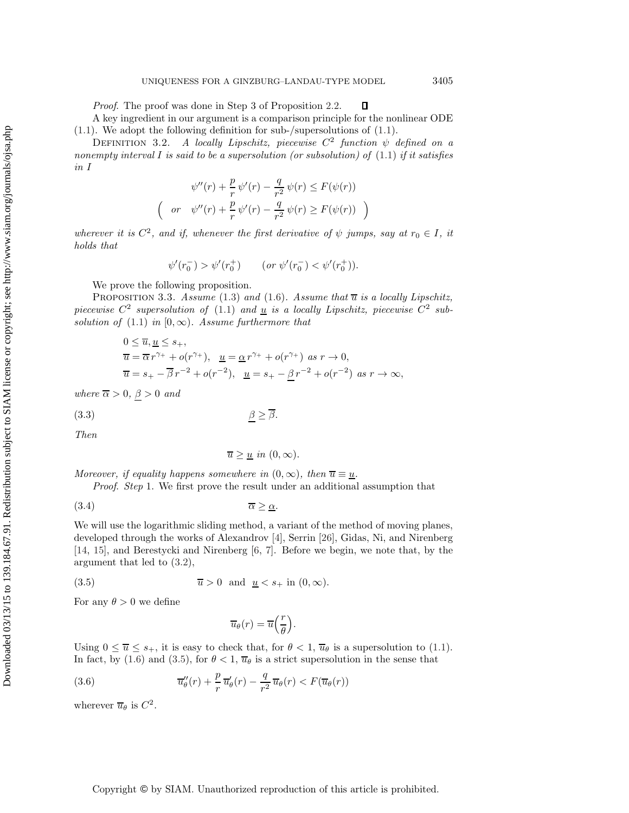*Proof*. The proof was done in Step 3 of Proposition [2.2.](#page-9-0)  $\Box$ 

A key ingredient in our argument is a comparison principle for the nonlinear ODE [\(1.1\)](#page-1-1). We adopt the following definition for sub-/supersolutions of [\(1.1\)](#page-1-1).

<span id="page-16-5"></span>DEFINITION 3.2. *A locally Lipschitz, piecewise*  $C^2$  *function*  $\psi$  *defined on a nonempty interval* I *is said to be a supersolution (or subsolution) of* [\(1.1\)](#page-1-1) *if it satisfies in* I

$$
\psi''(r) + \frac{p}{r} \psi'(r) - \frac{q}{r^2} \psi(r) \le F(\psi(r))
$$
  

$$
\left(\begin{array}{cc} or & \psi''(r) + \frac{p}{r} \psi'(r) - \frac{q}{r^2} \psi(r) \ge F(\psi(r)) \end{array}\right)
$$

*wherever it is*  $C^2$ *, and if, whenever the first derivative of*  $\psi$  *jumps, say at*  $r_0 \in I$ *, it holds that*

<span id="page-16-4"></span>
$$
\psi'(r_0^-) > \psi'(r_0^+) \qquad (or \ \psi'(r_0^-) < \psi'(r_0^+)).
$$

We prove the following proposition.

PROPOSITION 3.3. *Assume* [\(1.3\)](#page-1-2) and [\(1.6\)](#page-2-1). *Assume that*  $\overline{u}$  *is a locally Lipschitz,* piecewise  $C^2$  supersolution of [\(1.1\)](#page-1-1) and <u>u</u> is a locally Lipschitz, piecewise  $C^2$  sub*solution of*  $(1.1)$  *in*  $[0, \infty)$ *. Assume furthermore that* 

$$
0 \le \overline{u}, \underline{u} \le s_+,
$$
  
\n
$$
\overline{u} = \overline{\alpha} r^{\gamma_+} + o(r^{\gamma_+}), \quad \underline{u} = \underline{\alpha} r^{\gamma_+} + o(r^{\gamma_+}) \text{ as } r \to 0,
$$
  
\n
$$
\overline{u} = s_+ - \overline{\beta} r^{-2} + o(r^{-2}), \quad \underline{u} = s_+ - \underline{\beta} r^{-2} + o(r^{-2}) \text{ as } r \to \infty,
$$

*where*  $\overline{\alpha} > 0$ *,*  $\beta > 0$  *and* 

(3.3)  $\beta \geq \overline{\beta}$ .

*Then*

<span id="page-16-3"></span><span id="page-16-1"></span>
$$
\overline{u} \geq \underline{u} \text{ in } (0, \infty).
$$

*Moreover, if equality happens somewhere in*  $(0, \infty)$ *, then*  $\overline{u} \equiv \underline{u}$ *.* 

*Proof*. *Step* 1. We first prove the result under an additional assumption that

$$
(3.4) \t\t \overline{\alpha} \ge \underline{\alpha}.
$$

We will use the logarithmic sliding method, a variant of the method of moving planes, developed through the works of Alexandrov [\[4\]](#page-36-17), Serrin [\[26\]](#page-36-18), Gidas, Ni, and Nirenberg [\[14,](#page-36-19) [15\]](#page-36-20), and Berestycki and Nirenberg [\[6,](#page-36-21) [7\]](#page-36-22). Before we begin, we note that, by the argument that led to [\(3.2\)](#page-15-6),

(3.5) 
$$
\overline{u} > 0
$$
 and  $\underline{u} < s_+$  in  $(0, \infty)$ .

For any  $\theta > 0$  we define

<span id="page-16-2"></span><span id="page-16-0"></span>
$$
\overline{u}_{\theta}(r) = \overline{u}\left(\frac{r}{\theta}\right).
$$

Using  $0 \le \overline{u} \le s_+$ , it is easy to check that, for  $\theta < 1$ ,  $\overline{u}_{\theta}$  is a supersolution to [\(1.1\)](#page-1-1). In fact, by [\(1.6\)](#page-2-1) and [\(3.5\)](#page-16-0), for  $\theta < 1$ ,  $\overline{u}_{\theta}$  is a strict supersolution in the sense that

(3.6) 
$$
\overline{u}_{\theta}''(r) + \frac{p}{r} \overline{u}_{\theta}'(r) - \frac{q}{r^2} \overline{u}_{\theta}(r) < F(\overline{u}_{\theta}(r))
$$

wherever  $\overline{u}_{\theta}$  is  $C^2$ .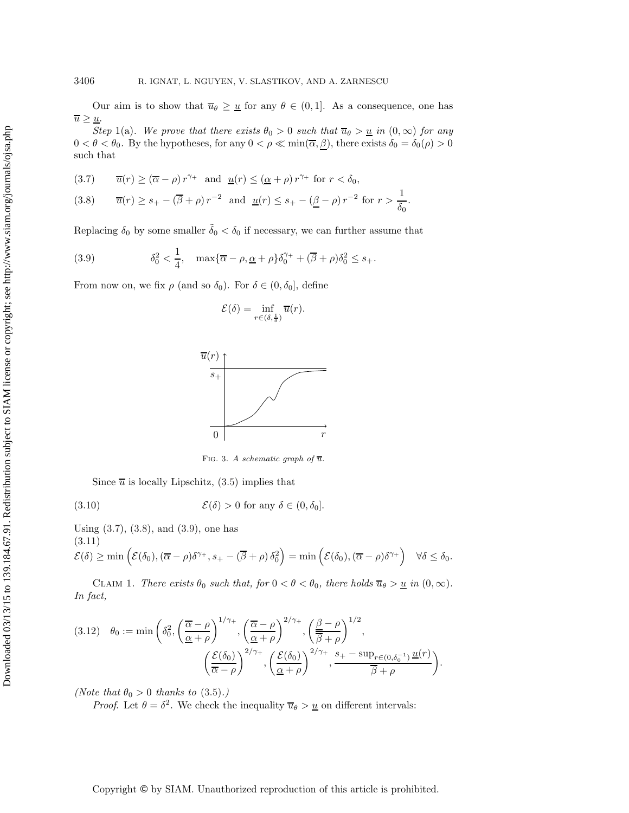Our aim is to show that  $\overline{u}_{\theta} \geq \underline{u}$  for any  $\theta \in (0,1]$ . As a consequence, one has  $\overline{u} \geq \underline{u}$ .

*Step* 1(a). We prove that there exists  $\theta_0 > 0$  such that  $\overline{u}_{\theta} > \underline{u}$  in  $(0, \infty)$  for any  $0 < \theta < \theta_0$ . By the hypotheses, for any  $0 < \rho \ll \min(\overline{\alpha}, \beta)$ , there exists  $\delta_0 = \delta_0(\rho) > 0$ such that

<span id="page-17-1"></span><span id="page-17-0"></span>(3.7) 
$$
\overline{u}(r) \ge (\overline{\alpha} - \rho) r^{\gamma_+}
$$
 and  $\underline{u}(r) \le (\underline{\alpha} + \rho) r^{\gamma_+}$  for  $r < \delta_0$ ,  
\n(3.8)  $\overline{u}(r) \ge s_+ - (\overline{\beta} + \rho) r^{-2}$  and  $\underline{u}(r) \le s_+ - (\underline{\beta} - \rho) r^{-2}$  for  $r > \frac{1}{\delta_0}$ .

Replacing  $\delta_0$  by some smaller  $\tilde{\delta}_0 < \delta_0$  if necessary, we can further assume that

(3.9) 
$$
\delta_0^2 < \frac{1}{4}, \quad \max{\lbrace \overline{\alpha} - \rho, \underline{\alpha} + \rho \rbrace} \delta_0^{\gamma_+} + (\overline{\beta} + \rho) \delta_0^2 \leq s_+.
$$

From now on, we fix  $\rho$  (and so  $\delta_0$ ). For  $\delta \in (0, \delta_0]$ , define

<span id="page-17-2"></span>
$$
\mathcal{E}(\delta) = \inf_{r \in (\delta, \frac{1}{\delta})} \overline{u}(r).
$$



<span id="page-17-4"></span>FIG. 3. A schematic graph of  $\overline{u}$ .

Since  $\overline{u}$  is locally Lipschitz, [\(3.5\)](#page-16-0) implies that

(3.10) 
$$
\mathcal{E}(\delta) > 0 \text{ for any } \delta \in (0, \delta_0].
$$

Using [\(3.7\)](#page-17-0), [\(3.8\)](#page-17-1), and [\(3.9\)](#page-17-2), one has (3.11)

$$
\mathcal{E}(\delta) \ge \min\left(\mathcal{E}(\delta_0), (\overline{\alpha}-\rho)\delta^{\gamma_+}, s_+ - (\overline{\beta}+\rho)\delta_0^2\right) = \min\left(\mathcal{E}(\delta_0), (\overline{\alpha}-\rho)\delta^{\gamma_+}\right) \quad \forall \delta \le \delta_0.
$$

CLAIM 1. *There exists*  $\theta_0$  *such that, for*  $0 < \theta < \theta_0$ *, there holds*  $\overline{u}_{\theta} > \underline{u}$  *in*  $(0, \infty)$ *. In fact,*

<span id="page-17-3"></span>
$$
(3.12) \quad \theta_0 := \min\left(\delta_0^2, \left(\frac{\overline{\alpha} - \rho}{\underline{\alpha} + \rho}\right)^{1/\gamma_+}, \left(\frac{\overline{\alpha} - \rho}{\underline{\alpha} + \rho}\right)^{2/\gamma_+}, \left(\frac{\underline{\beta} - \rho}{\overline{\beta} + \rho}\right)^{1/2}, \left(\frac{\overline{\beta} - \rho}{\overline{\beta} + \rho}\right)^{1/2}, \left(\frac{\mathcal{E}(\delta_0)}{\underline{\alpha} + \rho}\right)^{2/\gamma_+}, \left(\frac{\mathcal{E}(\delta_0)}{\underline{\alpha} + \rho}\right)^{2/\gamma_+}, \frac{s_+ - \sup_{r \in (0, \delta_0^{-1})} \underline{u}(r)}{\overline{\beta} + \rho}\right).
$$

*(Note that*  $\theta_0 > 0$  *thanks to* [\(3.5\)](#page-16-0)*.)* 

*Proof.* Let  $\theta = \delta^2$ . We check the inequality  $\overline{u}_{\theta} > \underline{u}$  on different intervals: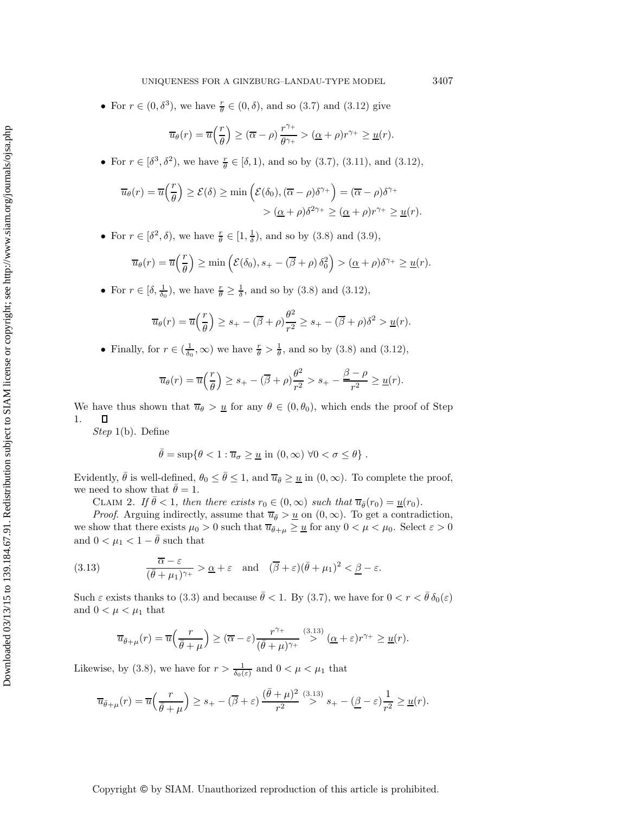• For  $r \in (0, \delta^3)$ , we have  $\frac{r}{\theta} \in (0, \delta)$ , and so  $(3.7)$  and  $(3.12)$  give

$$
\overline{u}_{\theta}(r) = \overline{u}\left(\frac{r}{\theta}\right) \geq (\overline{\alpha} - \rho) \frac{r^{\gamma_+}}{\theta^{\gamma_+}} > (\underline{\alpha} + \rho)r^{\gamma_+} \geq \underline{u}(r).
$$

• For  $r \in [\delta^3, \delta^2)$ , we have  $\frac{r}{\theta} \in [\delta, 1)$ , and so by [\(3.7\)](#page-17-0), [\(3.11\)](#page-17-4), and [\(3.12\)](#page-17-3),

$$
\overline{u}_{\theta}(r) = \overline{u}\left(\frac{r}{\theta}\right) \ge \mathcal{E}(\delta) \ge \min\left(\mathcal{E}(\delta_0), (\overline{\alpha} - \rho)\delta^{\gamma_+}\right) = (\overline{\alpha} - \rho)\delta^{\gamma_+} > (\underline{\alpha} + \rho)\delta^{2\gamma_+} \ge (\underline{\alpha} + \rho)r^{\gamma_+} \ge \underline{u}(r).
$$

• For  $r \in [\delta^2, \delta)$ , we have  $\frac{r}{\theta} \in [1, \frac{1}{\delta})$ , and so by  $(3.8)$  and  $(3.9)$ ,

$$
\overline{u}_{\theta}(r) = \overline{u}\left(\frac{r}{\theta}\right) \ge \min\left(\mathcal{E}(\delta_0), s_+ - (\overline{\beta} + \rho)\,\delta_0^2\right) > (\underline{\alpha} + \rho)\delta^{\gamma_+} \ge \underline{u}(r).
$$

• For  $r \in [\delta, \frac{1}{\delta_0})$ , we have  $\frac{r}{\theta} \geq \frac{1}{\delta}$ , and so by [\(3.8\)](#page-17-1) and [\(3.12\)](#page-17-3),

$$
\overline{u}_{\theta}(r) = \overline{u}\left(\frac{r}{\theta}\right) \geq s_+ - (\overline{\beta} + \rho)\frac{\theta^2}{r^2} \geq s_+ - (\overline{\beta} + \rho)\delta^2 > \underline{u}(r).
$$

• Finally, for  $r \in (\frac{1}{\delta_0}, \infty)$  we have  $\frac{r}{\theta} > \frac{1}{\theta}$ , and so by [\(3.8\)](#page-17-1) and [\(3.12\)](#page-17-3),

$$
\overline{u}_{\theta}(r) = \overline{u}\left(\frac{r}{\theta}\right) \geq s_{+} - (\overline{\beta} + \rho)\frac{\theta^{2}}{r^{2}} > s_{+} - \frac{\underline{\beta} - \rho}{r^{2}} \geq \underline{u}(r).
$$

We have thus shown that  $\overline{u}_{\theta} > \underline{u}$  for any  $\theta \in (0, \theta_0)$ , which ends the proof of Step 1.  $\Box$ 

*Step* 1(b). Define

<span id="page-18-0"></span>
$$
\bar{\theta} = \sup \{ \theta < 1 : \overline{u}_{\sigma} \geq \underline{u} \text{ in } (0, \infty) \ \forall 0 < \sigma \leq \theta \} \ .
$$

<span id="page-18-1"></span>Evidently,  $\bar{\theta}$  is well-defined,  $\theta_0 \leq \bar{\theta} \leq 1$ , and  $\bar{u}_{\bar{\theta}} \geq \underline{u}$  in  $(0, \infty)$ . To complete the proof, we need to show that  $\bar{\theta} = 1$ .

CLAIM 2. *If*  $\bar{\theta} < 1$ *, then there exists*  $r_0 \in (0, \infty)$  *such that*  $\overline{u}_{\bar{\theta}}(r_0) = \underline{u}(r_0)$ *.* 

*Proof.* Arguing indirectly, assume that  $\overline{u}_{\overline{\theta}} > \underline{u}$  on  $(0, \infty)$ . To get a contradiction, we show that there exists  $\mu_0 > 0$  such that  $\overline{u}_{\bar{\theta}+\mu} \geq \underline{u}$  for any  $0 < \mu < \mu_0$ . Select  $\varepsilon > 0$ and  $0 < \mu_1 < 1 - \bar{\theta}$  such that

(3.13) 
$$
\frac{\overline{\alpha}-\varepsilon}{(\overline{\theta}+\mu_1)^{\gamma_+}} > \underline{\alpha}+\varepsilon \text{ and } (\overline{\beta}+\varepsilon)(\overline{\theta}+\mu_1)^2 < \underline{\beta}-\varepsilon.
$$

Such  $\varepsilon$  exists thanks to [\(3.3\)](#page-16-1) and because  $\bar{\theta} < 1$ . By [\(3.7\)](#page-17-0), we have for  $0 < r < \bar{\theta} \, \delta_0(\varepsilon)$ and  $0 < \mu < \mu_1$  that

$$
\overline{u}_{\overline{\theta}+\mu}(r) = \overline{u}\left(\frac{r}{\overline{\theta}+\mu}\right) \geq (\overline{\alpha}-\varepsilon)\frac{r^{\gamma_+}}{(\overline{\theta}+\mu)^{\gamma_+}} \stackrel{(3.13)}{>} (\underline{\alpha}+\varepsilon)r^{\gamma_+} \geq \underline{u}(r).
$$

Likewise, by [\(3.8\)](#page-17-1), we have for  $r > \frac{1}{\delta_0(\varepsilon)}$  and  $0 < \mu < \mu_1$  that

$$
\overline{u}_{\overline{\theta}+\mu}(r)=\overline{u}\Big(\frac{r}{\overline{\theta}+\mu}\Big)\geq s_+-(\overline{\beta}+\varepsilon)\,\frac{(\overline{\theta}+\mu)^2}{r^2}\stackrel{(3.13)}{>} s_+-\underline{(\beta-\varepsilon)}\frac{1}{r^2}\geq \underline{u}(r).
$$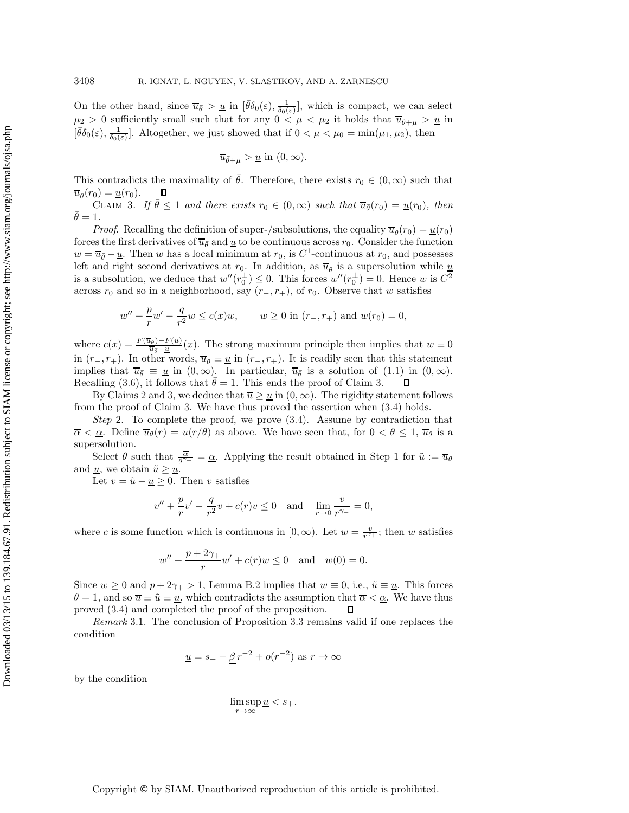On the other hand, since  $\overline{u}_{\overline{\theta}} > \underline{u}$  in  $\left[\overline{\theta}\delta_0(\varepsilon), \frac{1}{\delta_0(\varepsilon)}\right]$ , which is compact, we can select  $\mu_2 > 0$  sufficiently small such that for any  $0 < \mu < \mu_2$  it holds that  $\overline{u}_{\bar{\theta}+\mu} > \underline{u}$  in  $\left[\bar{\theta}\delta_0(\varepsilon), \frac{1}{\delta_0(\varepsilon)}\right]$ . Altogether, we just showed that if  $0 < \mu < \mu_0 = \min(\mu_1, \mu_2)$ , then

$$
\overline{u}_{\overline{\theta}+\mu} > \underline{u}
$$
 in  $(0,\infty)$ .

This contradicts the maximality of  $\bar{\theta}$ . Therefore, there exists  $r_0 \in (0,\infty)$  such that  $\overline{u}_{\overline{\theta}}(r_0) = \underline{u}(r_0).$  $\Box$ 

<span id="page-19-0"></span>CLAIM 3. *If*  $\bar{\theta} \le 1$  *and there exists*  $r_0 \in (0, \infty)$  *such that*  $\bar{u}_{\bar{\theta}}(r_0) = \underline{u}(r_0)$ *, then*  $\bar{\theta} = 1$ *.* 

*Proof.* Recalling the definition of super-/subsolutions, the equality  $\overline{u}_{\overline{\theta}}(r_0) = \underline{u}(r_0)$ forces the first derivatives of  $\overline{u}_{\overline{\theta}}$  and <u>u</u> to be continuous across  $r_0$ . Consider the function  $w = \overline{u}_{\overline{\theta}} - \underline{u}$ . Then w has a local minimum at  $r_0$ , is  $C^1$ -continuous at  $r_0$ , and possesses left and right second derivatives at  $r_0$ . In addition, as  $\overline{u}_{\overline{\theta}}$  is a supersolution while  $\underline{u}$ is a subsolution, we deduce that  $w''(r_0^{\pm}) \leq 0$ . This forces  $w''(r_0^{\pm}) = 0$ . Hence w is  $C^2$ across  $r_0$  and so in a neighborhood, say  $(r_-, r_+)$ , of  $r_0$ . Observe that w satisfies

$$
w'' + \frac{p}{r}w' - \frac{q}{r^2}w \le c(x)w
$$
,  $w \ge 0$  in  $(r_-, r_+)$  and  $w(r_0) = 0$ ,

where  $c(x) = \frac{F(\overline{u}_{\overline{\theta}}) - F(\underline{u})}{\overline{u}_{\overline{\theta}} - \overline{u}}$  $\frac{u_{\bar{\theta}}-F(u)}{u_{\bar{\theta}}-u}(x)$ . The strong maximum principle then implies that  $w \equiv 0$ in  $(r_-, r_+)$ . In other words,  $\overline{u}_{\overline{\theta}} \equiv \underline{u}$  in  $(r_-, r_+)$ . It is readily seen that this statement implies that  $\overline{u}_{\overline{\theta}} \equiv \underline{u}$  in  $(0,\infty)$ . In particular,  $\overline{u}_{\overline{\theta}}$  is a solution of [\(1.1\)](#page-1-1) in  $(0,\infty)$ . Recalling [\(3.6\)](#page-16-2), it follows that  $\bar{\theta} = 1$ . This ends the proof of Claim [3.](#page-19-0)  $\Box$ 

By Claims [2](#page-18-1) and [3,](#page-19-0) we deduce that  $\overline{u} \geq \underline{u}$  in  $(0,\infty)$ . The rigidity statement follows from the proof of Claim [3.](#page-19-0) We have thus proved the assertion when [\(3.4\)](#page-16-3) holds.

*Step* 2. To complete the proof, we prove  $(3.4)$ . Assume by contradiction that  $\overline{\alpha} < \underline{\alpha}$ . Define  $\overline{u}_{\theta}(r) = u(r/\theta)$  as above. We have seen that, for  $0 < \theta \leq 1$ ,  $\overline{u}_{\theta}$  is a supersolution.

Select  $\theta$  such that  $\frac{\overline{\alpha}}{\theta^{\gamma+}} = \underline{\alpha}$ . Applying the result obtained in Step 1 for  $\tilde{u} := \overline{u}_{\theta}$ and <u>u</u>, we obtain  $\tilde{u} \geq \underline{u}$ .

Let  $v = \tilde{u} - \underline{u} \geq 0$ . Then v satisfies

$$
v'' + \frac{p}{r}v' - \frac{q}{r^2}v + c(r)v \le 0
$$
 and  $\lim_{r \to 0} \frac{v}{r^{\gamma+}} = 0$ ,

where c is some function which is continuous in  $[0, \infty)$ . Let  $w = \frac{v}{r^{\gamma+}}$ ; then w satisfies

$$
w'' + \frac{p+2\gamma_+}{r}w' + c(r)w \le 0
$$
 and  $w(0) = 0$ .

Since  $w \ge 0$  and  $p + 2\gamma_+ > 1$ , Lemma [B.2](#page-34-3) implies that  $w \equiv 0$ , i.e.,  $\tilde{u} \equiv \underline{u}$ . This forces  $\theta = 1$ , and so  $\overline{u} \equiv \tilde{u} \equiv \underline{u}$ , which contradicts the assumption that  $\overline{\alpha} < \underline{\alpha}$ . We have thus proved [\(3.4\)](#page-16-3) and completed the proof of the proposition.  $\mathsf{\Pi}$ 

<span id="page-19-1"></span>*Remark* 3.1. The conclusion of Proposition [3.3](#page-16-4) remains valid if one replaces the condition

$$
\underline{u} = s_+ - \underline{\beta} r^{-2} + o(r^{-2}) \text{ as } r \to \infty
$$

by the condition

$$
\limsup_{r\to\infty}\underline{u}
$$

Downloaded 03/13/15 to 139.184.67.91. Redistribution subject to SIAM license or copyright; see http://www.siam.org/journals/ojsa.php Downloaded 03/13/15 to 139.184.67.91. Redistribution subject to SIAM license or copyright; see http://www.siam.org/journals/ojsa.php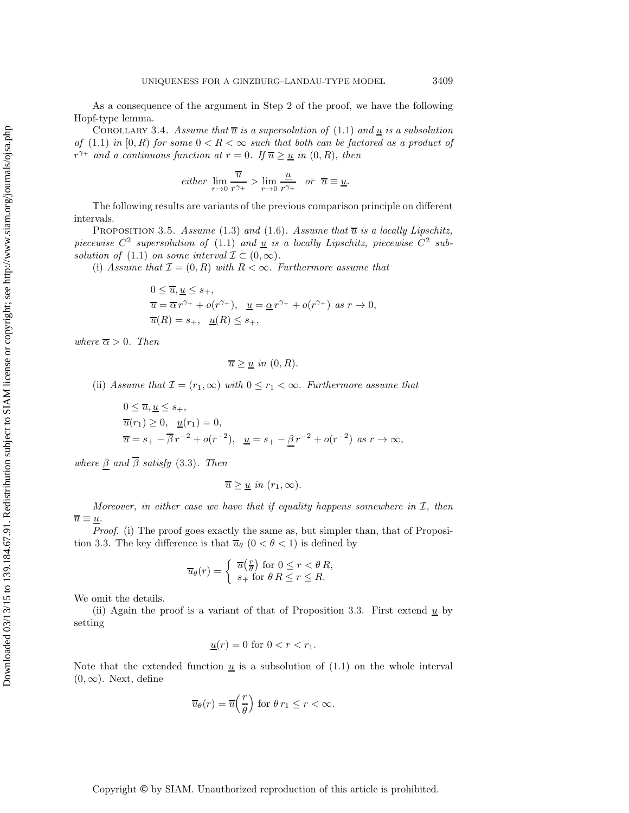<span id="page-20-1"></span>As a consequence of the argument in Step 2 of the proof, we have the following Hopf-type lemma.

COROLLARY 3.4. *Assume that*  $\overline{u}$  *is a supersolution of* [\(1.1\)](#page-1-1) *and*  $\underline{u}$  *is a subsolution of* [\(1.1\)](#page-1-1) *in* [0, R) *for some*  $0 < R < \infty$  *such that both can be factored as a product of*  $r^{\gamma+}$  *and a continuous function at*  $r = 0$ *. If*  $\overline{u} \geq \underline{u}$  *in*  $(0, R)$ *, then* 

*either* 
$$
\lim_{r \to 0} \frac{\overline{u}}{r^{\gamma_+}} > \lim_{r \to 0} \frac{\underline{u}}{r^{\gamma_+}} \quad or \quad \overline{u} \equiv \underline{u}.
$$

<span id="page-20-0"></span>The following results are variants of the previous comparison principle on different intervals.

PROPOSITION 3.5. *Assume* [\(1.3\)](#page-1-2) and [\(1.6\)](#page-2-1). *Assume that*  $\overline{u}$  *is a locally Lipschitz,* piecewise  $C^2$  supersolution of [\(1.1\)](#page-1-1) and <u>u</u> is a locally Lipschitz, piecewise  $C^2$  sub*solution of* [\(1.1\)](#page-1-1) *on some interval*  $\mathcal{I} \subset (0,\infty)$ *.* 

(i) Assume that  $\mathcal{I} = (0, R)$  with  $R < \infty$ . Furthermore assume that

$$
0 \le \overline{u}, \underline{u} \le s_+,
$$
  
\n
$$
\overline{u} = \overline{\alpha} r^{\gamma_+} + o(r^{\gamma_+}), \quad \underline{u} = \underline{\alpha} r^{\gamma_+} + o(r^{\gamma_+}) \text{ as } r \to 0,
$$
  
\n
$$
\overline{u}(R) = s_+, \quad \underline{u}(R) \le s_+,
$$

*where*  $\overline{\alpha} > 0$ *. Then* 

$$
\overline{u} \ge \underline{u} \text{ in } (0, R).
$$

(ii) *Assume that*  $\mathcal{I} = (r_1, \infty)$  *with*  $0 \leq r_1 < \infty$ *. Furthermore assume that* 

$$
0 \le \overline{u}, \underline{u} \le s_+, \overline{u}(r_1) \ge 0, \underline{u}(r_1) = 0, \overline{u} = s_+ - \overline{\beta} r^{-2} + o(r^{-2}), \underline{u} = s_+ - \underline{\beta} r^{-2} + o(r^{-2}) \text{ as } r \to \infty,
$$

*where*  $\beta$  *and*  $\overline{\beta}$  *satisfy* [\(3.3\)](#page-16-1)*. Then* 

$$
\overline{u} \geq \underline{u} \text{ in } (r_1, \infty).
$$

*Moreover, in either case we have that if equality happens somewhere in* I*, then*  $\overline{u} \equiv \underline{u}$ .

*Proof*. (i) The proof goes exactly the same as, but simpler than, that of Proposi-tion [3.3.](#page-16-4) The key difference is that  $\overline{u}_{\theta}$   $(0 < \theta < 1)$  is defined by

$$
\overline{u}_{\theta}(r) = \begin{cases} \n\overline{u}(\frac{r}{\theta}) \text{ for } 0 \leq r < \theta \, R, \\ \ns_+ \text{ for } \theta \, R \leq r \leq R. \n\end{cases}
$$

We omit the details.

(ii) Again the proof is a variant of that of Proposition [3.3.](#page-16-4) First extend  $\underline{u}$  by setting

$$
\underline{u}(r) = 0 \text{ for } 0 < r < r_1.
$$

Note that the extended function  $\underline{u}$  is a subsolution of [\(1.1\)](#page-1-1) on the whole interval  $(0, \infty)$ . Next, define

$$
\overline{u}_{\theta}(r) = \overline{u}\left(\frac{r}{\theta}\right) \text{ for } \theta r_1 \le r < \infty.
$$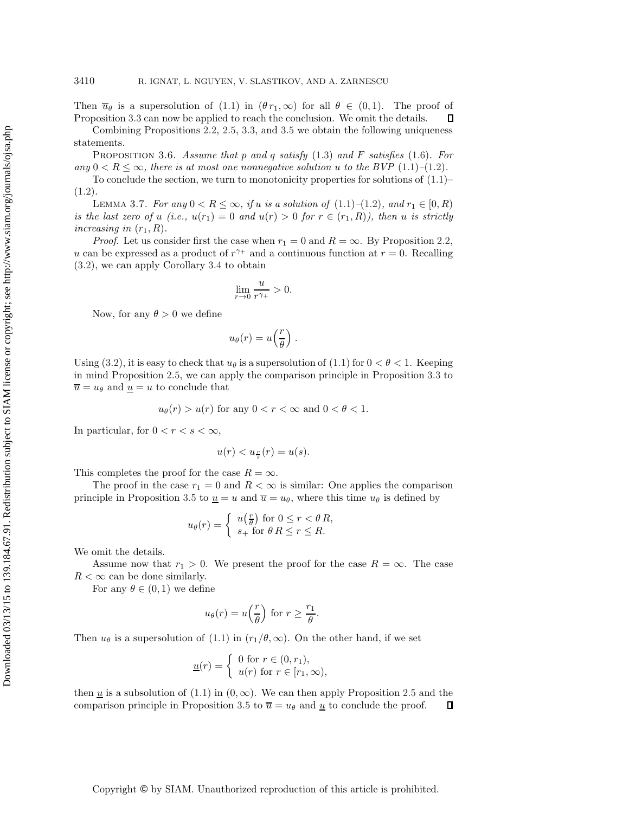Then  $\overline{u}_{\theta}$  is a supersolution of [\(1.1\)](#page-1-1) in  $(\theta r_1, \infty)$  for all  $\theta \in (0, 1)$ . The proof of Proposition [3.3](#page-16-4) can now be applied to reach the conclusion. We omit the details.  $\Box$ 

<span id="page-21-1"></span>Combining Propositions [2.2,](#page-9-0) [2.5,](#page-13-4) [3.3,](#page-16-4) and [3.5](#page-20-0) we obtain the following uniqueness statements.

Proposition 3.6. *Assume that* p *and* q *satisfy* [\(1.3\)](#page-1-2) *and* F *satisfies* [\(1.6\)](#page-2-1)*. For any*  $0 < R \leq \infty$ *, there is at most one nonnegative solution u to the BVP* [\(1.1\)](#page-1-1)–[\(1.2\)](#page-1-0)*.* 

<span id="page-21-0"></span>To conclude the section, we turn to monotonicity properties for solutions of  $(1.1)$ – [\(1.2\)](#page-1-0).

LEMMA 3.7. For any  $0 \le R \le \infty$ , if u is a solution of  $(1.1)$ – $(1.2)$ , and  $r_1 \in [0, R)$ *is the last zero of* u (*i.e.,*  $u(r_1) = 0$  *and*  $u(r) > 0$  *for*  $r \in (r_1, R)$ *), then* u *is strictly increasing in*  $(r_1, R)$ *.* 

*Proof.* Let us consider first the case when  $r_1 = 0$  and  $R = \infty$ . By Proposition [2.2,](#page-9-0) u can be expressed as a product of  $r^{\gamma+}$  and a continuous function at  $r = 0$ . Recalling [\(3.2\)](#page-15-6), we can apply Corollary [3.4](#page-20-1) to obtain

$$
\lim_{r \to 0} \frac{u}{r^{\gamma_+}} > 0.
$$

Now, for any  $\theta > 0$  we define

$$
u_{\theta}(r) = u\left(\frac{r}{\theta}\right).
$$

Using [\(3.2\)](#page-15-6), it is easy to check that  $u_{\theta}$  is a supersolution of [\(1.1\)](#page-1-1) for  $0 < \theta < 1$ . Keeping in mind Proposition [2.5,](#page-13-4) we can apply the comparison principle in Proposition [3.3](#page-16-4) to  $\overline{u} = u_{\theta}$  and  $\underline{u} = u$  to conclude that

$$
u_{\theta}(r) > u(r)
$$
 for any  $0 < r < \infty$  and  $0 < \theta < 1$ .

In particular, for  $0 < r < s < \infty$ ,

$$
u(r) < u_{\frac{r}{s}}(r) = u(s).
$$

This completes the proof for the case  $R = \infty$ .

The proof in the case  $r_1 = 0$  and  $R < \infty$  is similar: One applies the comparison principle in Proposition [3.5](#page-20-0) to  $\underline{u} = u$  and  $\overline{u} = u_{\theta}$ , where this time  $u_{\theta}$  is defined by

$$
u_{\theta}(r) = \begin{cases} u(\frac{r}{\theta}) \text{ for } 0 \le r < \theta R, \\ s_+ \text{ for } \theta R \le r \le R. \end{cases}
$$

We omit the details.

Assume now that  $r_1 > 0$ . We present the proof for the case  $R = \infty$ . The case  $R < \infty$  can be done similarly.

For any  $\theta \in (0,1)$  we define

$$
u_{\theta}(r) = u\left(\frac{r}{\theta}\right)
$$
 for  $r \ge \frac{r_1}{\theta}$ .

Then  $u_{\theta}$  is a supersolution of [\(1.1\)](#page-1-1) in  $(r_1/\theta,\infty)$ . On the other hand, if we set

$$
\underline{u}(r) = \begin{cases} 0 \text{ for } r \in (0, r_1), \\ u(r) \text{ for } r \in [r_1, \infty), \end{cases}
$$

then  $\underline{u}$  is a subsolution of [\(1.1\)](#page-1-1) in  $(0, \infty)$ . We can then apply Proposition [2.5](#page-13-4) and the comparison principle in Proposition [3.5](#page-20-0) to  $\overline{u} = u_{\theta}$  and <u>u</u> to conclude the proof.  $\Box$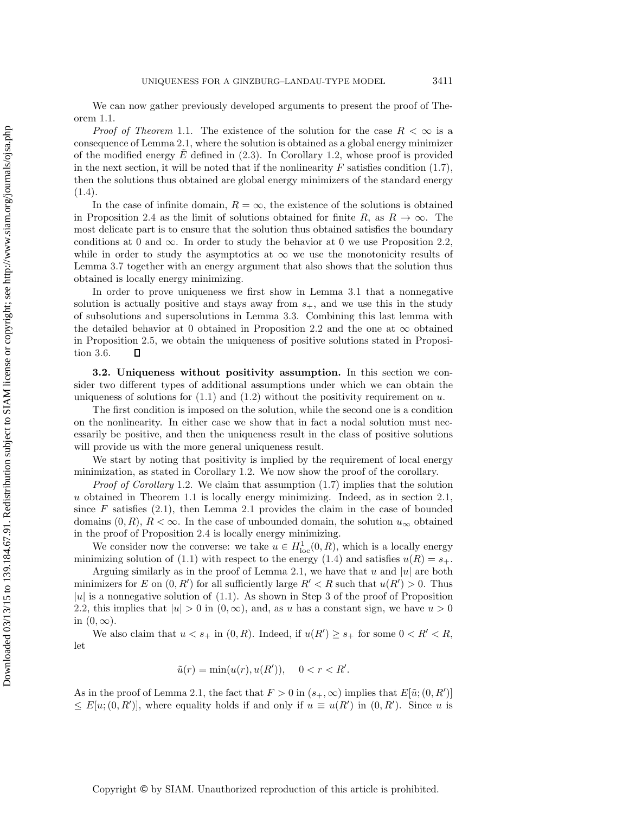We can now gather previously developed arguments to present the proof of Theorem [1.1.](#page-2-2)

*Proof of Theorem* [1.1.](#page-2-2) The existence of the solution for the case  $R < \infty$  is a consequence of Lemma [2.1,](#page-7-3) where the solution is obtained as a global energy minimizer of the modified energy  $\hat{E}$  defined in [\(2.3\)](#page-7-4). In Corollary [1.2,](#page-2-3) whose proof is provided in the next section, it will be noted that if the nonlinearity  $F$  satisfies condition [\(1.7\)](#page-2-4), then the solutions thus obtained are global energy minimizers of the standard energy  $(1.4).$  $(1.4).$ 

In the case of infinite domain,  $R = \infty$ , the existence of the solutions is obtained in Proposition [2.4](#page-11-1) as the limit of solutions obtained for finite R, as  $R \to \infty$ . The most delicate part is to ensure that the solution thus obtained satisfies the boundary conditions at 0 and  $\infty$ . In order to study the behavior at 0 we use Proposition [2.2,](#page-9-0) while in order to study the asymptotics at  $\infty$  we use the monotonicity results of Lemma [3.7](#page-21-0) together with an energy argument that also shows that the solution thus obtained is locally energy minimizing.

In order to prove uniqueness we first show in Lemma [3.1](#page-15-7) that a nonnegative solution is actually positive and stays away from  $s_{+}$ , and we use this in the study of subsolutions and supersolutions in Lemma [3.3.](#page-16-4) Combining this last lemma with the detailed behavior at 0 obtained in Proposition [2.2](#page-9-0) and the one at  $\infty$  obtained in Proposition [2.5,](#page-13-4) we obtain the uniqueness of positive solutions stated in Proposition [3.6.](#page-21-1)  $\Box$ 

<span id="page-22-0"></span>**3.2. Uniqueness without positivity assumption.** In this section we consider two different types of additional assumptions under which we can obtain the uniqueness of solutions for  $(1.1)$  and  $(1.2)$  without the positivity requirement on u.

The first condition is imposed on the solution, while the second one is a condition on the nonlinearity. In either case we show that in fact a nodal solution must necessarily be positive, and then the uniqueness result in the class of positive solutions will provide us with the more general uniqueness result.

We start by noting that positivity is implied by the requirement of local energy minimization, as stated in Corollary [1.2.](#page-2-3) We now show the proof of the corollary.

*Proof of Corollary* [1.2.](#page-2-3) We claim that assumption [\(1.7\)](#page-2-4) implies that the solution u obtained in Theorem [1.1](#page-2-2) is locally energy minimizing. Indeed, as in section [2.1,](#page-7-5) since  $F$  satisfies [\(2.1\)](#page-7-1), then Lemma [2.1](#page-7-3) provides the claim in the case of bounded domains  $(0, R)$ ,  $R < \infty$ . In the case of unbounded domain, the solution  $u_{\infty}$  obtained in the proof of Proposition [2.4](#page-11-1) is locally energy minimizing.

We consider now the converse: we take  $u \in H^1_{loc}(0, R)$ , which is a locally energy minimizing solution of [\(1.1\)](#page-1-1) with respect to the energy [\(1.4\)](#page-1-3) and satisfies  $u(R) = s_{+}$ .

Arguing similarly as in the proof of Lemma [2.1,](#page-7-3) we have that u and |u| are both minimizers for E on  $(0, R')$  for all sufficiently large  $R' < R$  such that  $u(R') > 0$ . Thus  $|u|$  is a nonnegative solution of  $(1.1)$ . As shown in Step 3 of the proof of Proposition [2.2,](#page-9-0) this implies that  $|u| > 0$  in  $(0, \infty)$ , and, as u has a constant sign, we have  $u > 0$ in  $(0, \infty)$ .

We also claim that  $u < s_+$  in  $(0, R)$ . Indeed, if  $u(R') \geq s_+$  for some  $0 < R' < R$ , let

$$
\tilde{u}(r) = \min(u(r), u(R')), \quad 0 < r < R'.
$$

As in the proof of Lemma [2.1,](#page-7-3) the fact that  $F > 0$  in  $(s_+, \infty)$  implies that  $E[\tilde{u}; (0, R')]$  $\leq E[u; (0, R')]$ , where equality holds if and only if  $u \equiv u(R')$  in  $(0, R')$ . Since u is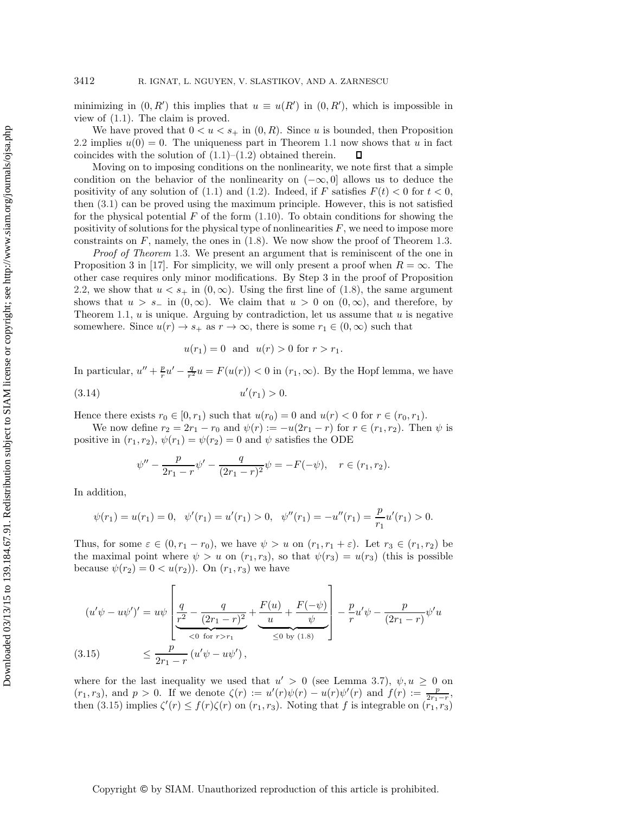minimizing in  $(0, R')$  this implies that  $u \equiv u(R')$  in  $(0, R')$ , which is impossible in view of [\(1.1\)](#page-1-1). The claim is proved.

We have proved that  $0 < u < s_+$  in  $(0, R)$ . Since u is bounded, then Proposition [2.2](#page-9-0) implies  $u(0) = 0$ . The uniqueness part in Theorem [1.1](#page-2-2) now shows that u in fact coincides with the solution of  $(1.1)$ – $(1.2)$  obtained therein.  $\Box$ 

Moving on to imposing conditions on the nonlinearity, we note first that a simple condition on the behavior of the nonlinearity on  $(-\infty, 0]$  allows us to deduce the positivity of any solution of [\(1.1\)](#page-1-1) and [\(1.2\)](#page-1-0). Indeed, if F satisfies  $F(t) < 0$  for  $t < 0$ , then [\(3.1\)](#page-15-5) can be proved using the maximum principle. However, this is not satisfied for the physical potential  $F$  of the form  $(1.10)$ . To obtain conditions for showing the positivity of solutions for the physical type of nonlinearities  $F$ , we need to impose more constraints on  $F$ , namely, the ones in  $(1.8)$ . We now show the proof of Theorem [1.3.](#page-3-2)

*Proof of Theorem* [1.3.](#page-3-2) We present an argument that is reminiscent of the one in Proposition 3 in [\[17\]](#page-36-1). For simplicity, we will only present a proof when  $R = \infty$ . The other case requires only minor modifications. By Step 3 in the proof of Proposition [2.2,](#page-9-0) we show that  $u < s_+$  in  $(0, \infty)$ . Using the first line of [\(1.8\)](#page-3-1), the same argument shows that  $u > s_$  in  $(0, \infty)$ . We claim that  $u > 0$  on  $(0, \infty)$ , and therefore, by Theorem [1.1,](#page-2-2)  $u$  is unique. Arguing by contradiction, let us assume that  $u$  is negative somewhere. Since  $u(r) \to s_+$  as  $r \to \infty$ , there is some  $r_1 \in (0, \infty)$  such that

$$
u(r_1) = 0
$$
 and  $u(r) > 0$  for  $r > r_1$ .

In particular,  $u'' + \frac{p}{r}u' - \frac{q}{r^2}u = F(u(r)) < 0$  in  $(r_1, \infty)$ . By the Hopf lemma, we have

$$
(3.14) \t\t u'(r_1) > 0.
$$

Hence there exists  $r_0 \in [0, r_1)$  such that  $u(r_0) = 0$  and  $u(r) < 0$  for  $r \in (r_0, r_1)$ .

We now define  $r_2 = 2r_1 - r_0$  and  $\psi(r) := -u(2r_1 - r)$  for  $r \in (r_1, r_2)$ . Then  $\psi$  is positive in  $(r_1, r_2)$ ,  $\psi(r_1) = \psi(r_2) = 0$  and  $\psi$  satisfies the ODE

$$
\psi'' - \frac{p}{2r_1 - r}\psi' - \frac{q}{(2r_1 - r)^2}\psi = -F(-\psi), \quad r \in (r_1, r_2).
$$

In addition,

$$
\psi(r_1) = u(r_1) = 0, \quad \psi'(r_1) = u'(r_1) > 0, \quad \psi''(r_1) = -u''(r_1) = \frac{p}{r_1}u'(r_1) > 0.
$$

Thus, for some  $\varepsilon \in (0, r_1 - r_0)$ , we have  $\psi > u$  on  $(r_1, r_1 + \varepsilon)$ . Let  $r_3 \in (r_1, r_2)$  be the maximal point where  $\psi > u$  on  $(r_1, r_3)$ , so that  $\psi(r_3) = u(r_3)$  (this is possible because  $\psi(r_2)=0 < u(r_2)$ ). On  $(r_1, r_3)$  we have

$$
(u'\psi - u\psi')' = u\psi \left[ \underbrace{\frac{q}{r^2} - \frac{q}{(2r_1 - r)^2}}_{< 0 \text{ for } r > r_1} + \underbrace{\frac{F(u)}{u} + \frac{F(-\psi)}{\psi}}_{\leq 0 \text{ by (1.8)}} \right] - \frac{p}{r}u'\psi - \frac{p}{(2r_1 - r)}\psi'u
$$
\n
$$
(3.15) \qquad \leq \frac{p}{2r_1 - r} \left( u'\psi - u\psi' \right),
$$

<span id="page-23-0"></span>where for the last inequality we used that  $u' > 0$  (see Lemma [3.7\)](#page-21-0),  $\psi, u \ge 0$  on  $(r_1, r_3)$ , and  $p > 0$ . If we denote  $\zeta(r) := u'(r)\psi(r) - u(r)\psi'(r)$  and  $f(r) := \frac{p}{2r_1 - r}$ , then [\(3.15\)](#page-23-0) implies  $\zeta'(r) \leq f(r)\zeta(r)$  on  $(r_1, r_3)$ . Noting that f is integrable on  $\binom{r_1}{r_1}, \binom{r_3}{r_3}$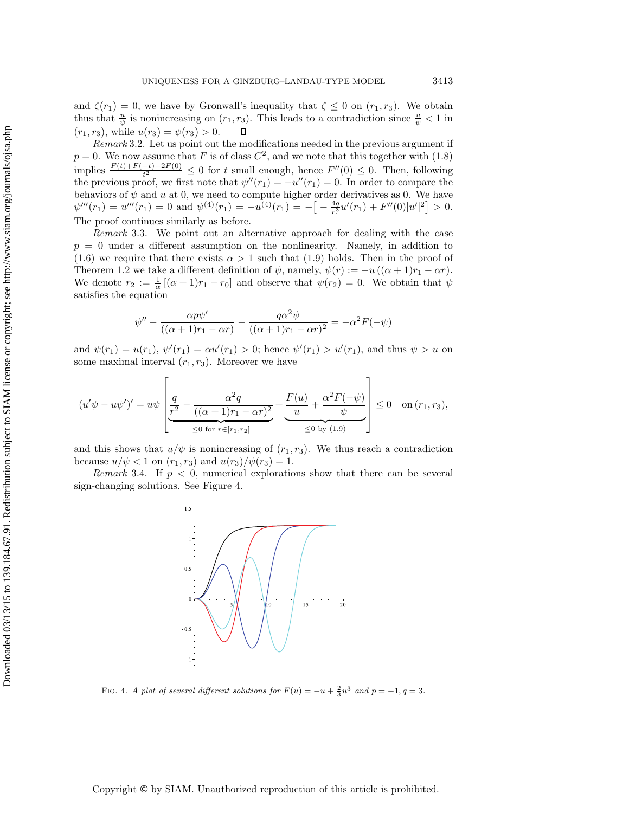and  $\zeta(r_1)=0$ , we have by Gronwall's inequality that  $\zeta \leq 0$  on  $(r_1, r_3)$ . We obtain thus that  $\frac{u}{\psi}$  is nonincreasing on  $(r_1, r_3)$ . This leads to a contradiction since  $\frac{u}{\psi} < 1$  in  $(r_1, r_3)$ , while  $u(r_3) = \psi(r_3) > 0$ .  $\Box$ 

<span id="page-24-0"></span>*Remark* 3.2. Let us point out the modifications needed in the previous argument if  $p = 0$ . We now assume that F is of class  $C<sup>2</sup>$ , and we note that this together with [\(1.8\)](#page-3-1) implies  $\frac{F(t)+F(-t)-2F(0)}{t^2} \leq 0$  for t small enough, hence  $F''(0) \leq 0$ . Then, following the previous proof, we first note that  $\psi''(r_1) = -u''(r_1) = 0$ . In order to compare the behaviors of  $\psi$  and  $u$  at 0, we need to compute higher order derivatives as 0. We have  $\psi'''(r_1) = u'''(r_1) = 0$  and  $\psi^{(4)}(r_1) = -u^{(4)}(r_1) = -\left[-\frac{4q}{r_1^3}u'(r_1) + F''(0)|u'|^2\right] > 0.$ The proof continues similarly as before.

<span id="page-24-1"></span>*Remark* 3.3. We point out an alternative approach for dealing with the case  $p = 0$  under a different assumption on the nonlinearity. Namely, in addition to  $(1.6)$  we require that there exists  $\alpha > 1$  such that  $(1.9)$  holds. Then in the proof of Theorem [1.2](#page-2-3) we take a different definition of  $\psi$ , namely,  $\psi(r) := -u((\alpha + 1)r_1 - \alpha r)$ . We denote  $r_2 := \frac{1}{\alpha} [(\alpha + 1)r_1 - r_0]$  and observe that  $\psi(r_2) = 0$ . We obtain that  $\psi$ satisfies the equation

$$
\psi'' - \frac{\alpha p \psi'}{((\alpha+1)r_1 - \alpha r)} - \frac{q \alpha^2 \psi}{((\alpha+1)r_1 - \alpha r)^2} = -\alpha^2 F(-\psi)
$$

and  $\psi(r_1) = u(r_1)$ ,  $\psi'(r_1) = \alpha u'(r_1) > 0$ ; hence  $\psi'(r_1) > u'(r_1)$ , and thus  $\psi > u$  on some maximal interval  $(r_1, r_3)$ . Moreover we have

$$
(u'\psi - u\psi')' = u\psi \left[ \underbrace{\frac{q}{r^2} - \frac{\alpha^2 q}{((\alpha+1)r_1 - \alpha r)^2}}_{\leq 0 \text{ for } r \in [r_1, r_2]} + \underbrace{\frac{F(u)}{u} + \frac{\alpha^2 F(-\psi)}{\psi}}_{\leq 0 \text{ by (1.9)}} \right] \leq 0 \text{ on } (r_1, r_3),
$$

and this shows that  $u/\psi$  is nonincreasing of  $(r_1, r_3)$ . We thus reach a contradiction because  $u/\psi < 1$  on  $(r_1, r_3)$  and  $u(r_3)/\psi(r_3) = 1$ .

<span id="page-24-3"></span>*Remark* 3.4. If  $p < 0$ , numerical explorations show that there can be several sign-changing solutions. See Figure [4.](#page-24-2)



<span id="page-24-2"></span>FIG. 4. A plot of several different solutions for  $F(u) = -u + \frac{2}{3}u^3$  and  $p = -1, q = 3$ .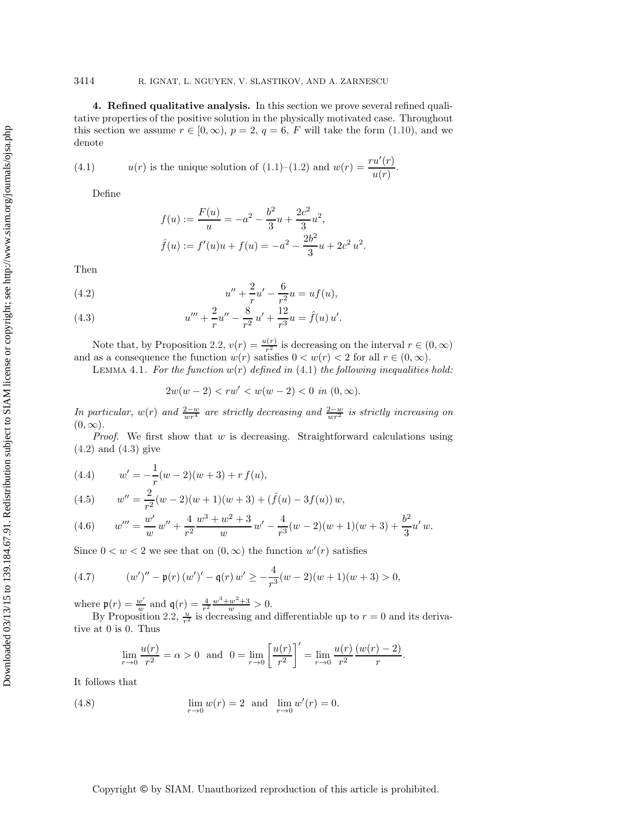<span id="page-25-0"></span>**4. Refined qualitative analysis.** In this section we prove several refined qualitative properties of the positive solution in the physically motivated case. Throughout this section we assume  $r \in [0, \infty)$ ,  $p = 2$ ,  $q = 6$ , F will take the form [\(1.10\)](#page-3-3), and we denote

<span id="page-25-1"></span>(4.1) 
$$
u(r)
$$
 is the unique solution of (1.1)–(1.2) and  $w(r) = \frac{r u'(r)}{u(r)}$ .

Define

$$
f(u) := \frac{F(u)}{u} = -a^2 - \frac{b^2}{3}u + \frac{2c^2}{3}u^2,
$$
  

$$
\hat{f}(u) := f'(u)u + f(u) = -a^2 - \frac{2b^2}{3}u + 2c^2 u^2.
$$

Then

<span id="page-25-2"></span>(4.2) 
$$
u'' + \frac{2}{r}u' - \frac{6}{r^2}u = uf(u),
$$

<span id="page-25-3"></span>(4.3) 
$$
u''' + \frac{2}{r}u'' - \frac{8}{r^2}u' + \frac{12}{r^3}u = \hat{f}(u)u'.
$$

Note that, by Proposition [2.2,](#page-9-0)  $v(r) = \frac{u(r)}{r^2}$  is decreasing on the interval  $r \in (0, \infty)$ and as a consequence the function  $w(r)$  satisfies  $0 < w(r) < 2$  for all  $r \in (0, \infty)$ .

Lemma 4.1. *For the function* w(r) *defined in* [\(4.1\)](#page-25-1) *the following inequalities hold:*

<span id="page-25-4"></span>
$$
2w(w-2) < rw' < w(w-2) < 0 \text{ in } (0, \infty).
$$

*In particular,*  $w(r)$  *and*  $\frac{2-w}{wr^4}$  *are strictly decreasing and*  $\frac{2-w}{wr^2}$  *is strictly increasing on*  $(0, \infty)$ .

*Proof*. We first show that w is decreasing. Straightforward calculations using [\(4.2\)](#page-25-2) and [\(4.3\)](#page-25-3) give

<span id="page-25-6"></span>(4.4) 
$$
w' = -\frac{1}{r}(w-2)(w+3) + r f(u),
$$

<span id="page-25-7"></span>(4.5) 
$$
w'' = \frac{2}{r^2}(w-2)(w+1)(w+3) + (\hat{f}(u) - 3f(u))w,
$$

<span id="page-25-8"></span>(4.6) 
$$
w''' = \frac{w'}{w}w'' + \frac{4}{r^2}\frac{w^3 + w^2 + 3}{w}w' - \frac{4}{r^3}(w - 2)(w + 1)(w + 3) + \frac{b^2}{3}u'w.
$$

Since  $0 < w < 2$  we see that on  $(0, \infty)$  the function  $w'(r)$  satisfies

(4.7) 
$$
(w')'' - \mathfrak{p}(r) (w')' - \mathfrak{q}(r) w' \ge -\frac{4}{r^3} (w-2)(w+1)(w+3) > 0,
$$

where  $\mathfrak{p}(r) = \frac{w'}{w}$  and  $\mathfrak{q}(r) = \frac{4}{r^2} \frac{w^3 + w^2 + 3}{w} > 0$ .

By Proposition [2.2,](#page-9-0)  $\frac{u}{r^2}$  is decreasing and differentiable up to  $r = 0$  and its derivative at 0 is 0. Thus

<span id="page-25-5"></span>
$$
\lim_{r \to 0} \frac{u(r)}{r^2} = \alpha > 0 \text{ and } 0 = \lim_{r \to 0} \left[ \frac{u(r)}{r^2} \right]' = \lim_{r \to 0} \frac{u(r)}{r^2} \frac{(w(r) - 2)}{r}.
$$

It follows that

(4.8) 
$$
\lim_{r \to 0} w(r) = 2 \text{ and } \lim_{r \to 0} w'(r) = 0.
$$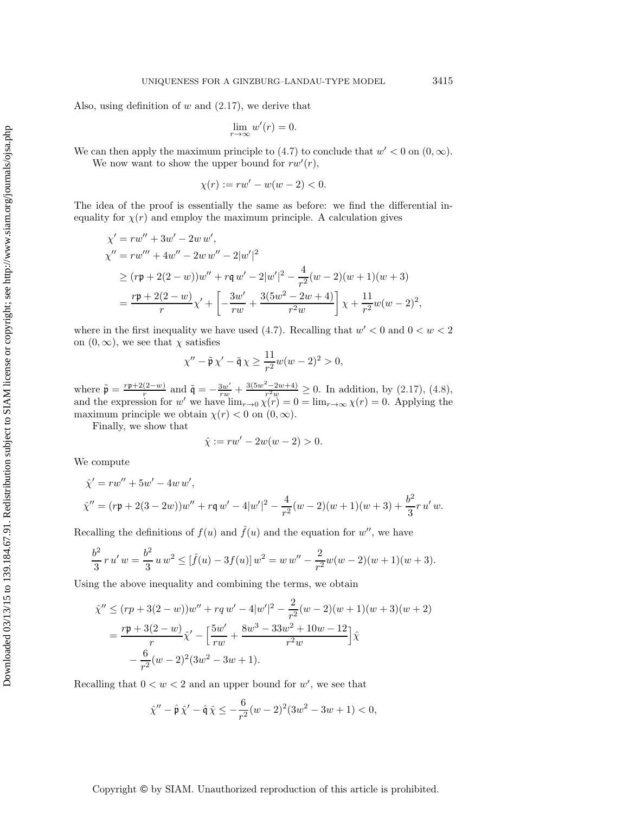Also, using definition of  $w$  and  $(2.17)$ , we derive that

$$
\lim_{r \to \infty} w'(r) = 0.
$$

We can then apply the maximum principle to [\(4.7\)](#page-25-4) to conclude that  $w' < 0$  on  $(0, \infty)$ . We now want to show the upper bound for  $rw'(r)$ ,

$$
\chi(r) := rw' - w(w - 2) < 0.
$$

The idea of the proof is essentially the same as before: we find the differential inequality for  $\chi(r)$  and employ the maximum principle. A calculation gives

$$
\chi' = rw'' + 3w' - 2w w',
$$
  
\n
$$
\chi'' = rw''' + 4w'' - 2w w'' - 2|w'|^2
$$
  
\n
$$
\ge (r\mathfrak{p} + 2(2-w))w'' + r\mathfrak{q} w' - 2|w'|^2 - \frac{4}{r^2}(w-2)(w+1)(w+3)
$$
  
\n
$$
= \frac{rp + 2(2-w)}{r} \chi' + \left[ -\frac{3w'}{rw} + \frac{3(5w^2 - 2w + 4)}{r^2w} \right] \chi + \frac{11}{r^2}w(w-2)^2,
$$

where in the first inequality we have used [\(4.7\)](#page-25-4). Recalling that  $w' < 0$  and  $0 < w < 2$ on  $(0, \infty)$ , we see that  $\chi$  satisfies

$$
\chi'' - \tilde{\mathfrak{p}}\,\chi' - \tilde{\mathfrak{q}}\,\chi \ge \frac{11}{r^2}w(w-2)^2 > 0,
$$

where  $\tilde{\mathfrak{p}} = \frac{rp + 2(2-w)}{r}$  and  $\tilde{\mathfrak{q}} = -\frac{3w'}{rw} + \frac{3(5w^2 - 2w + 4)}{r^2w} \ge 0$ . In addition, by [\(2.17\)](#page-13-1), [\(4.8\)](#page-25-5), and the expression for w' we have  $\lim_{r\to 0} \chi(r) = 0 = \lim_{r\to\infty} \chi(r) = 0$ . Applying the maximum principle we obtain  $\chi(r) < 0$  on  $(0, \infty)$ .

Finally, we show that

$$
\hat{\chi} := rw' - 2w(w - 2) > 0.
$$

We compute

$$
\hat{\chi}' = rw'' + 5w' - 4w w',
$$
  

$$
\hat{\chi}'' = (r\mathfrak{p} + 2(3 - 2w))w'' + r\mathfrak{q} w' - 4|w'|^2 - \frac{4}{r^2}(w - 2)(w + 1)(w + 3) + \frac{b^2}{3}r w' w.
$$

Recalling the definitions of  $f(u)$  and  $\hat{f}(u)$  and the equation for w'', we have

$$
\frac{b^2}{3} r u' w = \frac{b^2}{3} u w^2 \leq [\hat{f}(u) - 3f(u)] w^2 = w w'' - \frac{2}{r^2} w(w - 2)(w + 1)(w + 3).
$$

Using the above inequality and combining the terms, we obtain

$$
\hat{\chi}'' \le (rp + 3(2 - w))w'' + rq w' - 4|w'|^2 - \frac{2}{r^2}(w - 2)(w + 1)(w + 3)(w + 2)
$$
  
=  $\frac{rp + 3(2 - w)}{r}\hat{\chi}' - \left[\frac{5w'}{rw} + \frac{8w^3 - 33w^2 + 10w - 12}{r^2w}\right]\hat{\chi}$   
 $-\frac{6}{r^2}(w - 2)^2(3w^2 - 3w + 1).$ 

Recalling that  $0 < w < 2$  and an upper bound for w', we see that

$$
\hat{\chi}'' - \hat{\mathfrak{p}}\,\hat{\chi}' - \hat{\mathfrak{q}}\,\hat{\chi} \le -\frac{6}{r^2}(w-2)^2(3w^2-3w+1) < 0,
$$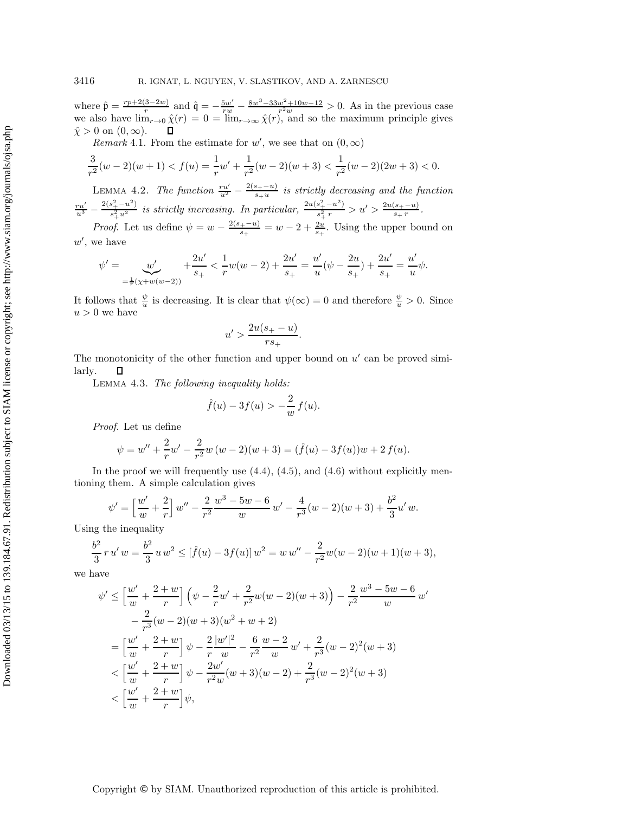where  $\hat{\mathfrak{p}} = \frac{rp+2(3-2w)}{r}$  and  $\hat{\mathfrak{q}} = -\frac{5w'}{rw} - \frac{8w^3-33w^2+10w-12}{r^2w} > 0$ . As in the previous case we also have  $\lim_{r\to 0} \hat{\chi}(r) = 0 = \lim_{r\to\infty} \hat{\chi}(r)$ , and so the maximum principle gives  $\hat{\chi} > 0$  on  $(0, \infty)$ .  $\Box$ 

<span id="page-27-0"></span>*Remark* 4.1. From the estimate for w', we see that on  $(0, \infty)$ 

$$
\frac{3}{r^2}(w-2)(w+1) < f(u) = \frac{1}{r}w' + \frac{1}{r^2}(w-2)(w+3) < \frac{1}{r^2}(w-2)(2w+3) < 0.
$$

LEMMA 4.2. *The function*  $\frac{ru'}{u^2} - \frac{2(s_+-u)}{s_+u}$  *is strictly decreasing and the function*  $\frac{ru'}{u^3} - \frac{2(s_+^2 - u^2)}{s_+^2 u^2}$  is strictly increasing. In particular,  $\frac{2u(s_+^2 - u^2)}{s_+^2 r} > u' > \frac{2u(s_+ - u)}{s_+ r}$ .

*Proof.* Let us define  $\psi = w - \frac{2(s_+ - u)}{s_+} = w - 2 + \frac{2u}{s_+}$ . Using the upper bound on  $w'$ , we have

$$
\psi' = \underbrace{w'}_{=\frac{1}{r}(x+w(w-2))} + \frac{2u'}{s_+} < \frac{1}{r}w(w-2) + \frac{2u'}{s_+} = \frac{u'}{u}(\psi - \frac{2u}{s_+}) + \frac{2u'}{s_+} = \frac{u'}{u}\psi.
$$

It follows that  $\frac{\psi}{u}$  is decreasing. It is clear that  $\psi(\infty) = 0$  and therefore  $\frac{\psi}{u} > 0$ . Since  $u > 0$  we have

$$
u' > \frac{2u(s_+ - u)}{rs_+}.
$$

<span id="page-27-1"></span>The monotonicity of the other function and upper bound on  $u'$  can be proved similarly. П

Lemma 4.3. *The following inequality holds:*

$$
\hat{f}(u) - 3f(u) > -\frac{2}{w} f(u).
$$

*Proof*. Let us define

$$
\psi = w'' + \frac{2}{r}w' - \frac{2}{r^2}w(w-2)(w+3) = (\hat{f}(u) - 3f(u))w + 2f(u).
$$

In the proof we will frequently use  $(4.4)$ ,  $(4.5)$ , and  $(4.6)$  without explicitly mentioning them. A simple calculation gives

$$
\psi' = \left[\frac{w'}{w} + \frac{2}{r}\right]w'' - \frac{2}{r^2}\frac{w^3 - 5w - 6}{w}w' - \frac{4}{r^3}(w - 2)(w + 3) + \frac{b^2}{3}u'w.
$$

Using the inequality

$$
\frac{b^2}{3} r u' w = \frac{b^2}{3} u w^2 \le [\hat{f}(u) - 3f(u)] w^2 = w w'' - \frac{2}{r^2} w(w - 2)(w + 1)(w + 3),
$$

we have

$$
\psi' \le \left[\frac{w'}{w} + \frac{2+w}{r}\right] \left(\psi - \frac{2}{r}w' + \frac{2}{r^2}w(w-2)(w+3)\right) - \frac{2}{r^2}\frac{w^3 - 5w - 6}{w}w'
$$
  
\n
$$
- \frac{2}{r^3}(w-2)(w+3)(w^2 + w + 2)
$$
  
\n
$$
= \left[\frac{w'}{w} + \frac{2+w}{r}\right] \psi - \frac{2}{r}\frac{|w'|^2}{w} - \frac{6}{r^2}\frac{w-2}{w}w' + \frac{2}{r^3}(w-2)^2(w+3)
$$
  
\n
$$
< \left[\frac{w'}{w} + \frac{2+w}{r}\right] \psi - \frac{2w'}{r^2w}(w+3)(w-2) + \frac{2}{r^3}(w-2)^2(w+3)
$$
  
\n
$$
< \left[\frac{w'}{w} + \frac{2+w}{r}\right] \psi,
$$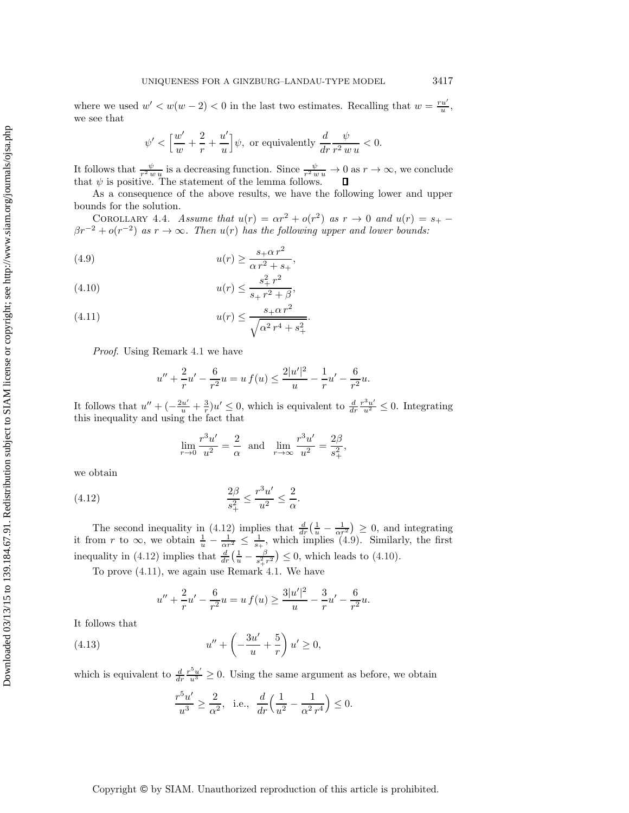where we used  $w' < w(w-2) < 0$  in the last two estimates. Recalling that  $w = \frac{ru'}{u}$ , we see that

<span id="page-28-4"></span>
$$
\psi' < \left[\frac{w'}{w} + \frac{2}{r} + \frac{u'}{u}\right]\psi
$$
, or equivalently  $\frac{d}{dr}\frac{\psi}{r^2 w u} < 0$ .

It follows that  $\frac{\psi}{r^2 w u}$  is a decreasing function. Since  $\frac{\psi}{r^2 w u} \to 0$  as  $r \to \infty$ , we conclude that  $\psi$  is positive. The statement of the lemma follows.

As a consequence of the above results, we have the following lower and upper bounds for the solution.

COROLLARY 4.4. *Assume that*  $u(r) = \alpha r^2 + o(r^2)$  *as*  $r \to 0$  *and*  $u(r) = s_+ \beta r^{-2} + o(r^{-2})$  *as*  $r \to \infty$ *. Then*  $u(r)$  *has the following upper and lower bounds:* 

<span id="page-28-1"></span>
$$
(4.9) \t u(r) \ge \frac{s_+ \alpha r^2}{\alpha r^2 + s_+},
$$

<span id="page-28-2"></span>(4.10) 
$$
u(r) \le \frac{s_+^2 r^2}{s_+ r^2 + \beta},
$$

<span id="page-28-3"></span>(4.11) 
$$
u(r) \le \frac{s_+ \alpha r^2}{\sqrt{\alpha^2 r^4 + s_+^2}}.
$$

*Proof*. Using Remark [4.1](#page-27-0) we have

$$
u'' + \frac{2}{r}u' - \frac{6}{r^2}u = u f(u) \le \frac{2|u'|^2}{u} - \frac{1}{r}u' - \frac{6}{r^2}u.
$$

It follows that  $u'' + \left(-\frac{2u'}{u} + \frac{3}{r}\right)u' \leq 0$ , which is equivalent to  $\frac{d}{dr}\frac{r^3u'}{u^2} \leq 0$ . Integrating this inequality and using the fact that

$$
\lim_{r \to 0} \frac{r^3 u'}{u^2} = \frac{2}{\alpha} \text{ and } \lim_{r \to \infty} \frac{r^3 u'}{u^2} = \frac{2\beta}{s_+^2},
$$

<span id="page-28-0"></span>we obtain

(4.12) 
$$
\frac{2\beta}{s_+^2} \le \frac{r^3 u'}{u^2} \le \frac{2}{\alpha}.
$$

The second inequality in [\(4.12\)](#page-28-0) implies that  $\frac{d}{dr}(\frac{1}{u} - \frac{1}{\alpha r^2}) \geq 0$ , and integrating it from r to  $\infty$ , we obtain  $\frac{1}{u} - \frac{1}{\alpha r^2} \leq \frac{1}{s_+}$ , which implies [\(4.9\)](#page-28-1). Similarly, the first inequality in [\(4.12\)](#page-28-0) implies that  $\frac{d}{dr} \left( \frac{1}{u} - \frac{\beta}{s_+^2 r^2} \right) \leq 0$ , which leads to [\(4.10\)](#page-28-2).

To prove [\(4.11\)](#page-28-3), we again use Remark [4.1.](#page-27-0) We have

$$
u'' + \frac{2}{r}u' - \frac{6}{r^2}u = u f(u) \ge \frac{3|u'|^2}{u} - \frac{3}{r}u' - \frac{6}{r^2}u.
$$

<span id="page-28-5"></span>It follows that

(4.13) 
$$
u'' + \left(-\frac{3u'}{u} + \frac{5}{r}\right)u' \ge 0,
$$

which is equivalent to  $\frac{d}{dr}\frac{r^5u'}{u^3}\geq 0$ . Using the same argument as before, we obtain

$$
\frac{r^5u^{\prime}}{u^3}\geq\frac{2}{\alpha^2},\ \ \text{i.e.,}\ \ \frac{d}{dr}\Big(\frac{1}{u^2}-\frac{1}{\alpha^2\,r^4}\Big)\leq0.
$$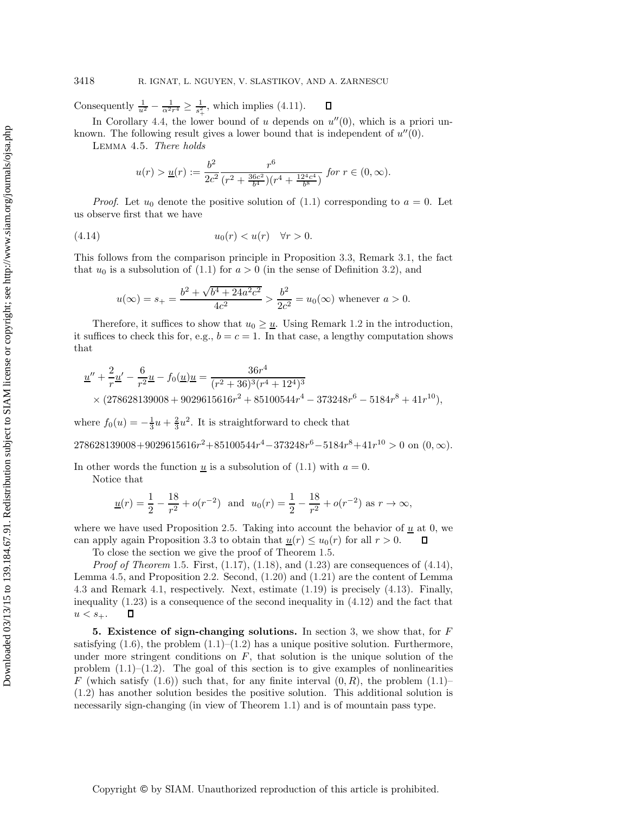Consequently  $\frac{1}{u^2} - \frac{1}{\alpha^2 r^4} \geq \frac{1}{s_+^2}$ , which implies [\(4.11\)](#page-28-3).  $\Box$ 

<span id="page-29-2"></span>In Corollary [4.4,](#page-28-4) the lower bound of u depends on  $u''(0)$ , which is a priori unknown. The following result gives a lower bound that is independent of  $u''(0)$ .

Lemma 4.5. *There holds*

<span id="page-29-1"></span>
$$
u(r) > \underline{u}(r) := \frac{b^2}{2c^2} \frac{r^6}{(r^2 + \frac{36c^2}{b^4})(r^4 + \frac{124c^4}{b^8})} \text{ for } r \in (0, \infty).
$$

*Proof.* Let  $u_0$  denote the positive solution of [\(1.1\)](#page-1-1) corresponding to  $a = 0$ . Let us observe first that we have

$$
(4.14) \t\t\t u_0(r) < u(r) \quad \forall r > 0.
$$

This follows from the comparison principle in Proposition [3.3,](#page-16-4) Remark [3.1,](#page-19-1) the fact that  $u_0$  is a subsolution of [\(1.1\)](#page-1-1) for  $a > 0$  (in the sense of Definition [3.2\)](#page-16-5), and

$$
u(\infty) = s_+ = \frac{b^2 + \sqrt{b^4 + 24a^2c^2}}{4c^2} > \frac{b^2}{2c^2} = u_0(\infty)
$$
 whenever  $a > 0$ .

Therefore, it suffices to show that  $u_0 \geq \underline{u}$ . Using Remark [1.2](#page-3-5) in the introduction, it suffices to check this for, e.g.,  $b = c = 1$ . In that case, a lengthy computation shows that

$$
\underline{u''} + \frac{2}{r}\underline{u'} - \frac{6}{r^2}\underline{u} - f_0(\underline{u})\underline{u} = \frac{36r^4}{(r^2 + 36)^3(r^4 + 12^4)^3}
$$
  
\$\times (278628139008 + 9029615616r^2 + 85100544r^4 - 373248r^6 - 5184r^8 + 41r^{10}),\$

where  $f_0(u) = -\frac{1}{3}u + \frac{2}{3}u^2$ . It is straightforward to check that

 $278628139008+9029615616r^2+85100544r^4-373248r^6-5184r^8+41r^{10} > 0$  on  $(0, \infty)$ .

In other words the function  $\underline{u}$  is a subsolution of [\(1.1\)](#page-1-1) with  $a = 0$ .

Notice that

$$
\underline{u}(r) = \frac{1}{2} - \frac{18}{r^2} + o(r^{-2}) \text{ and } u_0(r) = \frac{1}{2} - \frac{18}{r^2} + o(r^{-2}) \text{ as } r \to \infty,
$$

where we have used Proposition [2.5.](#page-13-4) Taking into account the behavior of  $u$  at 0, we can apply again Proposition [3.3](#page-16-4) to obtain that  $u(r) \le u_0(r)$  for all  $r > 0$ .  $\Box$ 

To close the section we give the proof of Theorem [1.5.](#page-5-2)

*Proof of Theorem* [1.5.](#page-5-2) First, [\(1.17\)](#page-6-0), [\(1.18\)](#page-6-1), and [\(1.23\)](#page-6-2) are consequences of [\(4.14\)](#page-29-1), Lemma [4.5,](#page-29-2) and Proposition [2.2.](#page-9-0) Second, [\(1.20\)](#page-6-3) and [\(1.21\)](#page-6-4) are the content of Lemma [4.3](#page-27-1) and Remark [4.1,](#page-27-0) respectively. Next, estimate [\(1.19\)](#page-6-5) is precisely [\(4.13\)](#page-28-5). Finally, inequality [\(1.23\)](#page-6-2) is a consequence of the second inequality in [\(4.12\)](#page-28-0) and the fact that  $u < s_+.$ П

<span id="page-29-0"></span>**5. Existence of sign-changing solutions.** In section [3,](#page-15-0) we show that, for F satisfying  $(1.6)$ , the problem  $(1.1)$ – $(1.2)$  has a unique positive solution. Furthermore, under more stringent conditions on  $F$ , that solution is the unique solution of the problem  $(1.1)$ – $(1.2)$ . The goal of this section is to give examples of nonlinearities F (which satisfy  $(1.6)$ ) such that, for any finite interval  $(0, R)$ , the problem  $(1.1)$ – [\(1.2\)](#page-1-0) has another solution besides the positive solution. This additional solution is necessarily sign-changing (in view of Theorem [1.1\)](#page-2-2) and is of mountain pass type.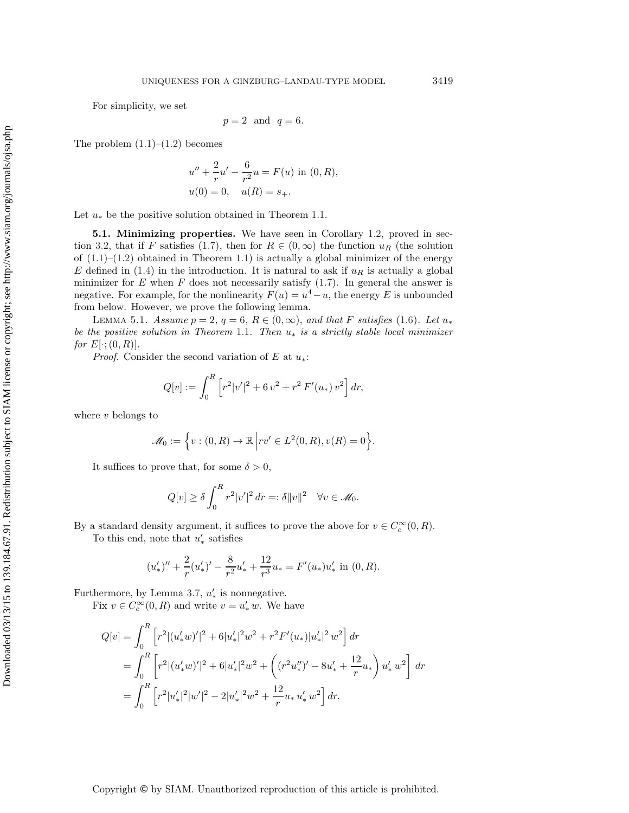For simplicity, we set

$$
p=2 \text{ and } q=6.
$$

The problem  $(1.1)$ – $(1.2)$  becomes

$$
u'' + \frac{2}{r}u' - \frac{6}{r^2}u = F(u) \text{ in } (0, R),
$$
  
 
$$
u(0) = 0, \quad u(R) = s_+.
$$

Let  $u_*$  be the positive solution obtained in Theorem [1.1.](#page-2-2)

**5.1. Minimizing properties.** We have seen in Corollary [1.2,](#page-2-3) proved in sec-tion [3.2,](#page-22-0) that if F satisfies [\(1.7\)](#page-2-4), then for  $R \in (0,\infty)$  the function  $u_R$  (the solution of  $(1.1)$ – $(1.2)$  obtained in Theorem [1.1\)](#page-2-2) is actually a global minimizer of the energy E defined in [\(1.4\)](#page-1-3) in the introduction. It is natural to ask if  $u_R$  is actually a global minimizer for E when F does not necessarily satisfy  $(1.7)$ . In general the answer is negative. For example, for the nonlinearity  $F(u) = u^4 - u$ , the energy E is unbounded from below. However, we prove the following lemma.

LEMMA 5.1. *Assume*  $p = 2$ ,  $q = 6$ ,  $R \in (0, \infty)$ , and that F satisfies [\(1.6\)](#page-2-1). Let  $u_*$ *be the positive solution in Theorem* [1.1](#page-2-2)*. Then* u<sup>∗</sup> *is a strictly stable local minimizer for*  $E[\cdot; (0, R)]$ *.* 

*Proof.* Consider the second variation of E at  $u_*$ :

<span id="page-30-0"></span>
$$
Q[v] := \int_0^R \left[ r^2 |v'|^2 + 6 v^2 + r^2 F'(u_*) v^2 \right] dr,
$$

where  $v$  belongs to

$$
\mathscr{M}_0 := \{ v : (0, R) \to \mathbb{R} \, \Big| \, rv' \in L^2(0, R), v(R) = 0 \}.
$$

It suffices to prove that, for some  $\delta > 0$ ,

$$
Q[v] \ge \delta \int_0^R r^2 |v'|^2 dr =: \delta ||v||^2 \quad \forall v \in \mathcal{M}_0.
$$

By a standard density argument, it suffices to prove the above for  $v \in C_c^{\infty}(0, R)$ .

To this end, note that  $u'_*$  satisfies

$$
(u'_*)'' + \frac{2}{r}(u'_*)' - \frac{8}{r^2}u'_* + \frac{12}{r^3}u_* = F'(u_*)u'_* \text{ in } (0, R).
$$

Furthermore, by Lemma [3.7,](#page-21-0)  $u'_{*}$  is nonnegative.

Fix  $v \in C_c^{\infty}(0, R)$  and write  $v = u'_* w$ . We have

$$
Q[v] = \int_0^R \left[ r^2 |(u'_*w)'|^2 + 6|u'_*|^2 w^2 + r^2 F'(u_*)|u'_*|^2 w^2 \right] dr
$$
  
= 
$$
\int_0^R \left[ r^2 |(u'_*w)'|^2 + 6|u'_*|^2 w^2 + \left( (r^2 u''_*)' - 8u'_* + \frac{12}{r} u_* \right) u'_* w^2 \right] dr
$$
  
= 
$$
\int_0^R \left[ r^2 |u'_*|^2 |w'|^2 - 2|u'_*|^2 w^2 + \frac{12}{r} u_* u'_* w^2 \right] dr.
$$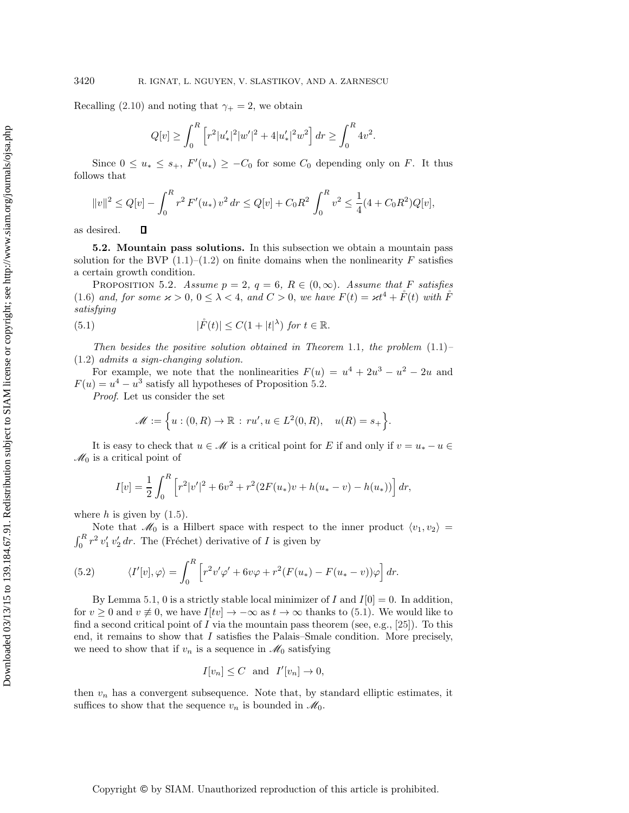Recalling [\(2.10\)](#page-9-2) and noting that  $\gamma_+ = 2$ , we obtain

$$
Q[v] \ge \int_0^R \left[ r^2 |u'_*|^2 |w'|^2 + 4|u'_*|^2 w^2 \right] dr \ge \int_0^R 4v^2.
$$

Since  $0 \le u_* \le s_+$ ,  $F'(u_*) \ge -C_0$  for some  $C_0$  depending only on F. It thus follows that

$$
||v||^2 \le Q[v] - \int_0^R r^2 F'(u_*) v^2 dr \le Q[v] + C_0 R^2 \int_0^R v^2 \le \frac{1}{4} (4 + C_0 R^2) Q[v],
$$

as desired.  $\Box$ 

**5.2. Mountain pass solutions.** In this subsection we obtain a mountain pass solution for the BVP  $(1.1)$ – $(1.2)$  on finite domains when the nonlinearity F satisfies a certain growth condition.

<span id="page-31-1"></span><span id="page-31-0"></span>PROPOSITION 5.2. Assume  $p = 2$ ,  $q = 6$ ,  $R \in (0, \infty)$ . Assume that F satisfies [\(1.6\)](#page-2-1) and, for some  $x > 0$ ,  $0 \le \lambda < 4$ , and  $C > 0$ , we have  $F(t) = \varkappa t^4 + \mathring{F}(t)$  with  $\mathring{F}$ *satisfying*

(5.1) 
$$
|\dot{F}(t)| \leq C(1+|t|^{\lambda}) \text{ for } t \in \mathbb{R}.
$$

*Then besides the positive solution obtained in Theorem* [1.1](#page-2-2)*, the problem* [\(1.1\)](#page-1-1)*–* [\(1.2\)](#page-1-0) *admits a sign-changing solution.*

For example, we note that the nonlinearities  $F(u) = u^4 + 2u^3 - u^2 - 2u$  and  $F(u) = u^4 - u^3$  satisfy all hypotheses of Proposition [5.2.](#page-31-0)

*Proof*. Let us consider the set

$$
\mathscr{M} := \Big\{ u : (0, R) \to \mathbb{R} : ru', u \in L^2(0, R), \quad u(R) = s_+ \Big\}.
$$

It is easy to check that  $u \in \mathcal{M}$  is a critical point for E if and only if  $v = u_* - u \in$  $\mathscr{M}_0$  is a critical point of

$$
I[v] = \frac{1}{2} \int_0^R \left[ r^2 |v'|^2 + 6v^2 + r^2 (2F(u_*)v + h(u_* - v) - h(u_*)) \right] dr,
$$

where  $h$  is given by  $(1.5)$ .

Note that  $\mathcal{M}_0$  is a Hilbert space with respect to the inner product  $\langle v_1, v_2 \rangle =$  $\int_0^R r^2 v_1' v_2' dr$ . The (Fréchet) derivative of I is given by

(5.2) 
$$
\langle I'[v], \varphi \rangle = \int_0^R \left[ r^2 v' \varphi' + 6v \varphi + r^2 (F(u_*) - F(u_* - v)) \varphi \right] dr.
$$

By Lemma [5.1,](#page-30-0) 0 is a strictly stable local minimizer of I and  $I[0] = 0$ . In addition, for  $v > 0$  and  $v \not\equiv 0$ , we have  $I[tv] \rightarrow -\infty$  as  $t \rightarrow \infty$  thanks to [\(5.1\)](#page-31-1). We would like to find a second critical point of I via the mountain pass theorem (see, e.g., [\[25\]](#page-36-23)). To this end, it remains to show that  $I$  satisfies the Palais–Smale condition. More precisely, we need to show that if  $v_n$  is a sequence in  $\mathcal{M}_0$  satisfying

<span id="page-31-2"></span>
$$
I[v_n] \le C \text{ and } I'[v_n] \to 0,
$$

then  $v_n$  has a convergent subsequence. Note that, by standard elliptic estimates, it suffices to show that the sequence  $v_n$  is bounded in  $\mathcal{M}_0$ .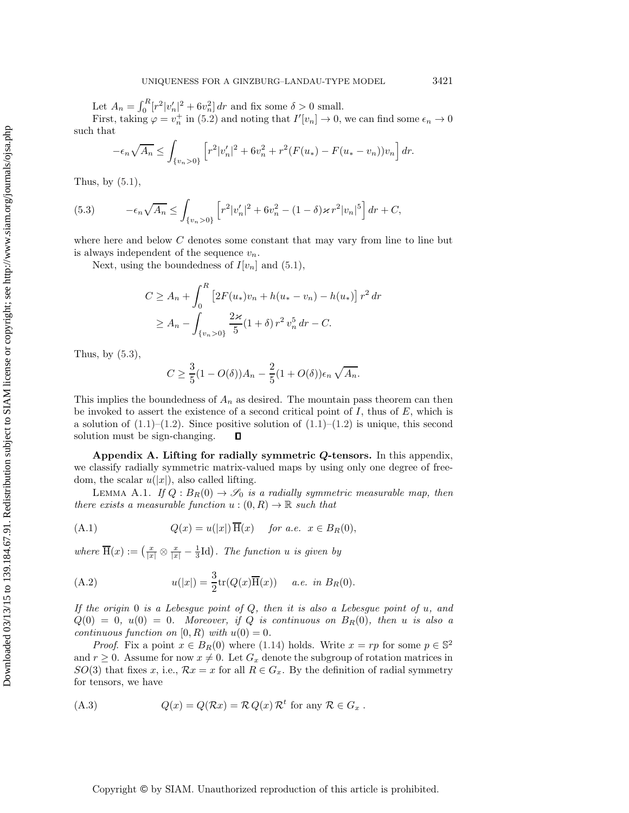Let  $A_n = \int_0^R [r^2 |v'_n|^2 + 6v_n^2] dr$  and fix some  $\delta > 0$  small.

First, taking  $\varphi = v_n^+$  in [\(5.2\)](#page-31-2) and noting that  $I'[v_n] \to 0$ , we can find some  $\epsilon_n \to 0$ such that

<span id="page-32-1"></span>
$$
-\epsilon_n \sqrt{A_n} \le \int_{\{v_n > 0\}} \left[ r^2 |v_n'|^2 + 6v_n^2 + r^2 (F(u_*) - F(u_* - v_n)) v_n \right] dr.
$$

Thus, by  $(5.1)$ ,

(5.3) 
$$
-\epsilon_n \sqrt{A_n} \leq \int_{\{v_n > 0\}} \left[ r^2 |v'_n|^2 + 6v_n^2 - (1 - \delta) \kappa r^2 |v_n|^5 \right] dr + C,
$$

where here and below  $C$  denotes some constant that may vary from line to line but is always independent of the sequence  $v_n$ .

Next, using the boundedness of  $I[v_n]$  and  $(5.1)$ ,

<sub>R</sub>

$$
C \ge A_n + \int_0^R \left[ 2F(u_*)v_n + h(u_* - v_n) - h(u_*) \right] r^2 dr
$$
  
 
$$
\ge A_n - \int_{\{v_n > 0\}} \frac{2\varkappa}{5} (1 + \delta) r^2 v_n^5 dr - C.
$$

Thus, by  $(5.3)$ ,

<span id="page-32-4"></span><span id="page-32-2"></span>
$$
C \geq \frac{3}{5}(1 - O(\delta))A_n - \frac{2}{5}(1 + O(\delta))\epsilon_n \sqrt{A_n}.
$$

This implies the boundedness of  $A_n$  as desired. The mountain pass theorem can then be invoked to assert the existence of a second critical point of  $I$ , thus of  $E$ , which is a solution of  $(1.1)$ – $(1.2)$ . Since positive solution of  $(1.1)$ – $(1.2)$  is unique, this second solution must be sign-changing. Д

<span id="page-32-0"></span>**Appendix A. Lifting for radially symmetric** *Q***-tensors.** In this appendix, we classify radially symmetric matrix-valued maps by using only one degree of freedom, the scalar  $u(|x|)$ , also called lifting.

LEMMA A.1. *If*  $Q: B_R(0) \to \mathscr{S}_0$  *is a radially symmetric measurable map, then there exists a measurable function*  $u : (0, R) \to \mathbb{R}$  *such that* 

(A.1) 
$$
Q(x) = u(|x|) \overline{H}(x) \quad \text{for a.e. } x \in B_R(0),
$$

where  $\overline{H}(x) := \left(\frac{x}{|x|} \otimes \frac{x}{|x|} - \frac{1}{3}Id\right)$ . The function *u is given by* 

(A.2) 
$$
u(|x|) = \frac{3}{2} \text{tr}(Q(x)\overline{H}(x)) \quad a.e. \text{ in } B_R(0).
$$

*If the origin* 0 *is a Lebesgue point of* Q*, then it is also a Lebesgue point of* u*, and*  $Q(0) = 0$ ,  $u(0) = 0$ . Moreover, if Q is continuous on  $B_R(0)$ , then u is also a *continuous function on*  $[0, R)$  *with*  $u(0) = 0$ *.* 

*Proof.* Fix a point  $x \in B_R(0)$  where [\(1.14\)](#page-4-4) holds. Write  $x = rp$  for some  $p \in \mathbb{S}^2$ and  $r \geq 0$ . Assume for now  $x \neq 0$ . Let  $G_x$  denote the subgroup of rotation matrices in SO(3) that fixes x, i.e.,  $\mathcal{R}x = x$  for all  $R \in G_x$ . By the definition of radial symmetry for tensors, we have

<span id="page-32-3"></span>(A.3) 
$$
Q(x) = Q(\mathcal{R}x) = \mathcal{R} Q(x) \mathcal{R}^t \text{ for any } \mathcal{R} \in G_x.
$$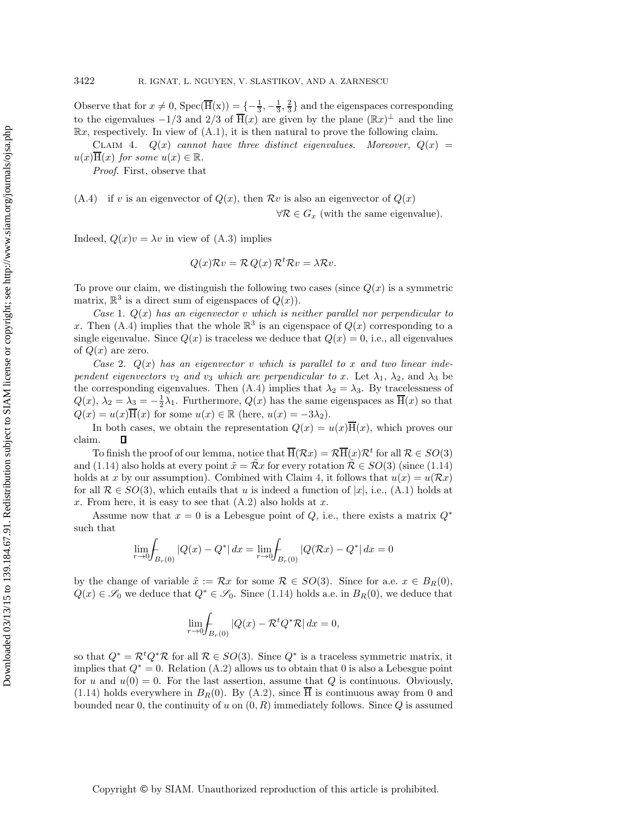Observe that for  $x \neq 0$ ,  $Spec(\overline{H}(x)) = \{-\frac{1}{3}, -\frac{1}{3}, \frac{2}{3}\}\$  and the eigenspaces corresponding to the eigenvalues  $-1/3$  and  $2/3$  of  $\overline{H}(x)$  are given by the plane  $(\mathbb{R}x)^{\perp}$  and the line  $\mathbb{R}x$ , respectively. In view of  $(A.1)$ , it is then natural to prove the following claim.

CLAIM 4.  $Q(x)$  *cannot have three distinct eigenvalues. Moreover,*  $Q(x)$  =  $u(x)H(x)$  *for some*  $u(x) \in \mathbb{R}$ *.* 

*Proof*. First, observe that

<span id="page-33-0"></span>(A.4) if v is an eigenvector of  $Q(x)$ , then  $Rv$  is also an eigenvector of  $Q(x)$ 

<span id="page-33-1"></span> $\forall \mathcal{R} \in G_x$  (with the same eigenvalue).

Indeed,  $Q(x)v = \lambda v$  in view of [\(A.3\)](#page-32-3) implies

$$
Q(x)\mathcal{R}v = \mathcal{R}Q(x)\,\mathcal{R}^t\mathcal{R}v = \lambda\mathcal{R}v.
$$

To prove our claim, we distinguish the following two cases (since  $Q(x)$  is a symmetric matrix,  $\mathbb{R}^3$  is a direct sum of eigenspaces of  $Q(x)$ .

*Case* 1. Q(x) *has an eigenvector* v *which is neither parallel nor perpendicular to* x. Then [\(A.4\)](#page-33-0) implies that the whole  $\mathbb{R}^3$  is an eigenspace of  $Q(x)$  corresponding to a single eigenvalue. Since  $Q(x)$  is traceless we deduce that  $Q(x) = 0$ , i.e., all eigenvalues of  $Q(x)$  are zero.

*Case* 2. Q(x) *has an eigenvector* v *which is parallel to* x *and two linear independent eigenvectors*  $v_2$  *and*  $v_3$  *which are perpendicular to* x. Let  $\lambda_1$ ,  $\lambda_2$ , and  $\lambda_3$  be the corresponding eigenvalues. Then [\(A.4\)](#page-33-0) implies that  $\lambda_2 = \lambda_3$ . By tracelessness of  $Q(x)$ ,  $\lambda_2 = \lambda_3 = -\frac{1}{2}\lambda_1$ . Furthermore,  $Q(x)$  has the same eigenspaces as  $\overline{H}(x)$  so that  $Q(x) = u(x) \overline{H}(x)$  for some  $u(x) \in \mathbb{R}$  (here,  $u(x) = -3\lambda_2$ ).

In both cases, we obtain the representation  $Q(x) = u(x) \overline{H}(x)$ , which proves our  $\Box$ claim.

To finish the proof of our lemma, notice that  $\overline{H}(\mathcal{R}x) = \mathcal{R}\overline{H}(x)\mathcal{R}^t$  for all  $\mathcal{R} \in SO(3)$ and [\(1.14\)](#page-4-4) also holds at every point  $\tilde{x} = \mathcal{R}x$  for every rotation  $\mathcal{R} \in SO(3)$  (since (1.14) holds at x by our assumption). Combined with Claim [4,](#page-33-1) it follows that  $u(x) = u(\mathcal{R}x)$ for all  $\mathcal{R} \in SO(3)$ , which entails that u is indeed a function of  $|x|$ , i.e., [\(A.1\)](#page-32-2) holds at x. From here, it is easy to see that  $(A.2)$  also holds at x.

Assume now that  $x = 0$  is a Lebesgue point of Q, i.e., there exists a matrix  $Q^*$ such that

$$
\lim_{r \to 0} \int_{B_r(0)} |Q(x) - Q^*| \, dx = \lim_{r \to 0} \int_{B_r(0)} |Q(\mathcal{R}x) - Q^*| \, dx = 0
$$

by the change of variable  $\tilde{x} := \mathcal{R}x$  for some  $\mathcal{R} \in SO(3)$ . Since for a.e.  $x \in B_R(0)$ ,  $Q(x) \in \mathscr{S}_0$  we deduce that  $Q^* \in \mathscr{S}_0$ . Since [\(1.14\)](#page-4-4) holds a.e. in  $B_R(0)$ , we deduce that

$$
\lim_{r \to 0} \int_{B_r(0)} |Q(x) - \mathcal{R}^t Q^* \mathcal{R}| dx = 0,
$$

so that  $Q^* = \mathcal{R}^t Q^* \mathcal{R}$  for all  $\mathcal{R} \in SO(3)$ . Since  $Q^*$  is a traceless symmetric matrix, it implies that  $Q^* = 0$ . Relation [\(A.2\)](#page-32-4) allows us to obtain that 0 is also a Lebesgue point for u and  $u(0) = 0$ . For the last assertion, assume that Q is continuous. Obviously, [\(1.14\)](#page-4-4) holds everywhere in  $B_R(0)$ . By [\(A.2\)](#page-32-4), since H is continuous away from 0 and bounded near 0, the continuity of u on  $(0, R)$  immediately follows. Since Q is assumed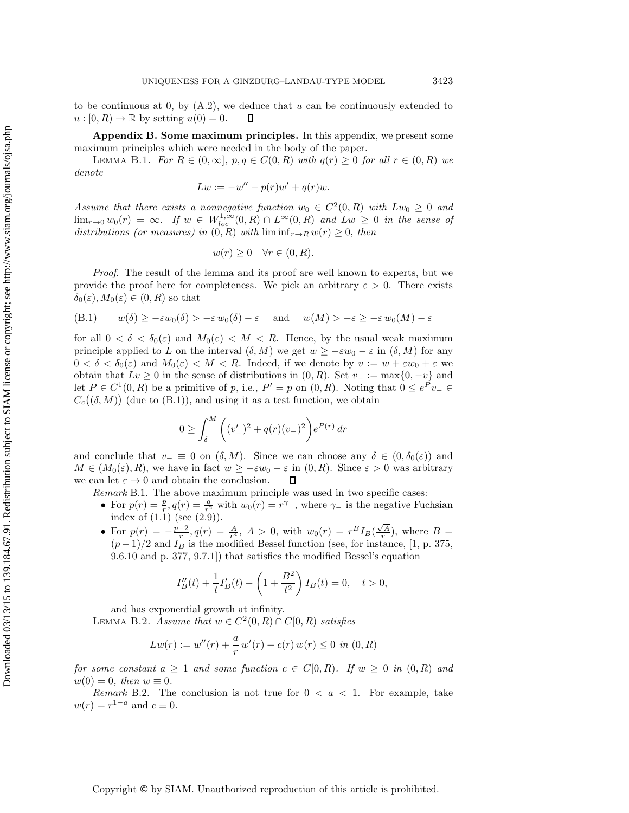<span id="page-34-0"></span>to be continuous at 0, by  $(A.2)$ , we deduce that u can be continuously extended to  $u:[0, R) \to \mathbb{R}$  by setting  $u(0) = 0$ . П

<span id="page-34-1"></span>**Appendix B. Some maximum principles.** In this appendix, we present some maximum principles which were needed in the body of the paper.

LEMMA B.1. *For*  $R \in (0,\infty]$ ,  $p,q \in C(0,R)$  *with*  $q(r) \geq 0$  *for all*  $r \in (0,R)$  *we denote*

$$
Lw := -w'' - p(r)w' + q(r)w.
$$

*Assume that there exists a nonnegative function*  $w_0 \in C^2(0,R)$  *with*  $Lw_0 \geq 0$  *and*  $\lim_{r\to 0} w_0(r) = \infty$ . If  $w \in W^{1,\infty}_{loc}(0,R) \cap L^{\infty}(0,R)$  and  $Lw \geq 0$  in the sense of *distributions (or measures) in*  $(0, R)$  *with* lim inf $_{r \to R} w(r) \geq 0$ , *then* 

<span id="page-34-4"></span>
$$
w(r) \ge 0 \quad \forall r \in (0, R).
$$

*Proof.* The result of the lemma and its proof are well known to experts, but we provide the proof here for completeness. We pick an arbitrary  $\varepsilon > 0$ . There exists  $\delta_0(\varepsilon), M_0(\varepsilon) \in (0, R)$  so that

(B.1) 
$$
w(\delta) \ge -\varepsilon w_0(\delta) > -\varepsilon w_0(\delta) - \varepsilon
$$
 and  $w(M) > -\varepsilon \ge -\varepsilon w_0(M) - \varepsilon$ 

for all  $0 < \delta < \delta_0(\varepsilon)$  and  $M_0(\varepsilon) < M < R$ . Hence, by the usual weak maximum principle applied to L on the interval  $(\delta, M)$  we get  $w \geq -\varepsilon w_0 - \varepsilon$  in  $(\delta, M)$  for any  $0 < \delta < \delta_0(\varepsilon)$  and  $M_0(\varepsilon) < M < R$ . Indeed, if we denote by  $v := w + \varepsilon w_0 + \varepsilon$  we obtain that  $Lv \geq 0$  in the sense of distributions in  $(0, R)$ . Set  $v = \max\{0, -v\}$  and let  $P \in C^1(0, R)$  be a primitive of p, i.e.,  $P' = p$  on  $(0, R)$ . Noting that  $0 \le e^P v_- \in$  $C_c((\delta, M))$  (due to [\(B.1\)](#page-34-4)), and using it as a test function, we obtain

$$
0 \ge \int_{\delta}^{M} \left( (v'_{-})^{2} + q(r)(v_{-})^{2} \right) e^{P(r)} dr
$$

and conclude that  $v_-\equiv 0$  on  $(\delta, M)$ . Since we can choose any  $\delta \in (0, \delta_0(\varepsilon))$  and  $M \in (M_0(\varepsilon), R)$ , we have in fact  $w \geq -\varepsilon w_0 - \varepsilon$  in  $(0, R)$ . Since  $\varepsilon > 0$  was arbitrary we can let  $\varepsilon \to 0$  and obtain the conclusion.  $\Box$ 

<span id="page-34-2"></span>*Remark* B.1. The above maximum principle was used in two specific cases:

- For  $p(r) = \frac{p}{r}$ ,  $q(r) = \frac{q}{r^2}$  with  $w_0(r) = r^{\gamma-}$ , where  $\gamma$  is the negative Fuchsian index of  $(1.1)$  (see  $(2.9)$ ).
- For  $p(r) = -\frac{p-2}{r}, q(r) = \frac{A}{r^4}, A > 0$ , with  $w_0(r) = r^B I_B(\frac{\sqrt{A}}{r})$ , where  $B =$  $(p-1)/2$  and  $I_B$  is the modified Bessel function (see, for instance, [\[1,](#page-35-2) p. 375, 9.6.10 and p. 377, 9.7.1]) that satisfies the modified Bessel's equation

$$
I''_B(t) + \frac{1}{t}I'_B(t) - \left(1 + \frac{B^2}{t^2}\right)I_B(t) = 0, \quad t > 0,
$$

<span id="page-34-3"></span>and has exponential growth at infinity. LEMMA B.2. *Assume that*  $w \in C^2(0, R) \cap C[0, R)$  *satisfies* 

$$
Lw(r) := w''(r) + \frac{a}{r} w'(r) + c(r) w(r) \le 0 \text{ in } (0, R)
$$

*for some constant*  $a \geq 1$  *and some function*  $c \in C[0,R)$ *. If*  $w \geq 0$  *in*  $(0,R)$  *and*  $w(0) = 0$ , then  $w \equiv 0$ .

*Remark* B.2. The conclusion is not true for  $0 < a < 1$ . For example, take  $w(r) = r^{1-a}$  and  $c \equiv 0$ .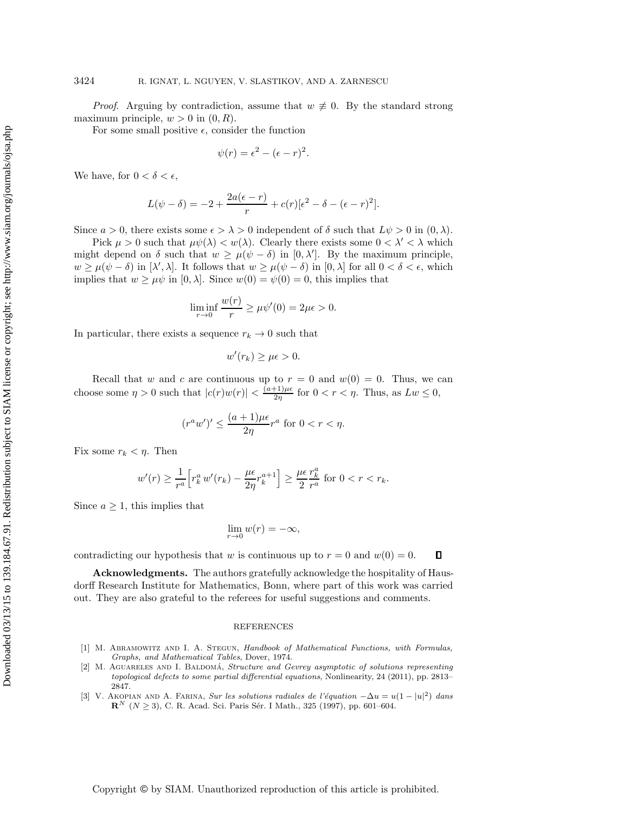*Proof.* Arguing by contradiction, assume that  $w \neq 0$ . By the standard strong maximum principle,  $w > 0$  in  $(0, R)$ .

For some small positive  $\epsilon$ , consider the function

$$
\psi(r) = \epsilon^2 - (\epsilon - r)^2.
$$

We have, for  $0 < \delta < \epsilon$ ,

$$
L(\psi - \delta) = -2 + \frac{2a(\epsilon - r)}{r} + c(r)[\epsilon^2 - \delta - (\epsilon - r)^2].
$$

Since  $a > 0$ , there exists some  $\epsilon > \lambda > 0$  independent of  $\delta$  such that  $L\psi > 0$  in  $(0, \lambda)$ .

Pick  $\mu > 0$  such that  $\mu \psi(\lambda) < w(\lambda)$ . Clearly there exists some  $0 < \lambda' < \lambda$  which might depend on  $\delta$  such that  $w \ge \mu(\psi - \delta)$  in [0,  $\lambda'$ ]. By the maximum principle,  $w \ge \mu(\psi - \delta)$  in  $[\lambda', \lambda]$ . It follows that  $w \ge \mu(\psi - \delta)$  in  $[0, \lambda]$  for all  $0 < \delta < \epsilon$ , which implies that  $w \ge \mu \psi$  in [0,  $\lambda$ ]. Since  $w(0) = \psi(0) = 0$ , this implies that

$$
\liminf_{r \to 0} \frac{w(r)}{r} \ge \mu \psi'(0) = 2\mu\epsilon > 0.
$$

In particular, there exists a sequence  $r_k \to 0$  such that

$$
w'(r_k) \ge \mu \epsilon > 0.
$$

Recall that w and c are continuous up to  $r = 0$  and  $w(0) = 0$ . Thus, we can choose some  $\eta > 0$  such that  $|c(r)w(r)| < \frac{(a+1)\mu\epsilon}{2\eta}$  for  $0 < r < \eta$ . Thus, as  $Lw \leq 0$ ,

$$
(r^a w')'\leq \frac{(a+1)\mu\epsilon}{2\eta}r^a \text{ for } 0
$$

Fix some  $r_k < \eta$ . Then

$$
w'(r) \ge \frac{1}{r^a} \Big[ r_k^a w'(r_k) - \frac{\mu \epsilon}{2\eta} r_k^{a+1} \Big] \ge \frac{\mu \epsilon}{2} \frac{r_k^a}{r^a} \text{ for } 0 < r < r_k.
$$

Since  $a \geq 1$ , this implies that

$$
\lim_{r \to 0} w(r) = -\infty,
$$

contradicting our hypothesis that w is continuous up to  $r = 0$  and  $w(0) = 0$ . Д

**Acknowledgments.** The authors gratefully acknowledge the hospitality of Hausdorff Research Institute for Mathematics, Bonn, where part of this work was carried out. They are also grateful to the referees for useful suggestions and comments.

#### REFERENCES

- <span id="page-35-2"></span>[1] M. ABRAMOWITZ AND I. A. STEGUN, Handbook of Mathematical Functions, with Formulas, Graphs, and Mathematical Tables, Dover, 1974.
- <span id="page-35-1"></span>[2] M. AGUARELES AND I. BALDOMÁ, Structure and Gevrey asymptotic of solutions representing topological defects to some partial differential equations, Nonlinearity, 24 (2011), pp. 2813– 2847.
- <span id="page-35-0"></span>[3] V. AKOPIAN AND A. FARINA, Sur les solutions radiales de l'équation  $-\Delta u = u(1 - |u|^2)$  dans **R**<sup>*N*</sup> ( $N \ge 3$ ), C. R. Acad. Sci. Paris Sér. I Math., 325 (1997), pp. 601–604.